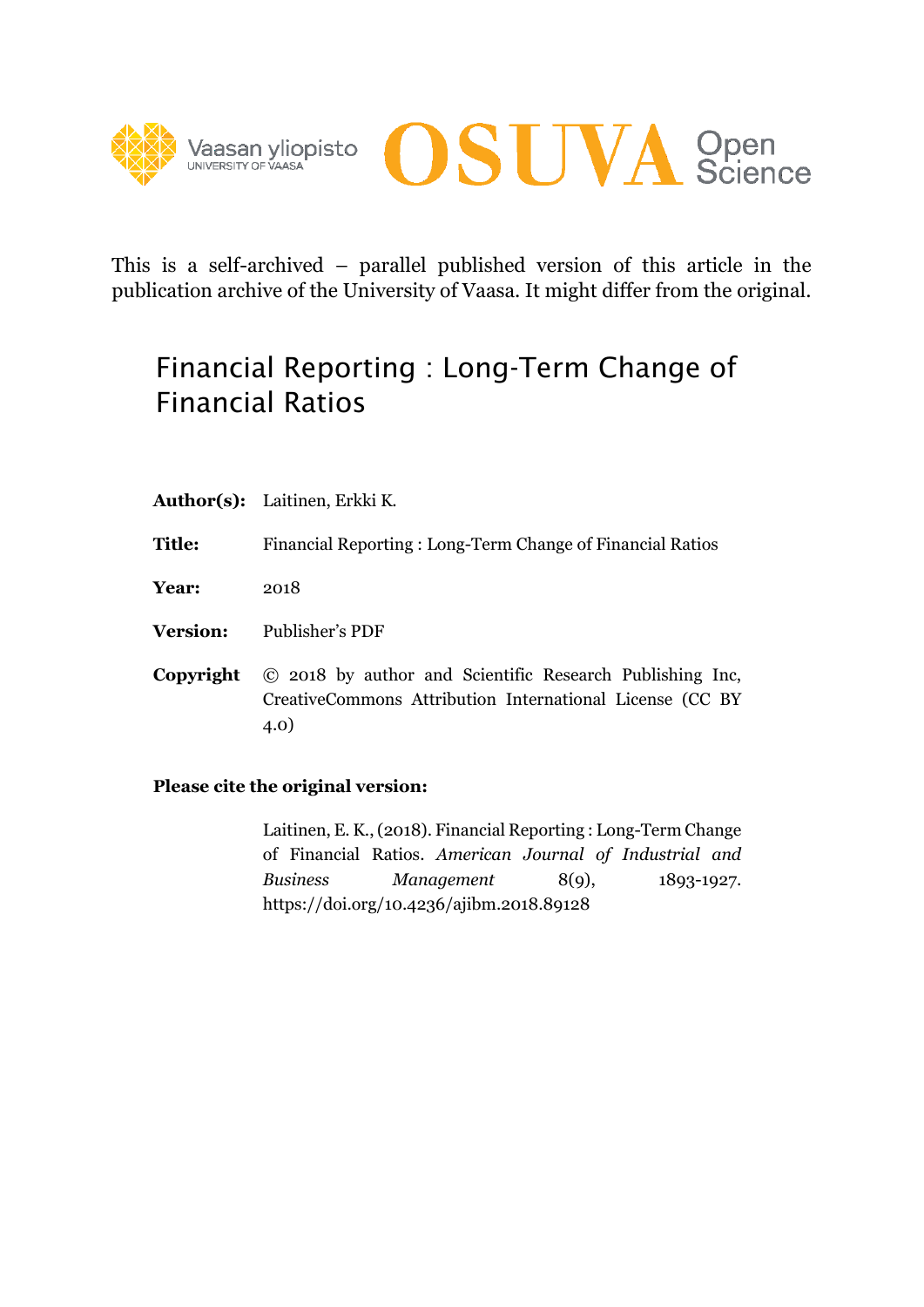



This is a self-archived – parallel published version of this article in the publication archive of the University of Vaasa. It might differ from the original.

# Financial Reporting : Long-Term Change of Financial Ratios

| <b>Author(s):</b> Laitinen, Erkki K. |  |
|--------------------------------------|--|
|                                      |  |

- **Title:** Financial Reporting : Long-Term Change of Financial Ratios
- **Year:** 2018
- **Version:** Publisher's PDF
- **Copyright** © 2018 by author and Scientific Research Publishing Inc, CreativeCommons Attribution International License (CC BY 4.0)

# **Please cite the original version:**

Laitinen, E. K., (2018). Financial Reporting : Long-Term Change of Financial Ratios. *American Journal of Industrial and Business Management* 8(9), 1893-1927. https://doi.org/10.4236/ajibm.2018.89128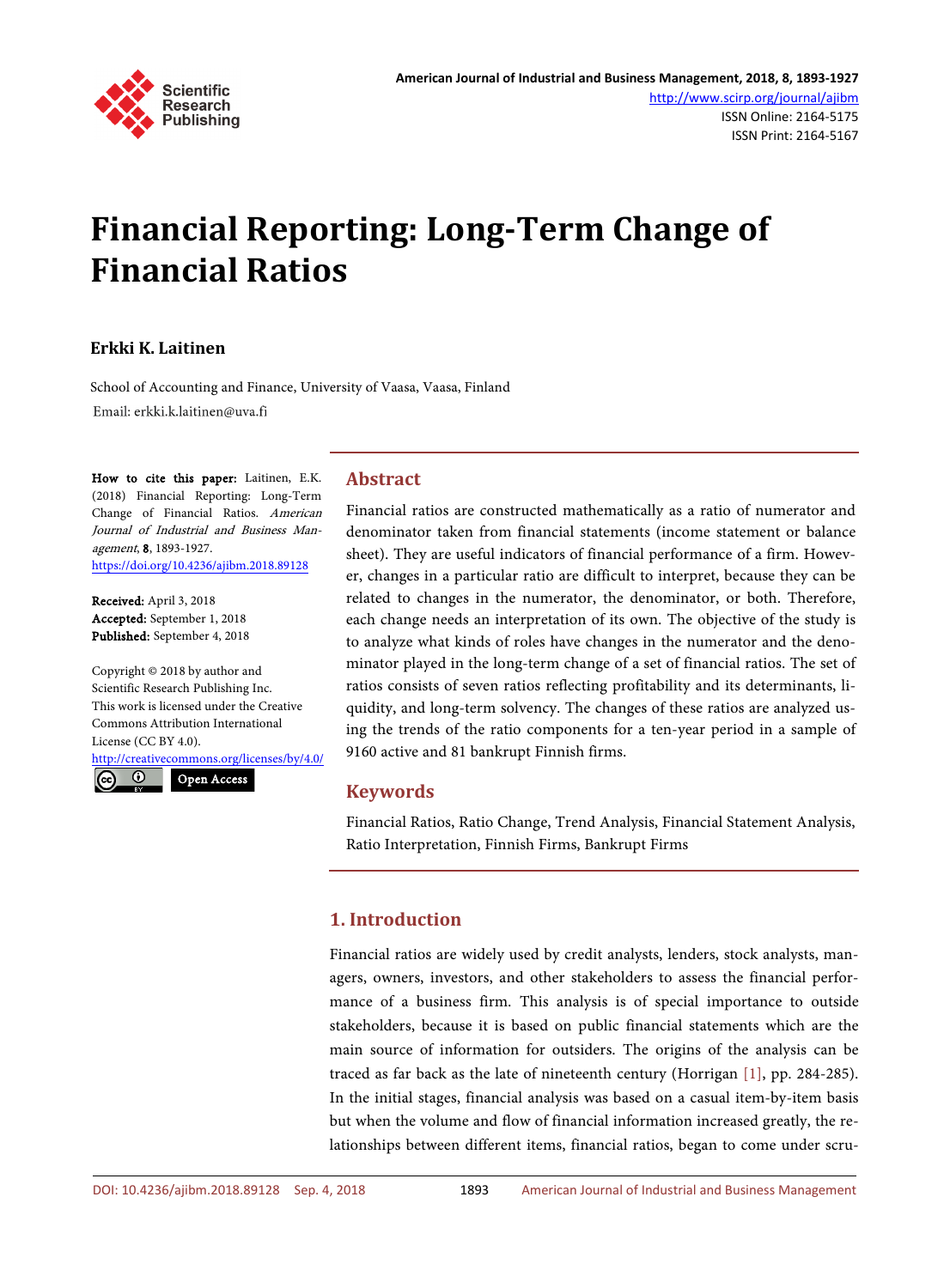

# **Financial Reporting: Long-Term Change of Financial Ratios**

# **Erkki K. Laitinen**

School of Accounting and Finance, University of Vaasa, Vaasa, Finland Email: erkki.k.laitinen@uva.fi

How to cite this paper: Laitinen, E.K. (2018) Financial Reporting: Long-Term Change of Financial Ratios. American Journal of Industrial and Business Management, 8, 1893-1927. <https://doi.org/10.4236/ajibm.2018.89128>

Received: April 3, 2018 Accepted: September 1, 2018 Published: September 4, 2018

Copyright © 2018 by author and Scientific Research Publishing Inc. This work is licensed under the Creative Commons Attribution International License (CC BY 4.0). <http://creativecommons.org/licenses/by/4.0/>

 $\odot$ 

Open Access

# **Abstract**

Financial ratios are constructed mathematically as a ratio of numerator and denominator taken from financial statements (income statement or balance sheet). They are useful indicators of financial performance of a firm. However, changes in a particular ratio are difficult to interpret, because they can be related to changes in the numerator, the denominator, or both. Therefore, each change needs an interpretation of its own. The objective of the study is to analyze what kinds of roles have changes in the numerator and the denominator played in the long-term change of a set of financial ratios. The set of ratios consists of seven ratios reflecting profitability and its determinants, liquidity, and long-term solvency. The changes of these ratios are analyzed using the trends of the ratio components for a ten-year period in a sample of 9160 active and 81 bankrupt Finnish firms.

# **Keywords**

Financial Ratios, Ratio Change, Trend Analysis, Financial Statement Analysis, Ratio Interpretation, Finnish Firms, Bankrupt Firms

# **1. Introduction**

Financial ratios are widely used by credit analysts, lenders, stock analysts, managers, owners, investors, and other stakeholders to assess the financial performance of a business firm. This analysis is of special importance to outside stakeholders, because it is based on public financial statements which are the main source of information for outsiders. The origins of the analysis can be traced as far back as the late of nineteenth century (Horrigan [\[1\],](#page-33-0) pp. 284-285). In the initial stages, financial analysis was based on a casual item-by-item basis but when the volume and flow of financial information increased greatly, the relationships between different items, financial ratios, began to come under scru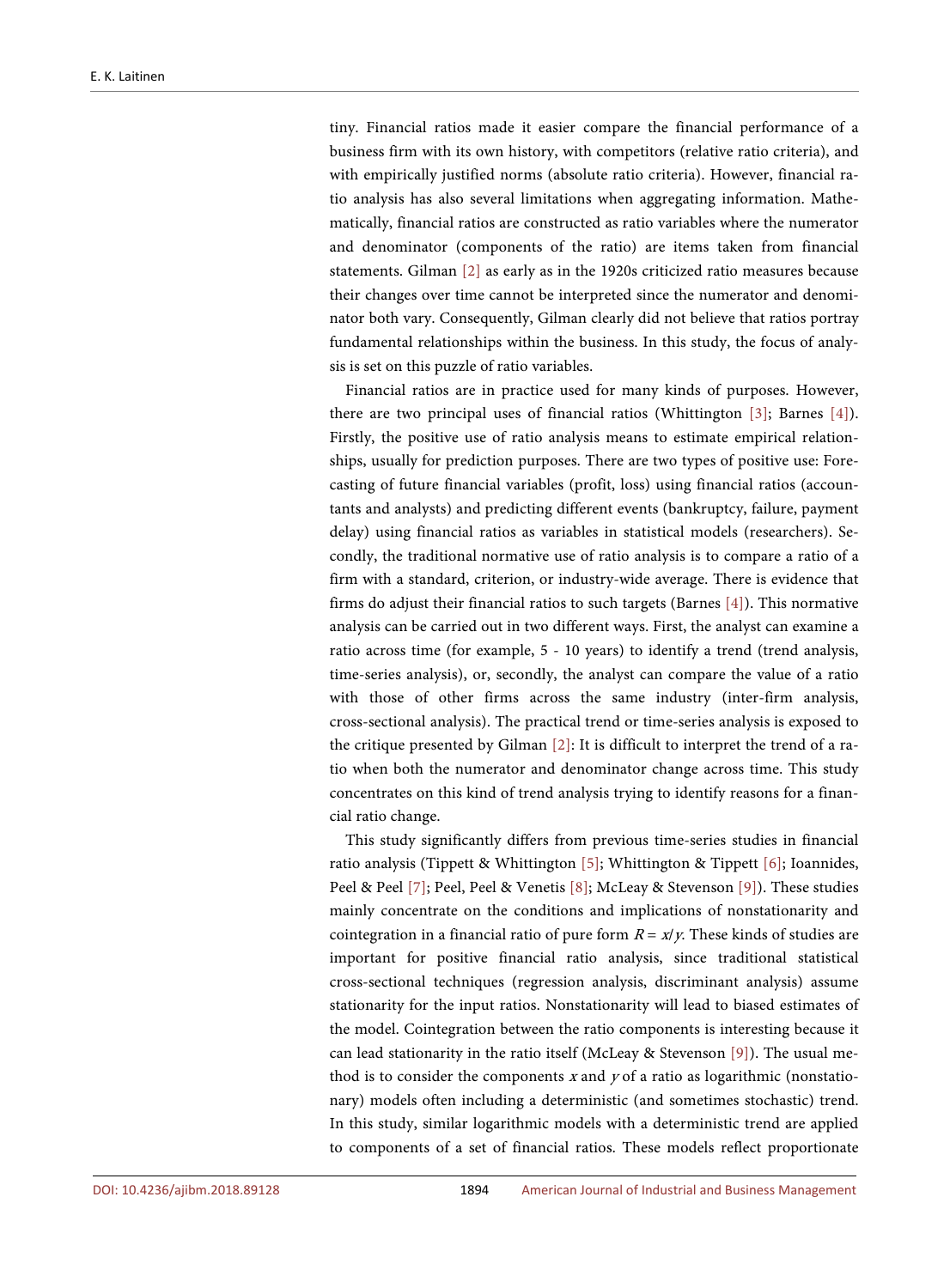tiny. Financial ratios made it easier compare the financial performance of a business firm with its own history, with competitors (relative ratio criteria), and with empirically justified norms (absolute ratio criteria). However, financial ratio analysis has also several limitations when aggregating information. Mathematically, financial ratios are constructed as ratio variables where the numerator and denominator (components of the ratio) are items taken from financial statements. Gilman [\[2\]](#page-33-1) as early as in the 1920s criticized ratio measures because their changes over time cannot be interpreted since the numerator and denominator both vary. Consequently, Gilman clearly did not believe that ratios portray fundamental relationships within the business. In this study, the focus of analysis is set on this puzzle of ratio variables.

Financial ratios are in practice used for many kinds of purposes. However, there are two principal uses of financial ratios (Whittington [\[3\];](#page-33-2) Barnes [\[4\]\)](#page-33-3). Firstly, the positive use of ratio analysis means to estimate empirical relationships, usually for prediction purposes. There are two types of positive use: Forecasting of future financial variables (profit, loss) using financial ratios (accountants and analysts) and predicting different events (bankruptcy, failure, payment delay) using financial ratios as variables in statistical models (researchers). Secondly, the traditional normative use of ratio analysis is to compare a ratio of a firm with a standard, criterion, or industry-wide average. There is evidence that firms do adjust their financial ratios to such targets (Barnes [\[4\]\)](#page-33-3). This normative analysis can be carried out in two different ways. First, the analyst can examine a ratio across time (for example, 5 - 10 years) to identify a trend (trend analysis, time-series analysis), or, secondly, the analyst can compare the value of a ratio with those of other firms across the same industry (inter-firm analysis, cross-sectional analysis). The practical trend or time-series analysis is exposed to the critique presented by Gilman [\[2\]:](#page-33-1) It is difficult to interpret the trend of a ratio when both the numerator and denominator change across time. This study concentrates on this kind of trend analysis trying to identify reasons for a financial ratio change.

This study significantly differs from previous time-series studies in financial ratio analysis (Tippett & Whittington [\[5\];](#page-34-0) Whittington & Tippett [\[6\];](#page-34-1) Ioannides, Peel & Peel [\[7\];](#page-34-2) Peel, Peel & Venetis [\[8\];](#page-34-3) McLeay & Stevenson [\[9\]\)](#page-34-4). These studies mainly concentrate on the conditions and implications of nonstationarity and cointegration in a financial ratio of pure form  $R = x/y$ . These kinds of studies are important for positive financial ratio analysis, since traditional statistical cross-sectional techniques (regression analysis, discriminant analysis) assume stationarity for the input ratios. Nonstationarity will lead to biased estimates of the model. Cointegration between the ratio components is interesting because it can lead stationarity in the ratio itself (McLeay & Stevenson [\[9\]\)](#page-34-4). The usual method is to consider the components  $x$  and  $y$  of a ratio as logarithmic (nonstationary) models often including a deterministic (and sometimes stochastic) trend. In this study, similar logarithmic models with a deterministic trend are applied to components of a set of financial ratios. These models reflect proportionate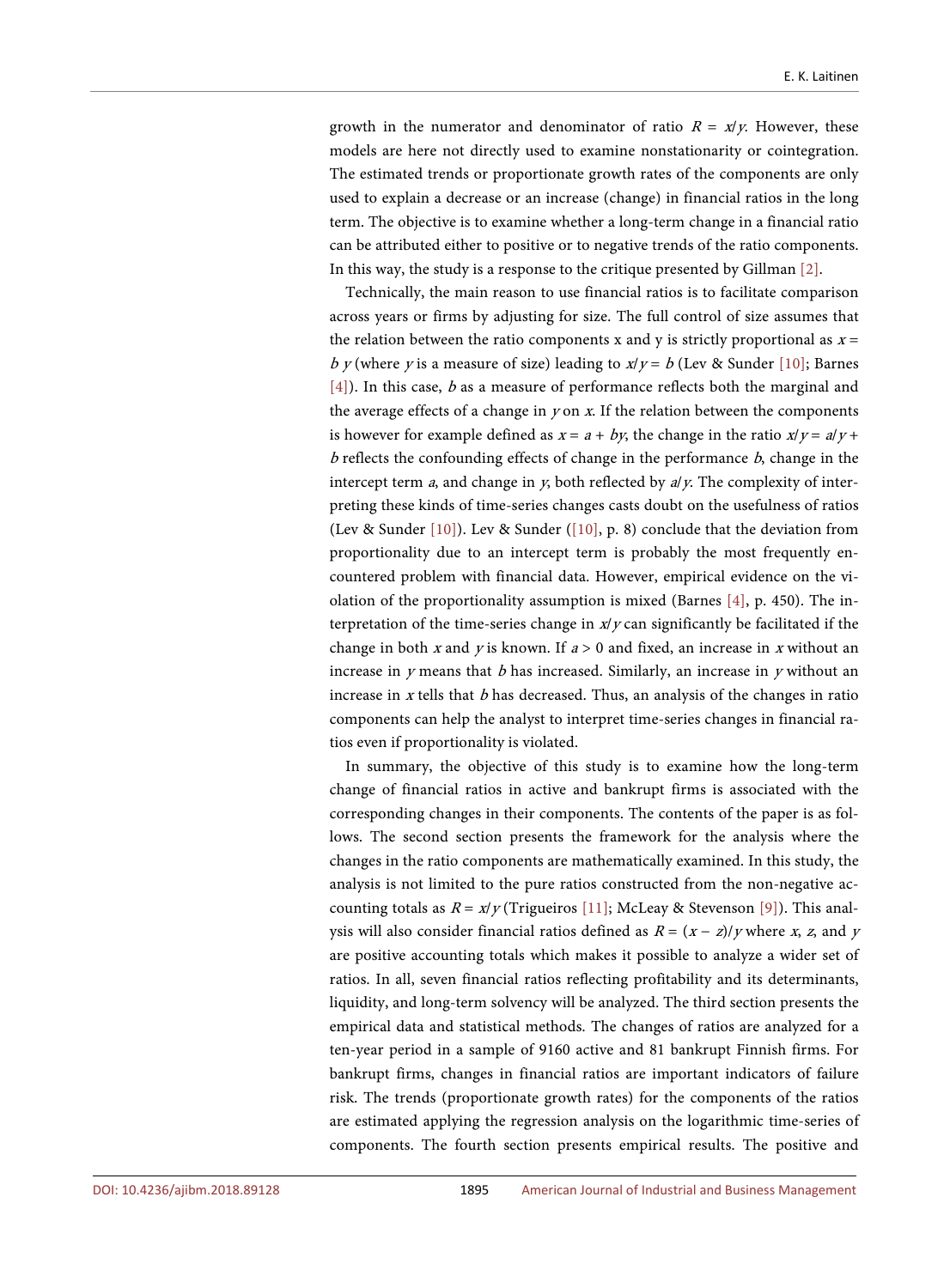growth in the numerator and denominator of ratio  $R = x/y$ . However, these models are here not directly used to examine nonstationarity or cointegration. The estimated trends or proportionate growth rates of the components are only used to explain a decrease or an increase (change) in financial ratios in the long term. The objective is to examine whether a long-term change in a financial ratio can be attributed either to positive or to negative trends of the ratio components. In this way, the study is a response to the critique presented by Gillman [\[2\].](#page-33-1)

Technically, the main reason to use financial ratios is to facilitate comparison across years or firms by adjusting for size. The full control of size assumes that the relation between the ratio components x and y is strictly proportional as  $x =$ b y (where y is a measure of size) leading to  $x/y = b$  (Lev & Sunder [\[10\];](#page-34-5) Barnes [\[4\]\)](#page-33-3). In this case, b as a measure of performance reflects both the marginal and the average effects of a change in  $y$  on  $x$ . If the relation between the components is however for example defined as  $x = a + by$ , the change in the ratio  $x/y = a/y + b$  $b$  reflects the confounding effects of change in the performance  $b$ , change in the intercept term *a*, and change in *y*, both reflected by  $a/y$ . The complexity of interpreting these kinds of time-series changes casts doubt on the usefulness of ratios (Lev & Sunder [\[10\]\)](#page-34-5). Lev & Sunder [\(\[10\],](#page-34-5) p. 8) conclude that the deviation from proportionality due to an intercept term is probably the most frequently encountered problem with financial data. However, empirical evidence on the violation of the proportionality assumption is mixed (Barnes [\[4\],](#page-33-3) p. 450). The interpretation of the time-series change in  $x/y$  can significantly be facilitated if the change in both x and y is known. If  $a > 0$  and fixed, an increase in x without an increase in  $y$  means that  $b$  has increased. Similarly, an increase in  $y$  without an increase in  $x$  tells that  $b$  has decreased. Thus, an analysis of the changes in ratio components can help the analyst to interpret time-series changes in financial ratios even if proportionality is violated.

In summary, the objective of this study is to examine how the long-term change of financial ratios in active and bankrupt firms is associated with the corresponding changes in their components. The contents of the paper is as follows. The second section presents the framework for the analysis where the changes in the ratio components are mathematically examined. In this study, the analysis is not limited to the pure ratios constructed from the non-negative accounting totals as  $R = x/y$  (Trigueiros [\[11\];](#page-34-6) McLeay & Stevenson [\[9\]\)](#page-34-4). This analysis will also consider financial ratios defined as  $R = (x - z)/y$  where x, z, and y are positive accounting totals which makes it possible to analyze a wider set of ratios. In all, seven financial ratios reflecting profitability and its determinants, liquidity, and long-term solvency will be analyzed. The third section presents the empirical data and statistical methods. The changes of ratios are analyzed for a ten-year period in a sample of 9160 active and 81 bankrupt Finnish firms. For bankrupt firms, changes in financial ratios are important indicators of failure risk. The trends (proportionate growth rates) for the components of the ratios are estimated applying the regression analysis on the logarithmic time-series of components. The fourth section presents empirical results. The positive and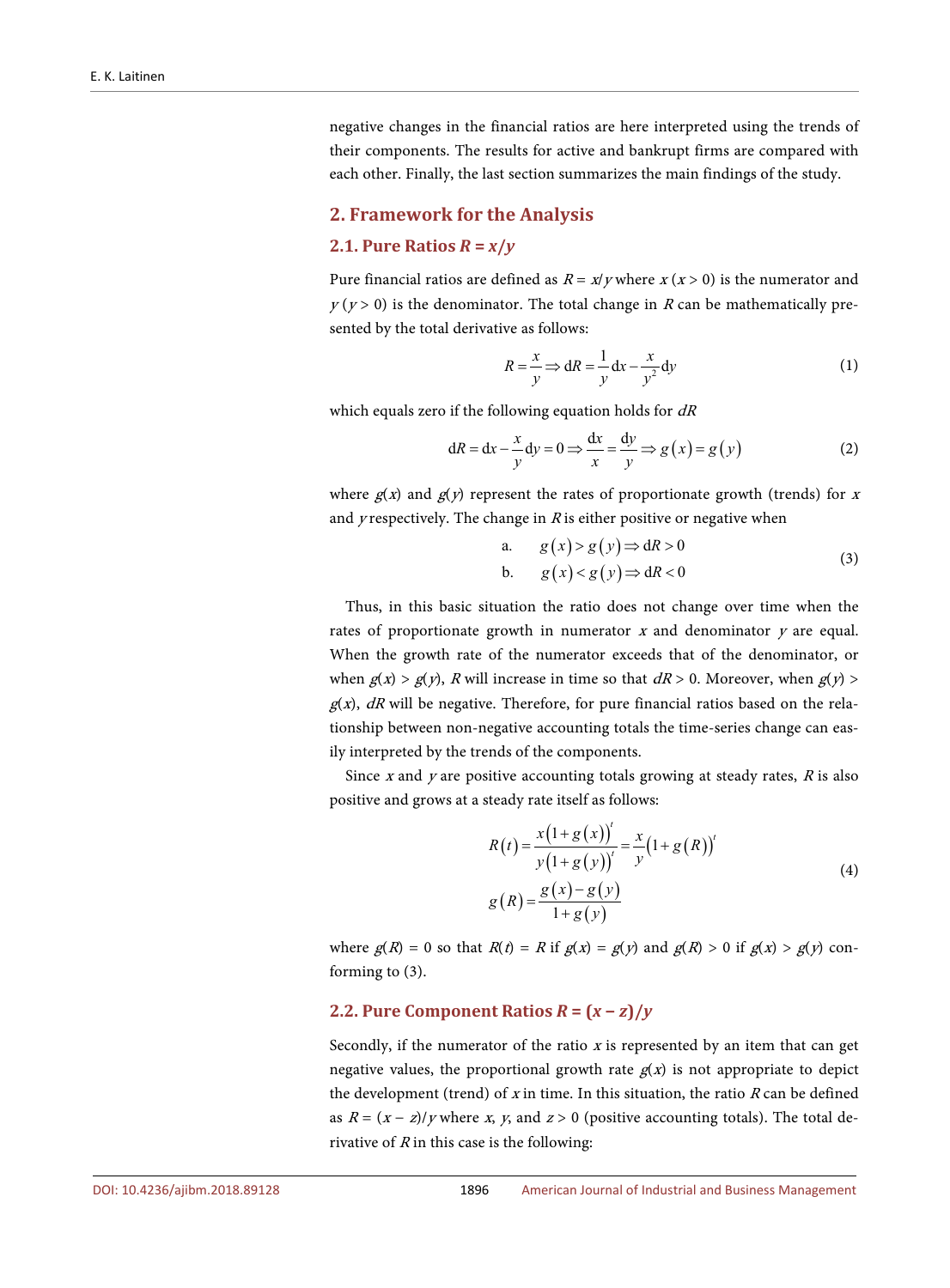negative changes in the financial ratios are here interpreted using the trends of their components. The results for active and bankrupt firms are compared with each other. Finally, the last section summarizes the main findings of the study.

## **2. Framework for the Analysis**

#### **2.1. Pure Ratios**  $R = x/v$

Pure financial ratios are defined as  $R = x/y$  where  $x(x > 0)$  is the numerator and  $y(y>0)$  is the denominator. The total change in R can be mathematically presented by the total derivative as follows:

$$
R = \frac{x}{y} \Longrightarrow dR = \frac{1}{y} dx - \frac{x}{y^2} dy
$$
 (1)

which equals zero if the following equation holds for  $dR$ 

$$
dR = dx - \frac{x}{y} dy = 0 \Longrightarrow \frac{dx}{x} = \frac{dy}{y} \Longrightarrow g(x) = g(y)
$$
 (2)

where  $g(x)$  and  $g(y)$  represent the rates of proportionate growth (trends) for x and *y* respectively. The change in  $R$  is either positive or negative when

a. 
$$
g(x) > g(y) \Rightarrow dR > 0
$$
  
\nb.  $g(x) < g(y) \Rightarrow dR < 0$  (3)

Thus, in this basic situation the ratio does not change over time when the rates of proportionate growth in numerator  $x$  and denominator  $y$  are equal. When the growth rate of the numerator exceeds that of the denominator, or when  $g(x) > g(y)$ , R will increase in time so that  $dR > 0$ . Moreover, when  $g(y) >$  $g(x)$ , dR will be negative. Therefore, for pure financial ratios based on the relationship between non-negative accounting totals the time-series change can easily interpreted by the trends of the components.

Since x and y are positive accounting totals growing at steady rates,  $R$  is also positive and grows at a steady rate itself as follows:

$$
R(t) = \frac{x(1+g(x))'}{y(1+g(y))'} = \frac{x}{y}(1+g(R))'
$$
  
\n
$$
g(R) = \frac{g(x)-g(y)}{1+g(y)}
$$
\n(4)

where  $g(R) = 0$  so that  $R(t) = R$  if  $g(x) = g(y)$  and  $g(R) > 0$  if  $g(x) > g(y)$  conforming to (3).

# **2.2. Pure Component Ratios**  $R = (x - z)/y$

Secondly, if the numerator of the ratio  $x$  is represented by an item that can get negative values, the proportional growth rate  $g(x)$  is not appropriate to depict the development (trend) of x in time. In this situation, the ratio  $R$  can be defined as  $R = (x - z)/y$  where x, y, and  $z > 0$  (positive accounting totals). The total derivative of  $R$  in this case is the following: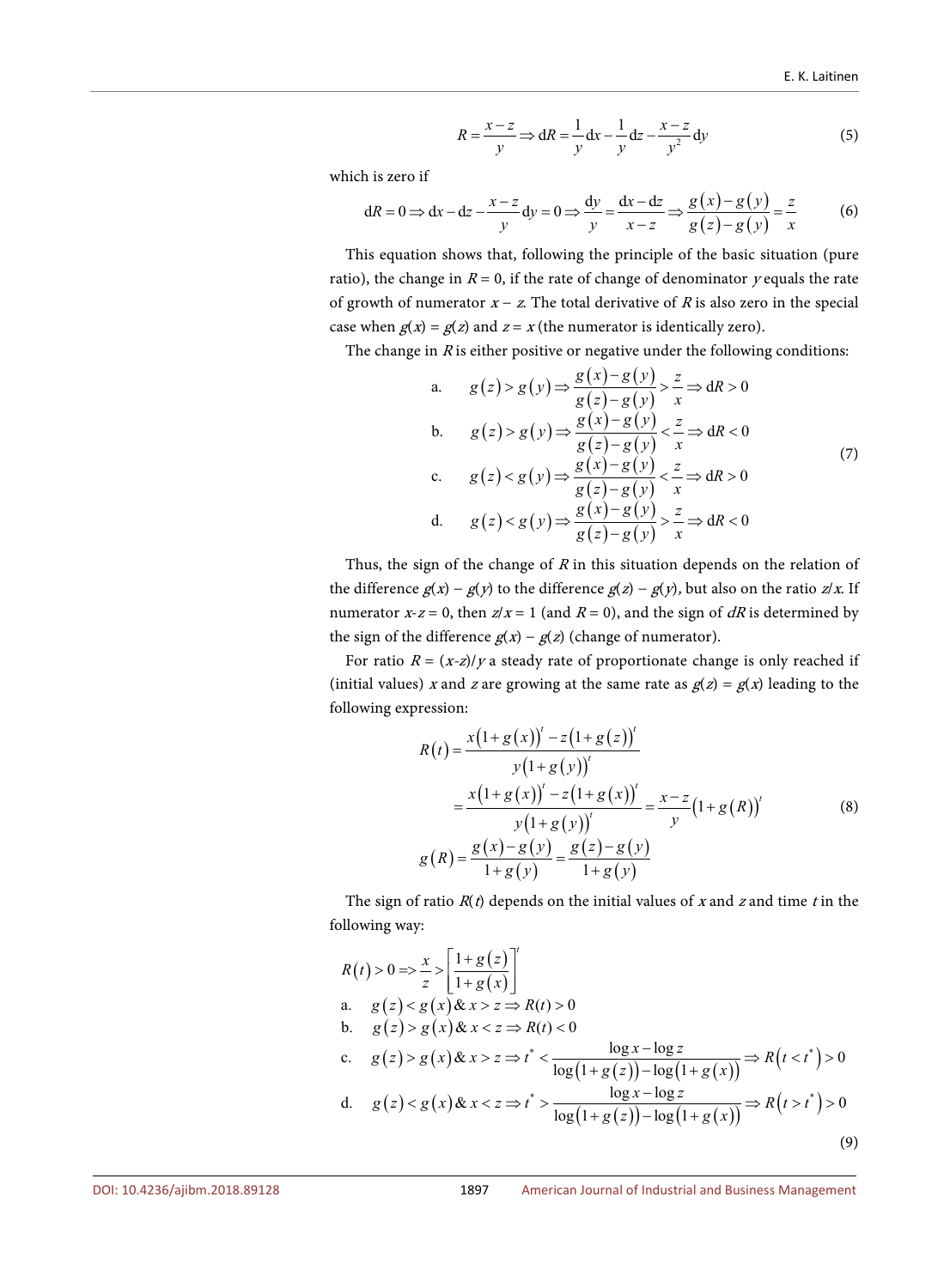$$
R = \frac{x - z}{y} \Rightarrow \mathrm{d}R = \frac{1}{y} \mathrm{d}x - \frac{1}{y} \mathrm{d}z - \frac{x - z}{y^2} \mathrm{d}y \tag{5}
$$

which is zero if

$$
dR = 0 \Rightarrow dx - dz - \frac{x - z}{y} dy = 0 \Rightarrow \frac{dy}{y} = \frac{dx - dz}{x - z} \Rightarrow \frac{g(x) - g(y)}{g(z) - g(y)} = \frac{z}{x}
$$
(6)

This equation shows that, following the principle of the basic situation (pure ratio), the change in  $R = 0$ , if the rate of change of denominator y equals the rate of growth of numerator  $x - z$ . The total derivative of R is also zero in the special case when  $g(x) = g(z)$  and  $z = x$  (the numerator is identically zero).

The change in  $R$  is either positive or negative under the following conditions:

a. 
$$
g(z) > g(y) \Rightarrow \frac{g(x) - g(y)}{g(z) - g(y)} > \frac{z}{x} \Rightarrow dR > 0
$$
  
\nb.  $g(z) > g(y) \Rightarrow \frac{g(x) - g(y)}{g(z) - g(y)} < \frac{z}{x} \Rightarrow dR < 0$   
\nc.  $g(z) < g(y) \Rightarrow \frac{g(x) - g(y)}{g(z) - g(y)} < \frac{z}{x} \Rightarrow dR > 0$   
\nd.  $g(z) < g(y) \Rightarrow \frac{g(x) - g(y)}{g(z) - g(y)} > \frac{z}{x} \Rightarrow dR < 0$  (7)

Thus, the sign of the change of  $R$  in this situation depends on the relation of the difference  $g(x) - g(y)$  to the difference  $g(z) - g(y)$ , but also on the ratio  $z/x$ . If numerator  $x-z = 0$ , then  $z/x = 1$  (and  $R = 0$ ), and the sign of dR is determined by the sign of the difference  $g(x) - g(z)$  (change of numerator).

For ratio  $R = (x-z)/y$  a steady rate of proportionate change is only reached if (initial values) x and z are growing at the same rate as  $g(z) = g(x)$  leading to the following expression:

$$
R(t) = \frac{x(1+g(x))' - z(1+g(z))'}{y(1+g(y))'}
$$
  
= 
$$
\frac{x(1+g(x))' - z(1+g(x))'}{y(1+g(y))'} = \frac{x-z}{y}(1+g(R))'
$$
 (8)  

$$
g(R) = \frac{g(x)-g(y)}{1+g(y)} = \frac{g(z)-g(y)}{1+g(y)}
$$

The sign of ratio  $R(t)$  depends on the initial values of x and z and time t in the following way:

$$
R(t) > 0 \Rightarrow \frac{x}{z} > \left[ \frac{1 + g(z)}{1 + g(x)} \right]^t
$$
  
\na.  $g(z) < g(x) \& x > z \Rightarrow R(t) > 0$   
\nb.  $g(z) > g(x) \& x < z \Rightarrow R(t) < 0$   
\nc.  $g(z) > g(x) \& x > z \Rightarrow t^* < \frac{\log x - \log z}{\log(1 + g(z)) - \log(1 + g(x))} \Rightarrow R(t < t^*) > 0$   
\nd.  $g(z) < g(x) \& x < z \Rightarrow t^* > \frac{\log x - \log z}{\log(1 + g(z)) - \log(1 + g(x))} \Rightarrow R(t > t^*) > 0$  (9)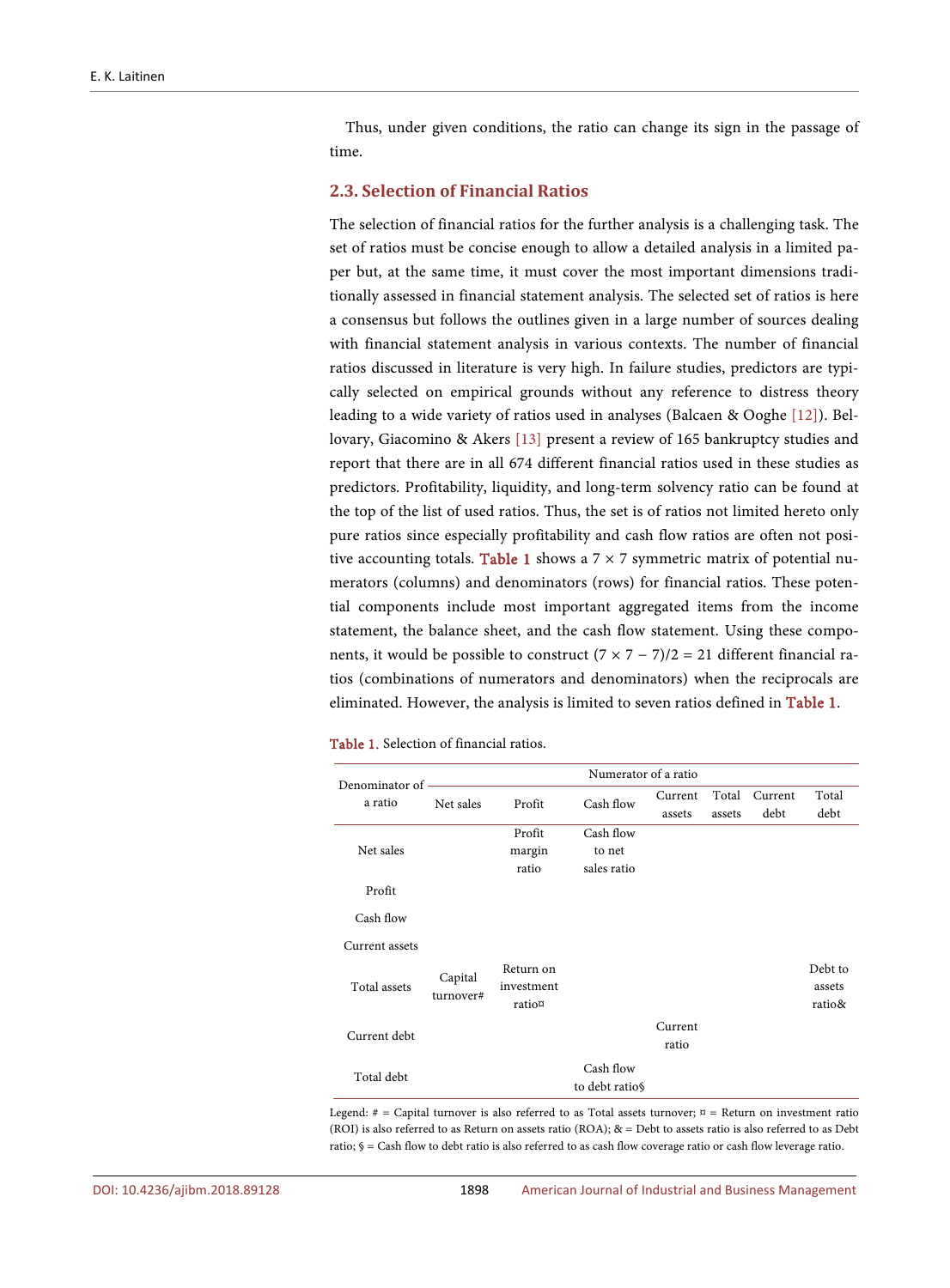Thus, under given conditions, the ratio can change its sign in the passage of time.

# **2.3. Selection of Financial Ratios**

The selection of financial ratios for the further analysis is a challenging task. The set of ratios must be concise enough to allow a detailed analysis in a limited paper but, at the same time, it must cover the most important dimensions traditionally assessed in financial statement analysis. The selected set of ratios is here a consensus but follows the outlines given in a large number of sources dealing with financial statement analysis in various contexts. The number of financial ratios discussed in literature is very high. In failure studies, predictors are typically selected on empirical grounds without any reference to distress theory leading to a wide variety of ratios used in analyses (Balcaen & Ooghe [\[12\]\)](#page-34-7). Bellovary, Giacomino & Akers [\[13\]](#page-34-8) present a review of 165 bankruptcy studies and report that there are in all 674 different financial ratios used in these studies as predictors. Profitability, liquidity, and long-term solvency ratio can be found at the top of the list of used ratios. Thus, the set is of ratios not limited hereto only pure ratios since especially profitability and cash flow ratios are often not posi-tive accounting totals. [Table 1](#page-6-0) shows a  $7 \times 7$  symmetric matrix of potential numerators (columns) and denominators (rows) for financial ratios. These potential components include most important aggregated items from the income statement, the balance sheet, and the cash flow statement. Using these components, it would be possible to construct  $(7 \times 7 - 7)/2 = 21$  different financial ratios (combinations of numerators and denominators) when the reciprocals are eliminated. However, the analysis is limited to seven ratios defined in [Table 1.](#page-6-0)

<span id="page-6-0"></span>Table 1. Selection of financial ratios.

| Numerator of a ratio<br>Denominator of |                      |                                   |                             |         |        |         |                             |
|----------------------------------------|----------------------|-----------------------------------|-----------------------------|---------|--------|---------|-----------------------------|
| a ratio                                | Net sales            | Profit                            | Cash flow                   | Current | Total  | Current | Total                       |
|                                        |                      |                                   |                             | assets  | assets | debt    | debt                        |
|                                        |                      | Profit                            | Cash flow                   |         |        |         |                             |
| Net sales                              |                      | margin                            | to net                      |         |        |         |                             |
|                                        |                      | ratio                             | sales ratio                 |         |        |         |                             |
| Profit                                 |                      |                                   |                             |         |        |         |                             |
| Cash flow                              |                      |                                   |                             |         |        |         |                             |
| Current assets                         |                      |                                   |                             |         |        |         |                             |
| Total assets                           | Capital<br>turnover# | Return on<br>investment<br>ratio¤ |                             |         |        |         | Debt to<br>assets<br>ratio& |
|                                        |                      |                                   |                             |         |        |         |                             |
| Current debt                           |                      |                                   |                             | Current |        |         |                             |
|                                        |                      |                                   |                             | ratio   |        |         |                             |
| Total debt                             |                      |                                   | Cash flow<br>to debt ratios |         |        |         |                             |

Legend: # = Capital turnover is also referred to as Total assets turnover;  $\[\mathfrak{v} =$  Return on investment ratio (ROI) is also referred to as Return on assets ratio (ROA); & = Debt to assets ratio is also referred to as Debt ratio; § = Cash flow to debt ratio is also referred to as cash flow coverage ratio or cash flow leverage ratio.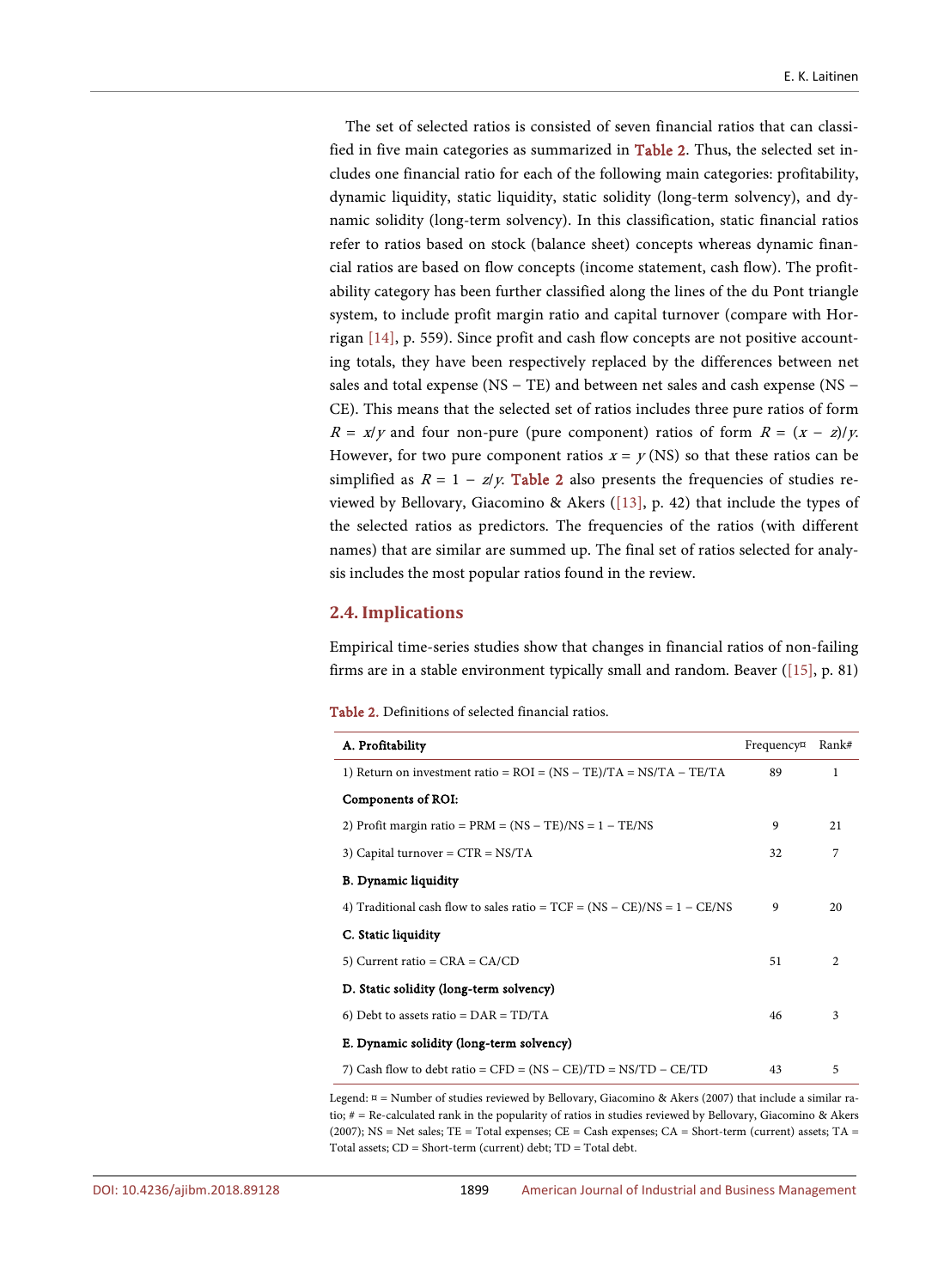The set of selected ratios is consisted of seven financial ratios that can classified in five main categories as summarized in [Table 2.](#page-7-0) Thus, the selected set includes one financial ratio for each of the following main categories: profitability, dynamic liquidity, static liquidity, static solidity (long-term solvency), and dynamic solidity (long-term solvency). In this classification, static financial ratios refer to ratios based on stock (balance sheet) concepts whereas dynamic financial ratios are based on flow concepts (income statement, cash flow). The profitability category has been further classified along the lines of the du Pont triangle system, to include profit margin ratio and capital turnover (compare with Horrigan [\[14\],](#page-34-9) p. 559). Since profit and cash flow concepts are not positive accounting totals, they have been respectively replaced by the differences between net sales and total expense (NS − TE) and between net sales and cash expense (NS − CE). This means that the selected set of ratios includes three pure ratios of form  $R = x/y$  and four non-pure (pure component) ratios of form  $R = (x - z)/y$ . However, for two pure component ratios  $x = y$  (NS) so that these ratios can be simplified as  $R = 1 - z/y$ . [Table 2](#page-7-0) also presents the frequencies of studies reviewed by Bellovary, Giacomino & Akers [\(\[13\],](#page-34-8) p. 42) that include the types of the selected ratios as predictors. The frequencies of the ratios (with different names) that are similar are summed up. The final set of ratios selected for analysis includes the most popular ratios found in the review.

## **2.4. Implications**

Empirical time-series studies show that changes in financial ratios of non-failing firms are in a stable environment typically small and random. Beaver [\(\[15\],](#page-34-10) p. 81)

<span id="page-7-0"></span>

| <b>Table 2.</b> Definitions of selected financial ratios. |
|-----------------------------------------------------------|
|-----------------------------------------------------------|

| A. Profitability                                                           | Frequency¤ | Rank#          |
|----------------------------------------------------------------------------|------------|----------------|
| 1) Return on investment ratio = $ROI = (NS - TE)/TA = NS/TA - TE/TA$       | 89         | 1              |
| Components of ROI:                                                         |            |                |
| 2) Profit margin ratio = $PRM = (NS - TE)/NS = 1 - TE/NS$                  | 9          | 21             |
| 3) Capital turnover = $CTR = NS/TA$                                        | 32         | 7              |
| <b>B.</b> Dynamic liquidity                                                |            |                |
| 4) Traditional cash flow to sales ratio = $TCF = (NS - CE)/NS = 1 - CE/NS$ | 9          | 20             |
| C. Static liquidity                                                        |            |                |
| 5) Current ratio = $CRA = CA/CD$                                           | 51         | $\mathfrak{D}$ |
| D. Static solidity (long-term solvency)                                    |            |                |
| 6) Debt to assets ratio = $\text{DAR} = \text{TD/TA}$                      | 46         | 3              |
| E. Dynamic solidity (long-term solvency)                                   |            |                |
| 7) Cash flow to debt ratio = CFD = $(NS - CE)/TD = NS/TD - CE/TD$          | 43         | 5              |

Legend: ¤ = Number of studies reviewed by Bellovary, Giacomino & Akers (2007) that include a similar ratio; # = Re-calculated rank in the popularity of ratios in studies reviewed by Bellovary, Giacomino & Akers (2007); NS = Net sales; TE = Total expenses; CE = Cash expenses; CA = Short-term (current) assets; TA = Total assets; CD = Short-term (current) debt; TD = Total debt.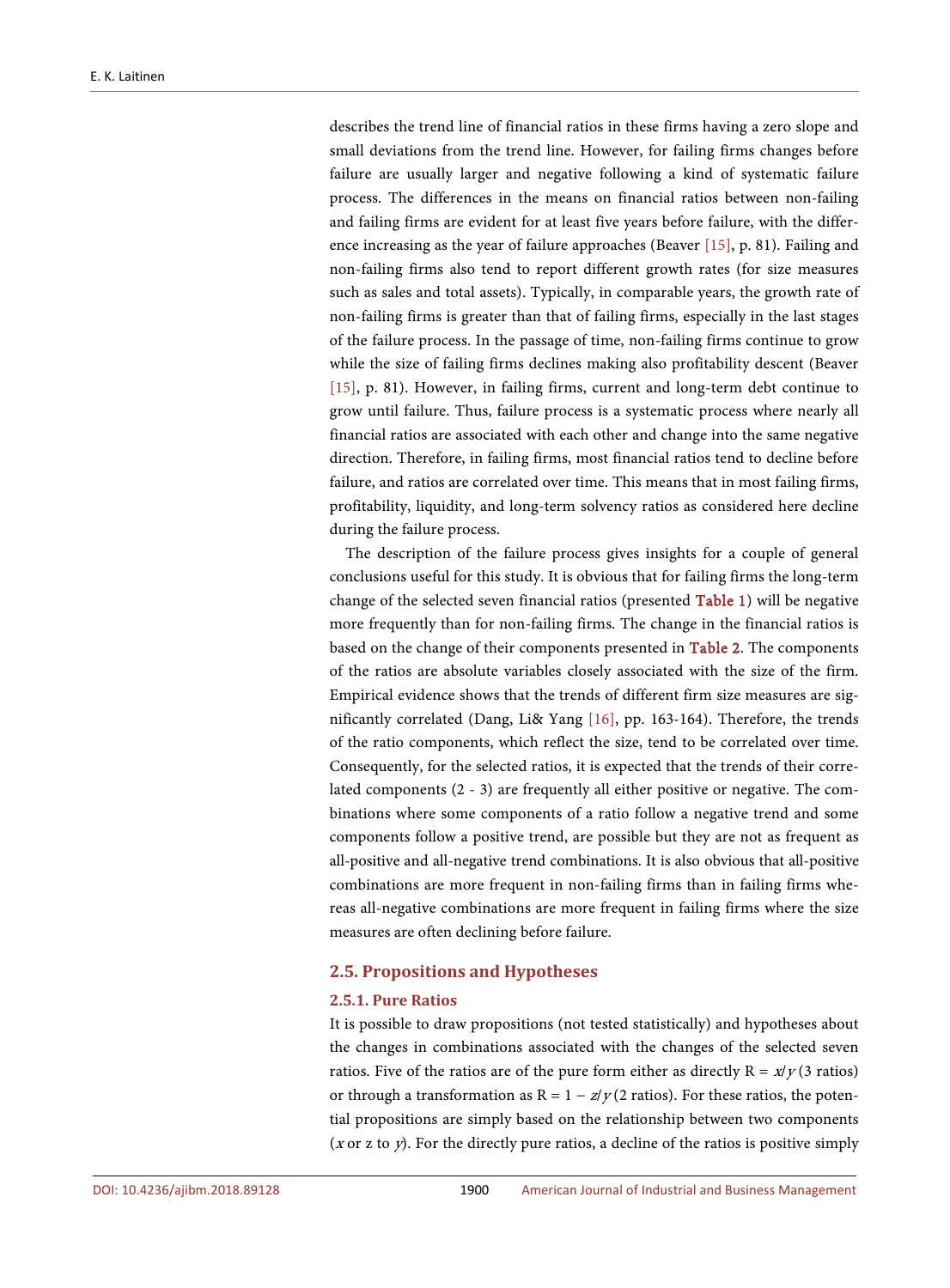describes the trend line of financial ratios in these firms having a zero slope and small deviations from the trend line. However, for failing firms changes before failure are usually larger and negative following a kind of systematic failure process. The differences in the means on financial ratios between non-failing and failing firms are evident for at least five years before failure, with the difference increasing as the year of failure approaches (Beaver [\[15\],](#page-34-10) p. 81). Failing and non-failing firms also tend to report different growth rates (for size measures such as sales and total assets). Typically, in comparable years, the growth rate of non-failing firms is greater than that of failing firms, especially in the last stages of the failure process. In the passage of time, non-failing firms continue to grow while the size of failing firms declines making also profitability descent (Beaver [\[15\],](#page-34-10) p. 81). However, in failing firms, current and long-term debt continue to grow until failure. Thus, failure process is a systematic process where nearly all financial ratios are associated with each other and change into the same negative direction. Therefore, in failing firms, most financial ratios tend to decline before failure, and ratios are correlated over time. This means that in most failing firms, profitability, liquidity, and long-term solvency ratios as considered here decline during the failure process.

The description of the failure process gives insights for a couple of general conclusions useful for this study. It is obvious that for failing firms the long-term change of the selected seven financial ratios (presented [Table 1\)](#page-6-0) will be negative more frequently than for non-failing firms. The change in the financial ratios is based on the change of their components presented in [Table 2.](#page-7-0) The components of the ratios are absolute variables closely associated with the size of the firm. Empirical evidence shows that the trends of different firm size measures are significantly correlated (Dang, Li& Yang [\[16\],](#page-34-11) pp. 163-164). Therefore, the trends of the ratio components, which reflect the size, tend to be correlated over time. Consequently, for the selected ratios, it is expected that the trends of their correlated components (2 - 3) are frequently all either positive or negative. The combinations where some components of a ratio follow a negative trend and some components follow a positive trend, are possible but they are not as frequent as all-positive and all-negative trend combinations. It is also obvious that all-positive combinations are more frequent in non-failing firms than in failing firms whereas all-negative combinations are more frequent in failing firms where the size measures are often declining before failure.

# **2.5. Propositions and Hypotheses**

#### **2.5.1. Pure Ratios**

It is possible to draw propositions (not tested statistically) and hypotheses about the changes in combinations associated with the changes of the selected seven ratios. Five of the ratios are of the pure form either as directly  $R = x/y$  (3 ratios) or through a transformation as  $R = 1 - z/y(2 \text{ ratios})$ . For these ratios, the potential propositions are simply based on the relationship between two components (x or z to  $y$ ). For the directly pure ratios, a decline of the ratios is positive simply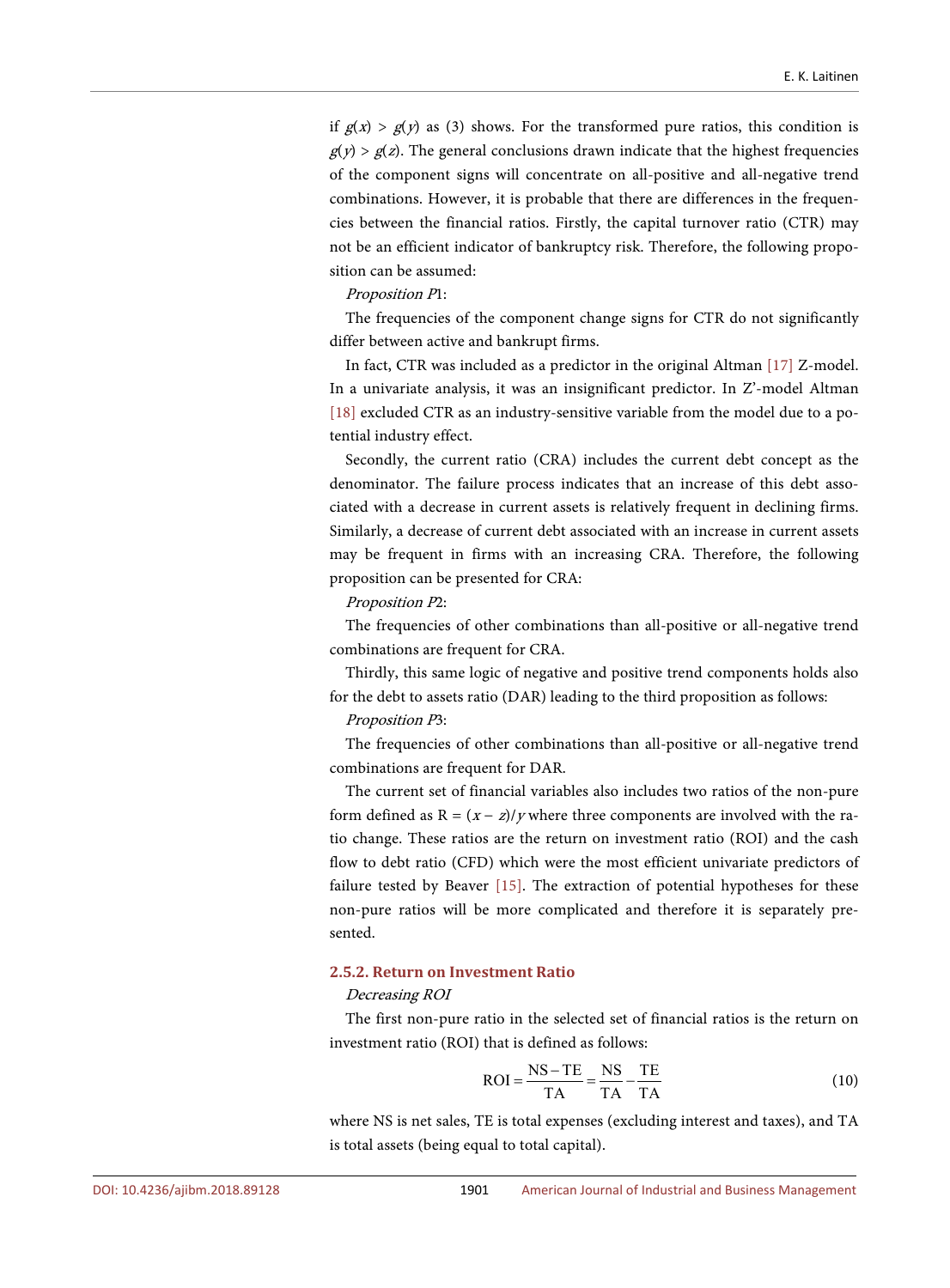if  $g(x) > g(y)$  as (3) shows. For the transformed pure ratios, this condition is  $g(y) > g(z)$ . The general conclusions drawn indicate that the highest frequencies of the component signs will concentrate on all-positive and all-negative trend combinations. However, it is probable that there are differences in the frequencies between the financial ratios. Firstly, the capital turnover ratio (CTR) may not be an efficient indicator of bankruptcy risk. Therefore, the following proposition can be assumed:

#### Proposition P1:

The frequencies of the component change signs for CTR do not significantly differ between active and bankrupt firms.

In fact, CTR was included as a predictor in the original Altman [\[17\]](#page-34-12) Z-model. In a univariate analysis, it was an insignificant predictor. In Z'-model Altman [\[18\]](#page-34-13) excluded CTR as an industry-sensitive variable from the model due to a potential industry effect.

Secondly, the current ratio (CRA) includes the current debt concept as the denominator. The failure process indicates that an increase of this debt associated with a decrease in current assets is relatively frequent in declining firms. Similarly, a decrease of current debt associated with an increase in current assets may be frequent in firms with an increasing CRA. Therefore, the following proposition can be presented for CRA:

#### Proposition P2:

The frequencies of other combinations than all-positive or all-negative trend combinations are frequent for CRA.

Thirdly, this same logic of negative and positive trend components holds also for the debt to assets ratio (DAR) leading to the third proposition as follows:

#### Proposition P3:

The frequencies of other combinations than all-positive or all-negative trend combinations are frequent for DAR.

The current set of financial variables also includes two ratios of the non-pure form defined as  $R = (x - z)/y$  where three components are involved with the ratio change. These ratios are the return on investment ratio (ROI) and the cash flow to debt ratio (CFD) which were the most efficient univariate predictors of failure tested by Beaver [\[15\].](#page-34-10) The extraction of potential hypotheses for these non-pure ratios will be more complicated and therefore it is separately presented.

# **2.5.2. Return on Investment Ratio**

#### Decreasing ROI

The first non-pure ratio in the selected set of financial ratios is the return on investment ratio (ROI) that is defined as follows:

$$
ROI = \frac{NS - TE}{TA} = \frac{NS}{TA} - \frac{TE}{TA}
$$
(10)

where NS is net sales, TE is total expenses (excluding interest and taxes), and TA is total assets (being equal to total capital).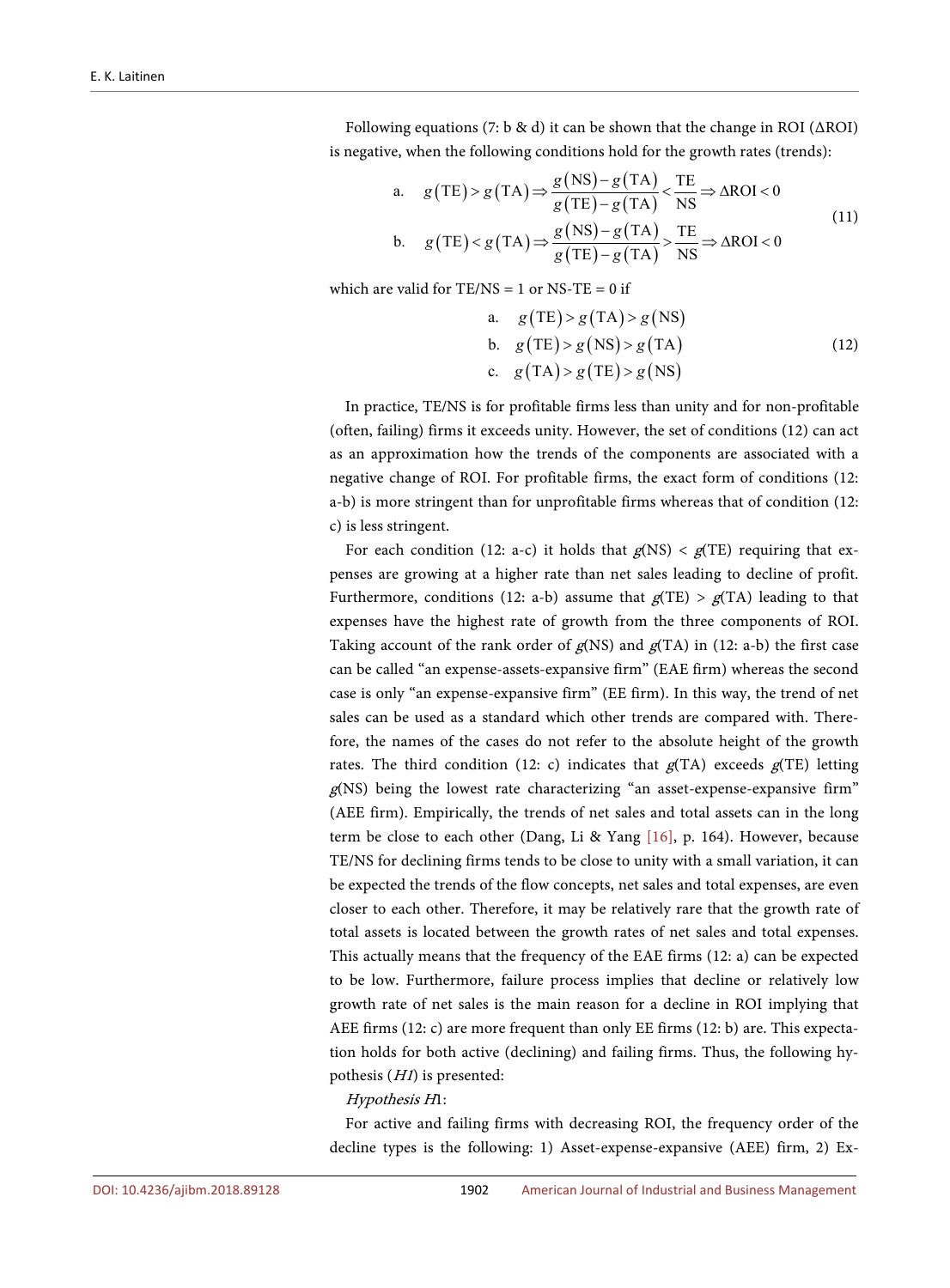Following equations (7: b & d) it can be shown that the change in ROI ( $\triangle$ ROI) is negative, when the following conditions hold for the growth rates (trends):

a. 
$$
g(TE) > g(TA) \Rightarrow \frac{g(NS) - g(TA)}{g(TE) - g(TA)} < \frac{TE}{NS} \Rightarrow \Delta ROI < 0
$$
  
\nb.  $g(TE) < g(TA) \Rightarrow \frac{g(NS) - g(TA)}{g(TE) - g(TA)} > \frac{TE}{NS} \Rightarrow \Delta ROI < 0$  (11)

which are valid for  $TE/NS = 1$  or  $NS-TE = 0$  if

a. 
$$
g(TE) > g(TA) > g(NS)
$$
  
\nb.  $g(TE) > g(NS) > g(TA)$  (12)  
\nc.  $g(TA) > g(TE) > g(NS)$ 

In practice, TE/NS is for profitable firms less than unity and for non-profitable (often, failing) firms it exceeds unity. However, the set of conditions (12) can act as an approximation how the trends of the components are associated with a negative change of ROI. For profitable firms, the exact form of conditions (12: a-b) is more stringent than for unprofitable firms whereas that of condition (12: c) is less stringent.

For each condition (12: a-c) it holds that  $g(NS) < g(TE)$  requiring that expenses are growing at a higher rate than net sales leading to decline of profit. Furthermore, conditions (12: a-b) assume that  $g(TE) > g(TA)$  leading to that expenses have the highest rate of growth from the three components of ROI. Taking account of the rank order of  $g$ (NS) and  $g$ (TA) in (12: a-b) the first case can be called "an expense-assets-expansive firm" (EAE firm) whereas the second case is only "an expense-expansive firm" (EE firm). In this way, the trend of net sales can be used as a standard which other trends are compared with. Therefore, the names of the cases do not refer to the absolute height of the growth rates. The third condition (12: c) indicates that  $g(TA)$  exceeds  $g(TE)$  letting g(NS) being the lowest rate characterizing "an asset-expense-expansive firm" (AEE firm). Empirically, the trends of net sales and total assets can in the long term be close to each other (Dang, Li & Yang [\[16\],](#page-34-11) p. 164). However, because TE/NS for declining firms tends to be close to unity with a small variation, it can be expected the trends of the flow concepts, net sales and total expenses, are even closer to each other. Therefore, it may be relatively rare that the growth rate of total assets is located between the growth rates of net sales and total expenses. This actually means that the frequency of the EAE firms (12: a) can be expected to be low. Furthermore, failure process implies that decline or relatively low growth rate of net sales is the main reason for a decline in ROI implying that AEE firms (12: c) are more frequent than only EE firms (12: b) are. This expectation holds for both active (declining) and failing firms. Thus, the following hypothesis (H1) is presented:

#### Hypothesis H1:

For active and failing firms with decreasing ROI, the frequency order of the decline types is the following: 1) Asset-expense-expansive (AEE) firm, 2) Ex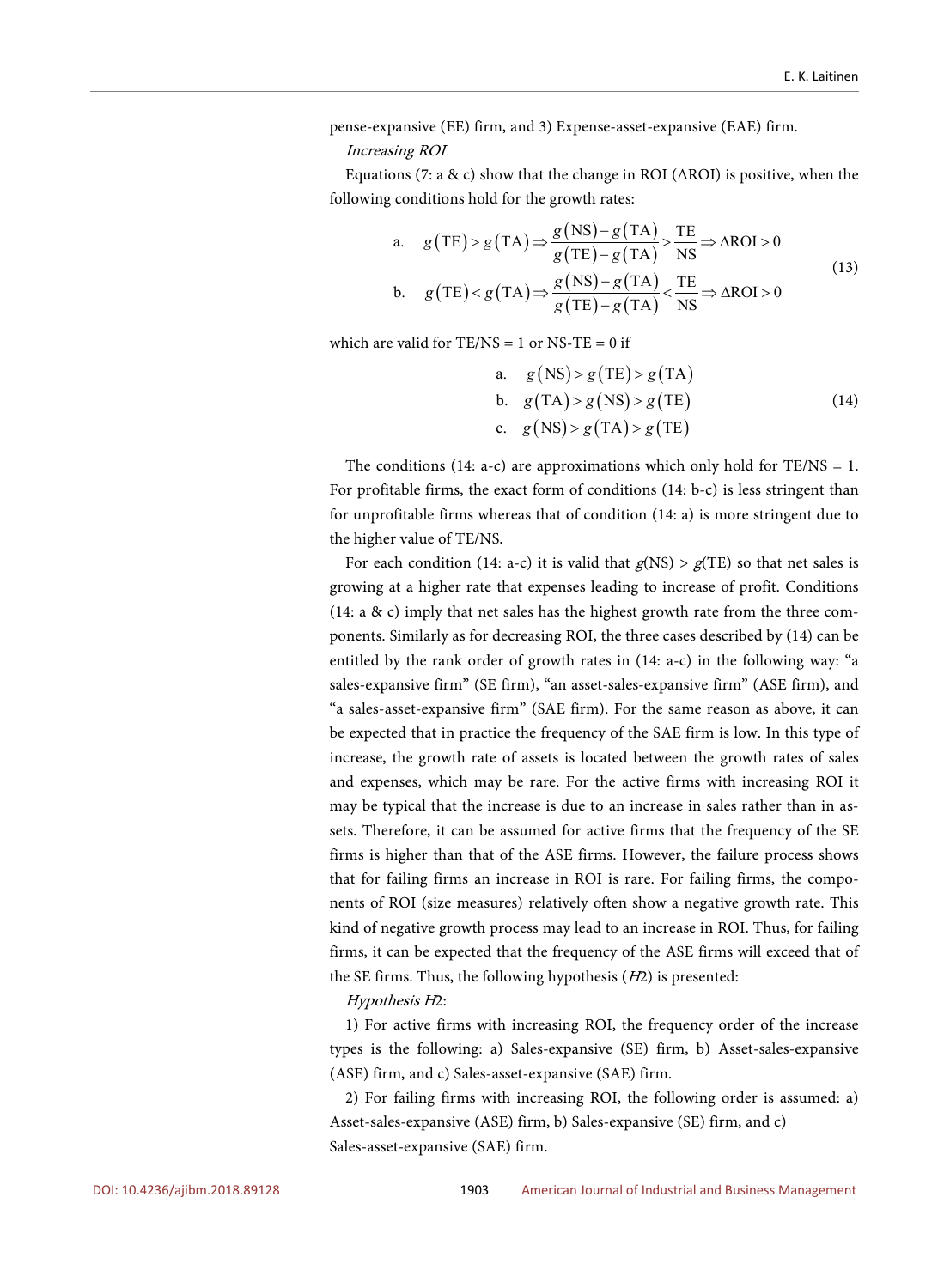pense-expansive (EE) firm, and 3) Expense-asset-expansive (EAE) firm.

#### Increasing ROI

Equations (7: a & c) show that the change in ROI ( $\triangle$ ROI) is positive, when the following conditions hold for the growth rates:

a. 
$$
g(TE) > g(TA) \Rightarrow \frac{g(NS) - g(TA)}{g(TE) - g(TA)} > \frac{TE}{NS} \Rightarrow \Delta ROI > 0
$$
  
\nb.  $g(TE) < g(TA) \Rightarrow \frac{g(NS) - g(TA)}{g(TE) - g(TA)} < \frac{TE}{NS} \Rightarrow \Delta ROI > 0$  (13)

which are valid for  $TE/NS = 1$  or  $NS-TE = 0$  if

a. 
$$
g(NS) > g(TE) > g(TA)
$$
  
\nb.  $g(TA) > g(NS) > g(TE)$   
\nc.  $g(NS) > g(TA) > g(TE)$  (14)

The conditions (14: a-c) are approximations which only hold for  $TE/NS = 1$ . For profitable firms, the exact form of conditions (14: b-c) is less stringent than for unprofitable firms whereas that of condition (14: a) is more stringent due to the higher value of TE/NS.

For each condition (14: a-c) it is valid that  $g(NS) > g(TE)$  so that net sales is growing at a higher rate that expenses leading to increase of profit. Conditions (14: a & c) imply that net sales has the highest growth rate from the three components. Similarly as for decreasing ROI, the three cases described by (14) can be entitled by the rank order of growth rates in (14: a-c) in the following way: "a sales-expansive firm" (SE firm), "an asset-sales-expansive firm" (ASE firm), and "a sales-asset-expansive firm" (SAE firm). For the same reason as above, it can be expected that in practice the frequency of the SAE firm is low. In this type of increase, the growth rate of assets is located between the growth rates of sales and expenses, which may be rare. For the active firms with increasing ROI it may be typical that the increase is due to an increase in sales rather than in assets. Therefore, it can be assumed for active firms that the frequency of the SE firms is higher than that of the ASE firms. However, the failure process shows that for failing firms an increase in ROI is rare. For failing firms, the components of ROI (size measures) relatively often show a negative growth rate. This kind of negative growth process may lead to an increase in ROI. Thus, for failing firms, it can be expected that the frequency of the ASE firms will exceed that of the SE firms. Thus, the following hypothesis  $(H2)$  is presented:

#### Hypothesis H2:

1) For active firms with increasing ROI, the frequency order of the increase types is the following: a) Sales-expansive (SE) firm, b) Asset-sales-expansive (ASE) firm, and c) Sales-asset-expansive (SAE) firm.

2) For failing firms with increasing ROI, the following order is assumed: a) Asset-sales-expansive (ASE) firm, b) Sales-expansive (SE) firm, and c) Sales-asset-expansive (SAE) firm.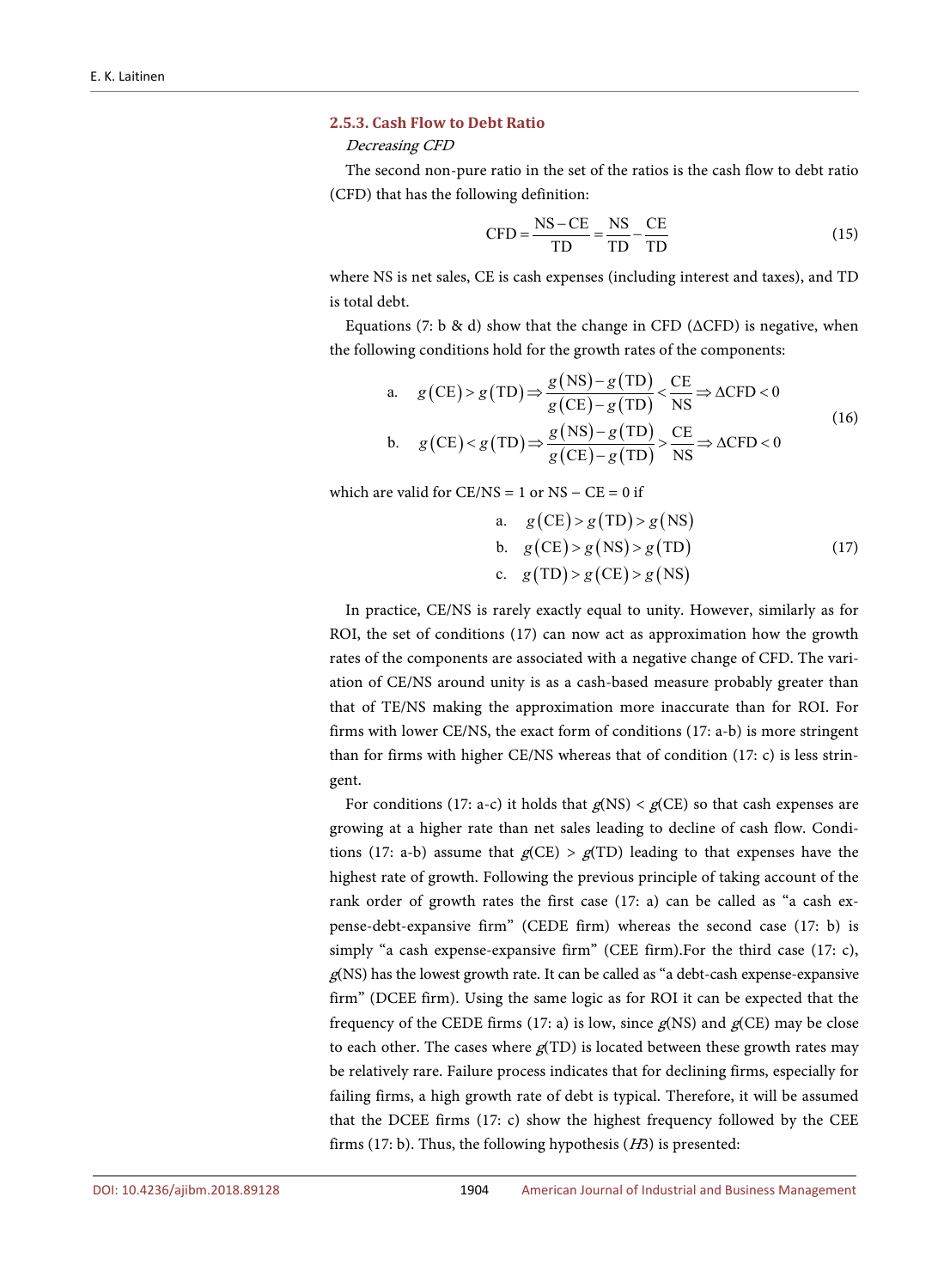#### **2.5.3. Cash Flow to Debt Ratio**

Decreasing CFD

The second non-pure ratio in the set of the ratios is the cash flow to debt ratio (CFD) that has the following definition:

$$
CFD = \frac{NS - CE}{TD} = \frac{NS}{TD} - \frac{CE}{TD}
$$
\n(15)

where NS is net sales, CE is cash expenses (including interest and taxes), and TD is total debt.

Equations (7: b & d) show that the change in CFD ( $\triangle$ CFD) is negative, when the following conditions hold for the growth rates of the components:

a. 
$$
g(CE) > g(TD) \Rightarrow \frac{g(NS) - g(TD)}{g(CE) - g(TD)} < \frac{CE}{NS} \Rightarrow \Delta CFD < 0
$$
  
\nb.  $g(CE) < g(TD) \Rightarrow \frac{g(NS) - g(TD)}{g(CE) - g(TD)} > \frac{CE}{NS} \Rightarrow \Delta CFD < 0$  (16)

which are valid for  $CE/NS = 1$  or  $NS - CE = 0$  if

a. 
$$
g(CE) > g(TD) > g(NS)
$$
  
\nb.  $g(CE) > g(NS) > g(TD)$  (17)  
\nc.  $g(TD) > g(CE) > g(NS)$ 

In practice, CE/NS is rarely exactly equal to unity. However, similarly as for ROI, the set of conditions (17) can now act as approximation how the growth rates of the components are associated with a negative change of CFD. The variation of CE/NS around unity is as a cash-based measure probably greater than that of TE/NS making the approximation more inaccurate than for ROI. For firms with lower CE/NS, the exact form of conditions (17: a-b) is more stringent than for firms with higher CE/NS whereas that of condition (17: c) is less stringent.

For conditions (17: a-c) it holds that  $g$ (NS) <  $g$ (CE) so that cash expenses are growing at a higher rate than net sales leading to decline of cash flow. Conditions (17: a-b) assume that  $g(CE) > g(TD)$  leading to that expenses have the highest rate of growth. Following the previous principle of taking account of the rank order of growth rates the first case (17: a) can be called as "a cash expense-debt-expansive firm" (CEDE firm) whereas the second case (17: b) is simply "a cash expense-expansive firm" (CEE firm). For the third case (17: c), g(NS) has the lowest growth rate. It can be called as "a debt-cash expense-expansive firm" (DCEE firm). Using the same logic as for ROI it can be expected that the frequency of the CEDE firms (17: a) is low, since  $g$ (NS) and  $g$ (CE) may be close to each other. The cases where  $g(TD)$  is located between these growth rates may be relatively rare. Failure process indicates that for declining firms, especially for failing firms, a high growth rate of debt is typical. Therefore, it will be assumed that the DCEE firms (17: c) show the highest frequency followed by the CEE firms (17: b). Thus, the following hypothesis  $(H3)$  is presented: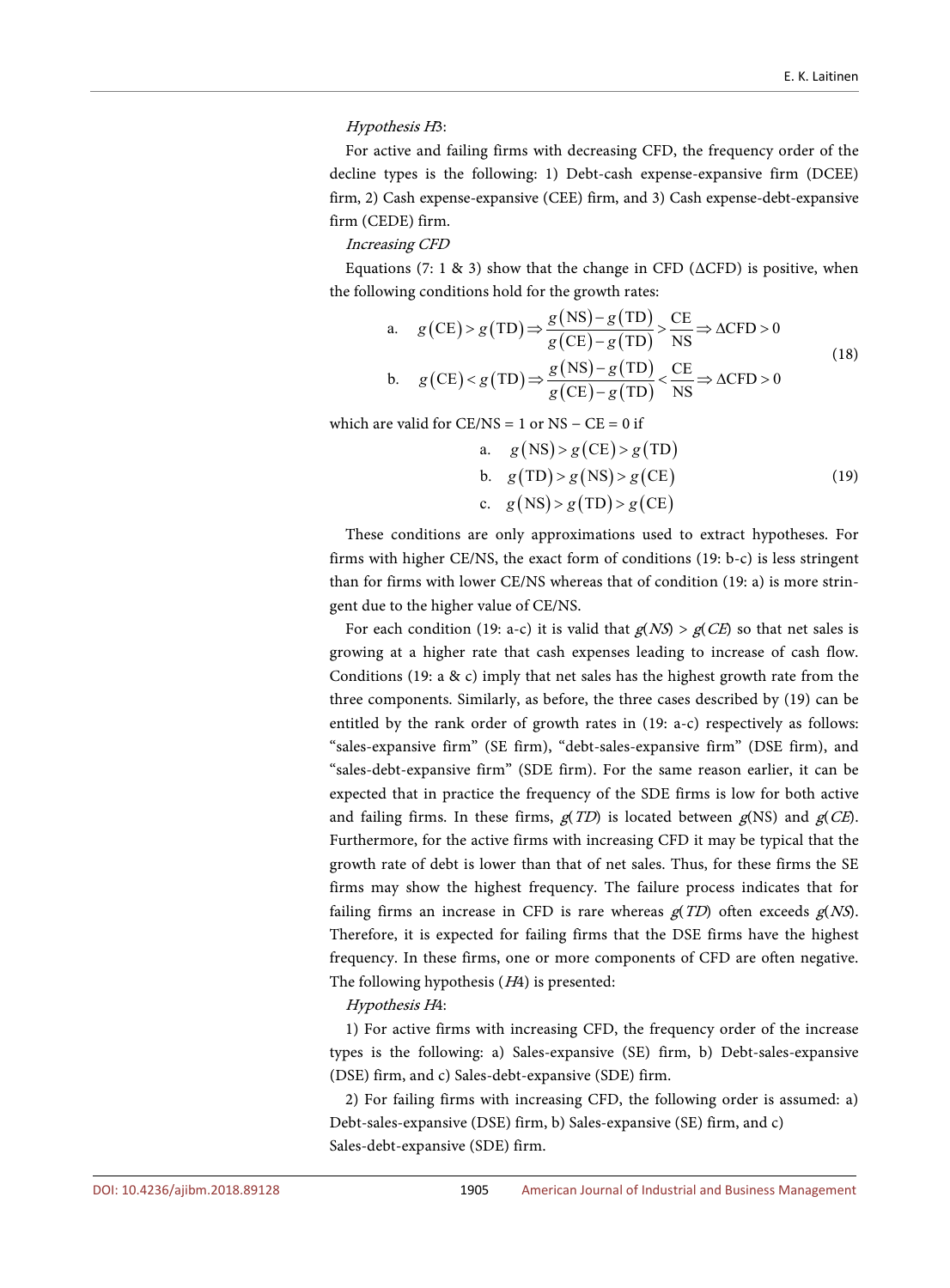#### Hypothesis H3:

For active and failing firms with decreasing CFD, the frequency order of the decline types is the following: 1) Debt-cash expense-expansive firm (DCEE) firm, 2) Cash expense-expansive (CEE) firm, and 3) Cash expense-debt-expansive firm (CEDE) firm.

#### Increasing CFD

Equations (7: 1 & 3) show that the change in CFD ( $\triangle$ CFD) is positive, when the following conditions hold for the growth rates:

a. 
$$
g(CE) > g(TD) \Rightarrow \frac{g(NS) - g(TD)}{g(CE) - g(TD)} > \frac{CE}{NS} \Rightarrow \Delta CFD > 0
$$
  
\nb.  $g(CE) < g(TD) \Rightarrow \frac{g(NS) - g(TD)}{g(CE) - g(TD)} < \frac{CE}{NS} \Rightarrow \Delta CFD > 0$  (18)

which are valid for  $CE/NS = 1$  or  $NS - CE = 0$  if

a. 
$$
g(NS) > g(CE) > g(TD)
$$
  
\nb.  $g(TD) > g(NS) > g(CE)$   
\nc.  $g(NS) > g(TD) > g(CE)$  (19)

These conditions are only approximations used to extract hypotheses. For firms with higher CE/NS, the exact form of conditions (19: b-c) is less stringent than for firms with lower CE/NS whereas that of condition (19: a) is more stringent due to the higher value of CE/NS.

For each condition (19: a-c) it is valid that  $g(NS) > g(CE)$  so that net sales is growing at a higher rate that cash expenses leading to increase of cash flow. Conditions (19: a & c) imply that net sales has the highest growth rate from the three components. Similarly, as before, the three cases described by (19) can be entitled by the rank order of growth rates in (19: a-c) respectively as follows: "sales-expansive firm" (SE firm), "debt-sales-expansive firm" (DSE firm), and "sales-debt-expansive firm" (SDE firm). For the same reason earlier, it can be expected that in practice the frequency of the SDE firms is low for both active and failing firms. In these firms,  $g(TD)$  is located between  $g(NS)$  and  $g(CE)$ . Furthermore, for the active firms with increasing CFD it may be typical that the growth rate of debt is lower than that of net sales. Thus, for these firms the SE firms may show the highest frequency. The failure process indicates that for failing firms an increase in CFD is rare whereas  $g(TD)$  often exceeds  $g(NS)$ . Therefore, it is expected for failing firms that the DSE firms have the highest frequency. In these firms, one or more components of CFD are often negative. The following hypothesis (H4) is presented:

#### Hypothesis H4:

1) For active firms with increasing CFD, the frequency order of the increase types is the following: a) Sales-expansive (SE) firm, b) Debt-sales-expansive (DSE) firm, and c) Sales-debt-expansive (SDE) firm.

2) For failing firms with increasing CFD, the following order is assumed: a) Debt-sales-expansive (DSE) firm, b) Sales-expansive (SE) firm, and c) Sales-debt-expansive (SDE) firm.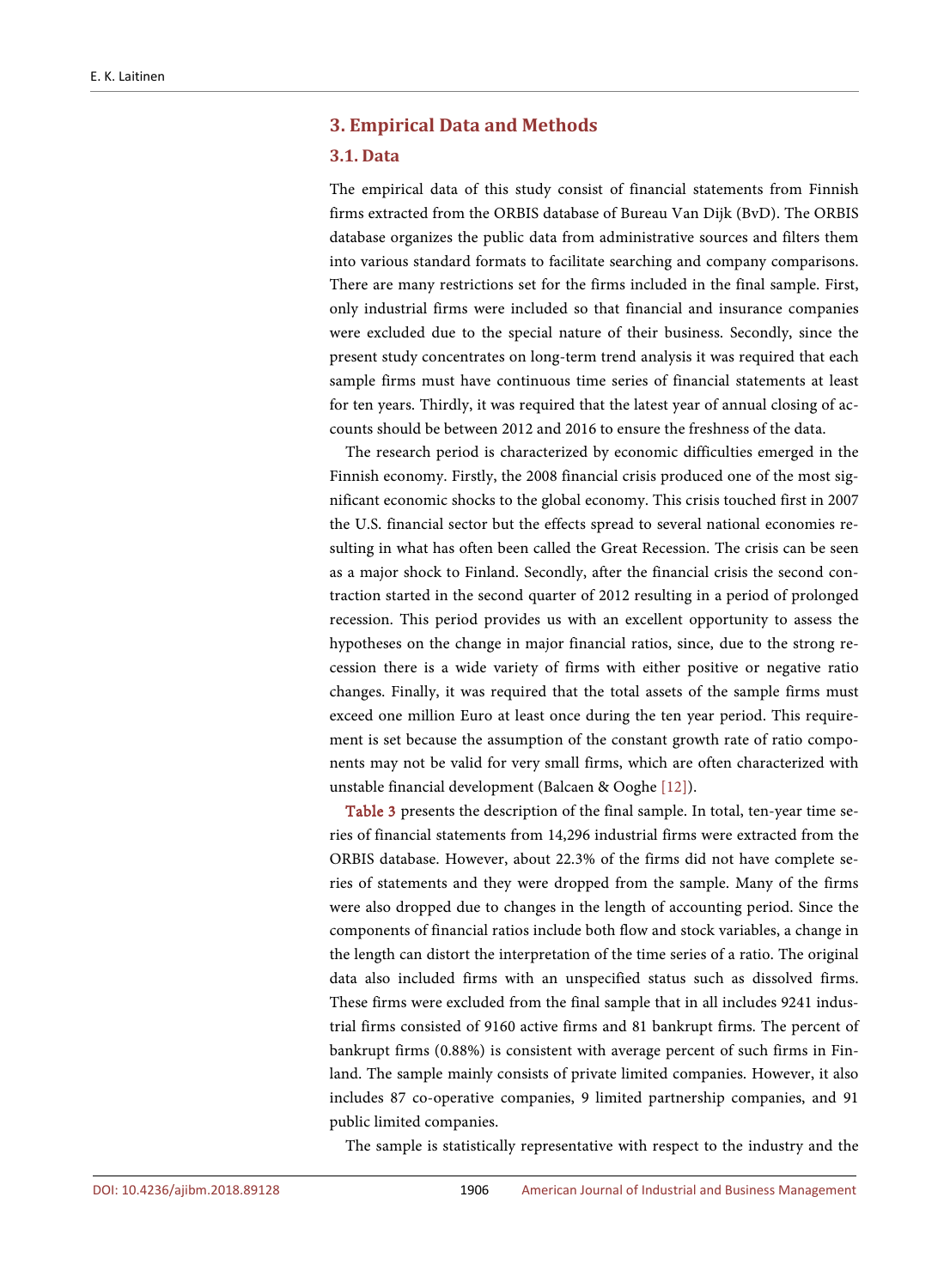# **3. Empirical Data and Methods**

#### **3.1. Data**

The empirical data of this study consist of financial statements from Finnish firms extracted from the ORBIS database of Bureau Van Dijk (BvD). The ORBIS database organizes the public data from administrative sources and filters them into various standard formats to facilitate searching and company comparisons. There are many restrictions set for the firms included in the final sample. First, only industrial firms were included so that financial and insurance companies were excluded due to the special nature of their business. Secondly, since the present study concentrates on long-term trend analysis it was required that each sample firms must have continuous time series of financial statements at least for ten years. Thirdly, it was required that the latest year of annual closing of accounts should be between 2012 and 2016 to ensure the freshness of the data.

The research period is characterized by economic difficulties emerged in the Finnish economy. Firstly, the 2008 financial crisis produced one of the most significant economic shocks to the global economy. This crisis touched first in 2007 the U.S. financial sector but the effects spread to several national economies resulting in what has often been called the Great Recession. The crisis can be seen as a major shock to Finland. Secondly, after the financial crisis the second contraction started in the second quarter of 2012 resulting in a period of prolonged recession. This period provides us with an excellent opportunity to assess the hypotheses on the change in major financial ratios, since, due to the strong recession there is a wide variety of firms with either positive or negative ratio changes. Finally, it was required that the total assets of the sample firms must exceed one million Euro at least once during the ten year period. This requirement is set because the assumption of the constant growth rate of ratio components may not be valid for very small firms, which are often characterized with unstable financial development (Balcaen & Ooghe [\[12\]\)](#page-34-7).

[Table 3](#page-15-0) presents the description of the final sample. In total, ten-year time series of financial statements from 14,296 industrial firms were extracted from the ORBIS database. However, about 22.3% of the firms did not have complete series of statements and they were dropped from the sample. Many of the firms were also dropped due to changes in the length of accounting period. Since the components of financial ratios include both flow and stock variables, a change in the length can distort the interpretation of the time series of a ratio. The original data also included firms with an unspecified status such as dissolved firms. These firms were excluded from the final sample that in all includes 9241 industrial firms consisted of 9160 active firms and 81 bankrupt firms. The percent of bankrupt firms (0.88%) is consistent with average percent of such firms in Finland. The sample mainly consists of private limited companies. However, it also includes 87 co-operative companies, 9 limited partnership companies, and 91 public limited companies.

The sample is statistically representative with respect to the industry and the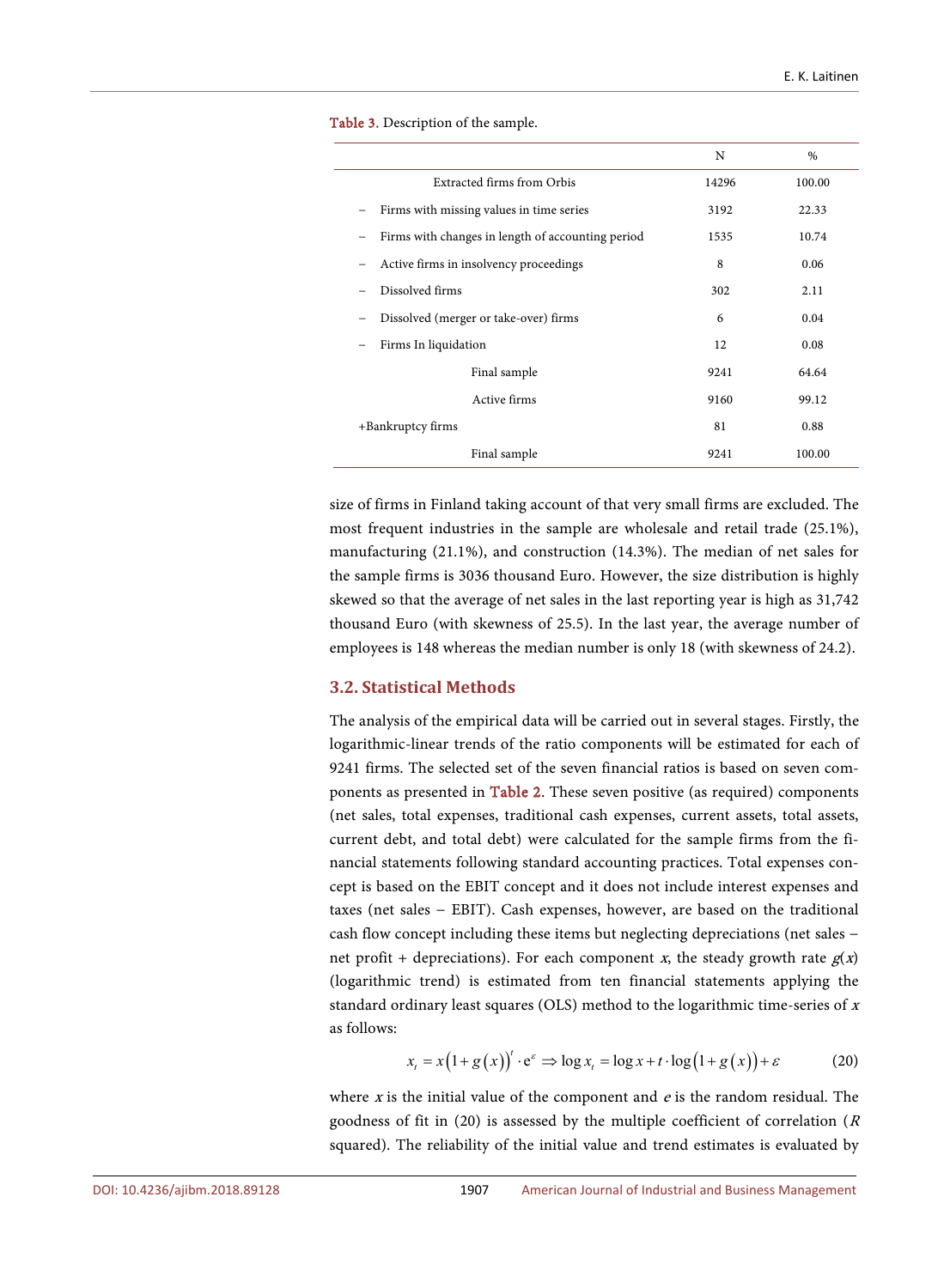|                                                   | N     | $\frac{0}{0}$ |
|---------------------------------------------------|-------|---------------|
| <b>Extracted firms from Orbis</b>                 | 14296 | 100.00        |
| Firms with missing values in time series          | 3192  | 22.33         |
| Firms with changes in length of accounting period | 1535  | 10.74         |
| Active firms in insolvency proceedings            | 8     | 0.06          |
| Dissolved firms                                   | 302   | 2.11          |
| Dissolved (merger or take-over) firms             | 6     | 0.04          |
| Firms In liquidation                              | 12    | 0.08          |
| Final sample                                      | 9241  | 64.64         |
| Active firms                                      | 9160  | 99.12         |
| +Bankruptcy firms                                 | 81    | 0.88          |
| Final sample                                      | 9241  | 100.00        |

<span id="page-15-0"></span>Table 3. Description of the sample.

size of firms in Finland taking account of that very small firms are excluded. The most frequent industries in the sample are wholesale and retail trade (25.1%), manufacturing (21.1%), and construction (14.3%). The median of net sales for the sample firms is 3036 thousand Euro. However, the size distribution is highly skewed so that the average of net sales in the last reporting year is high as 31,742 thousand Euro (with skewness of 25.5). In the last year, the average number of employees is 148 whereas the median number is only 18 (with skewness of 24.2).

## **3.2. Statistical Methods**

The analysis of the empirical data will be carried out in several stages. Firstly, the logarithmic-linear trends of the ratio components will be estimated for each of 9241 firms. The selected set of the seven financial ratios is based on seven components as presented in [Table 2.](#page-7-0) These seven positive (as required) components (net sales, total expenses, traditional cash expenses, current assets, total assets, current debt, and total debt) were calculated for the sample firms from the financial statements following standard accounting practices. Total expenses concept is based on the EBIT concept and it does not include interest expenses and taxes (net sales − EBIT). Cash expenses, however, are based on the traditional cash flow concept including these items but neglecting depreciations (net sales − net profit + depreciations). For each component x, the steady growth rate  $g(x)$ (logarithmic trend) is estimated from ten financial statements applying the standard ordinary least squares (OLS) method to the logarithmic time-series of <sup>x</sup> as follows:

$$
x_{t} = x(1 + g(x))' \cdot e^{\varepsilon} \Rightarrow \log x_{t} = \log x + t \cdot \log(1 + g(x)) + \varepsilon
$$
 (20)

where  $x$  is the initial value of the component and  $e$  is the random residual. The goodness of fit in (20) is assessed by the multiple coefficient of correlation ( $R$ ) squared). The reliability of the initial value and trend estimates is evaluated by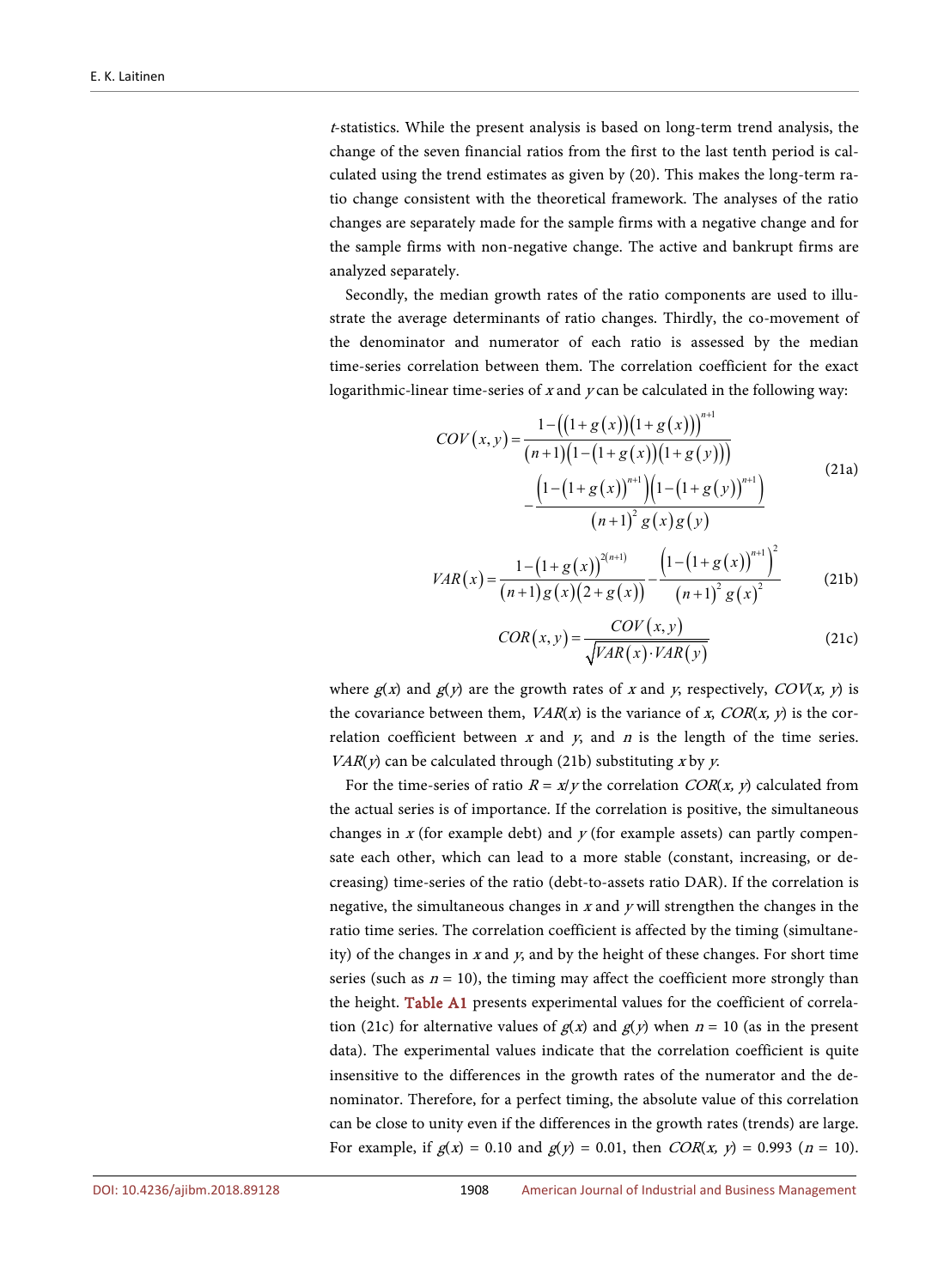<sup>t</sup>-statistics. While the present analysis is based on long-term trend analysis, the change of the seven financial ratios from the first to the last tenth period is calculated using the trend estimates as given by (20). This makes the long-term ratio change consistent with the theoretical framework. The analyses of the ratio changes are separately made for the sample firms with a negative change and for the sample firms with non-negative change. The active and bankrupt firms are analyzed separately.

Secondly, the median growth rates of the ratio components are used to illustrate the average determinants of ratio changes. Thirdly, the co-movement of the denominator and numerator of each ratio is assessed by the median time-series correlation between them. The correlation coefficient for the exact logarithmic-linear time-series of  $x$  and  $y$  can be calculated in the following way:

$$
COV(x,y) = \frac{1 - ((1 + g(x))(1 + g(x)))^{n+1}}{(n+1)(1 - (1 + g(x))(1 + g(y)))} - \frac{(1 - (1 + g(x))^{n+1})(1 - (1 + g(y))^{n+1})}{(n+1)^2 g(x)g(y)}
$$
(21a)

$$
VAR(x) = \frac{1 - (1 + g(x))^{2(n+1)}}{(n+1)g(x)(2+g(x))} - \frac{(1 - (1 + g(x))^{n+1})^2}{(n+1)^2 g(x)^2}
$$
(21b)

$$
COR(x, y) = \frac{COV(x, y)}{\sqrt{VAR(x) \cdot VAR(y)}}
$$
(21c)

where  $g(x)$  and  $g(y)$  are the growth rates of x and y, respectively,  $COV(x, y)$  is the covariance between them,  $VAR(x)$  is the variance of x,  $COR(x, y)$  is the correlation coefficient between  $x$  and  $y$ , and  $n$  is the length of the time series.  $VAR(y)$  can be calculated through (21b) substituting x by y.

For the time-series of ratio  $R = x/y$  the correlation COR(x, y) calculated from the actual series is of importance. If the correlation is positive, the simultaneous changes in  $x$  (for example debt) and  $y$  (for example assets) can partly compensate each other, which can lead to a more stable (constant, increasing, or decreasing) time-series of the ratio (debt-to-assets ratio DAR). If the correlation is negative, the simultaneous changes in  $x$  and  $y$  will strengthen the changes in the ratio time series. The correlation coefficient is affected by the timing (simultaneity) of the changes in  $x$  and  $y$ , and by the height of these changes. For short time series (such as  $n = 10$ ), the timing may affect the coefficient more strongly than the height. [Table A1](#page-35-0) presents experimental values for the coefficient of correlation (21c) for alternative values of  $g(x)$  and  $g(y)$  when  $n = 10$  (as in the present data). The experimental values indicate that the correlation coefficient is quite insensitive to the differences in the growth rates of the numerator and the denominator. Therefore, for a perfect timing, the absolute value of this correlation can be close to unity even if the differences in the growth rates (trends) are large. For example, if  $g(x) = 0.10$  and  $g(y) = 0.01$ , then  $COR(x, y) = 0.993$  (n = 10).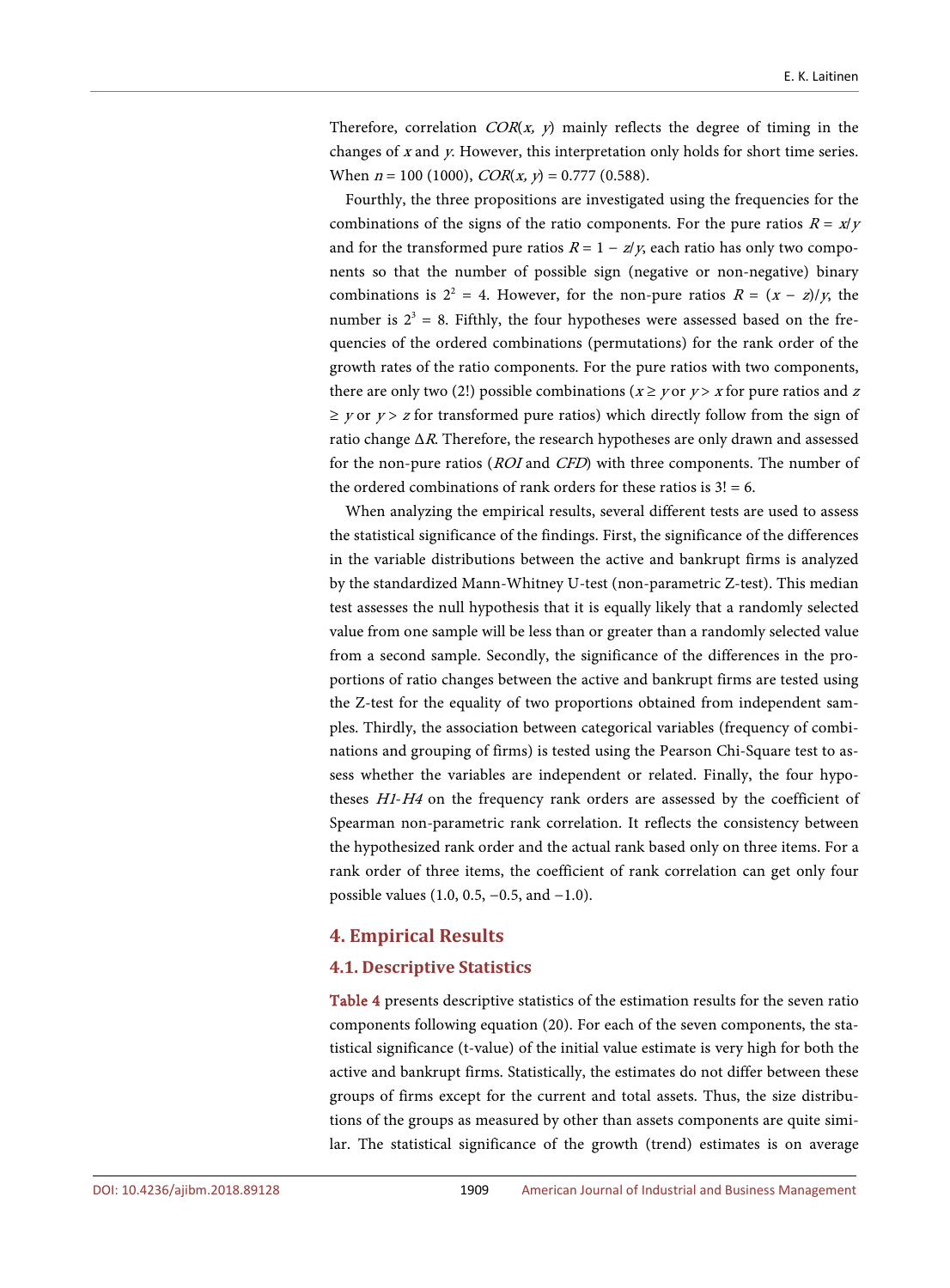Therefore, correlation  $COR(x, y)$  mainly reflects the degree of timing in the changes of  $x$  and  $y$ . However, this interpretation only holds for short time series. When  $n = 100$  (1000),  $COR(x, y) = 0.777$  (0.588).

Fourthly, the three propositions are investigated using the frequencies for the combinations of the signs of the ratio components. For the pure ratios  $R = x/y$ and for the transformed pure ratios  $R = 1 - z/y$ , each ratio has only two components so that the number of possible sign (negative or non-negative) binary combinations is  $2^2 = 4$ . However, for the non-pure ratios  $R = (x - z)/y$ , the number is  $2<sup>3</sup> = 8$ . Fifthly, the four hypotheses were assessed based on the frequencies of the ordered combinations (permutations) for the rank order of the growth rates of the ratio components. For the pure ratios with two components, there are only two (2!) possible combinations ( $x \ge y$  or  $y > x$  for pure ratios and z  $\geq$  y or y  $>$  z for transformed pure ratios) which directly follow from the sign of ratio change  $\Delta R$ . Therefore, the research hypotheses are only drawn and assessed for the non-pure ratios (ROI and CFD) with three components. The number of the ordered combinations of rank orders for these ratios is  $3! = 6$ .

When analyzing the empirical results, several different tests are used to assess the statistical significance of the findings. First, the significance of the differences in the variable distributions between the active and bankrupt firms is analyzed by the standardized Mann-Whitney U-test (non-parametric Z-test). This median test assesses the null hypothesis that it is equally likely that a randomly selected value from one sample will be less than or greater than a randomly selected value from a second sample. Secondly, the significance of the differences in the proportions of ratio changes between the active and bankrupt firms are tested using the Z-test for the equality of two proportions obtained from independent samples. Thirdly, the association between categorical variables (frequency of combinations and grouping of firms) is tested using the Pearson Chi-Square test to assess whether the variables are independent or related. Finally, the four hypotheses H1-H4 on the frequency rank orders are assessed by the coefficient of Spearman non-parametric rank correlation. It reflects the consistency between the hypothesized rank order and the actual rank based only on three items. For a rank order of three items, the coefficient of rank correlation can get only four possible values (1.0, 0.5, −0.5, and −1.0).

# **4. Empirical Results**

#### **4.1. Descriptive Statistics**

[Table 4](#page-18-0) presents descriptive statistics of the estimation results for the seven ratio components following equation (20). For each of the seven components, the statistical significance (t-value) of the initial value estimate is very high for both the active and bankrupt firms. Statistically, the estimates do not differ between these groups of firms except for the current and total assets. Thus, the size distributions of the groups as measured by other than assets components are quite similar. The statistical significance of the growth (trend) estimates is on average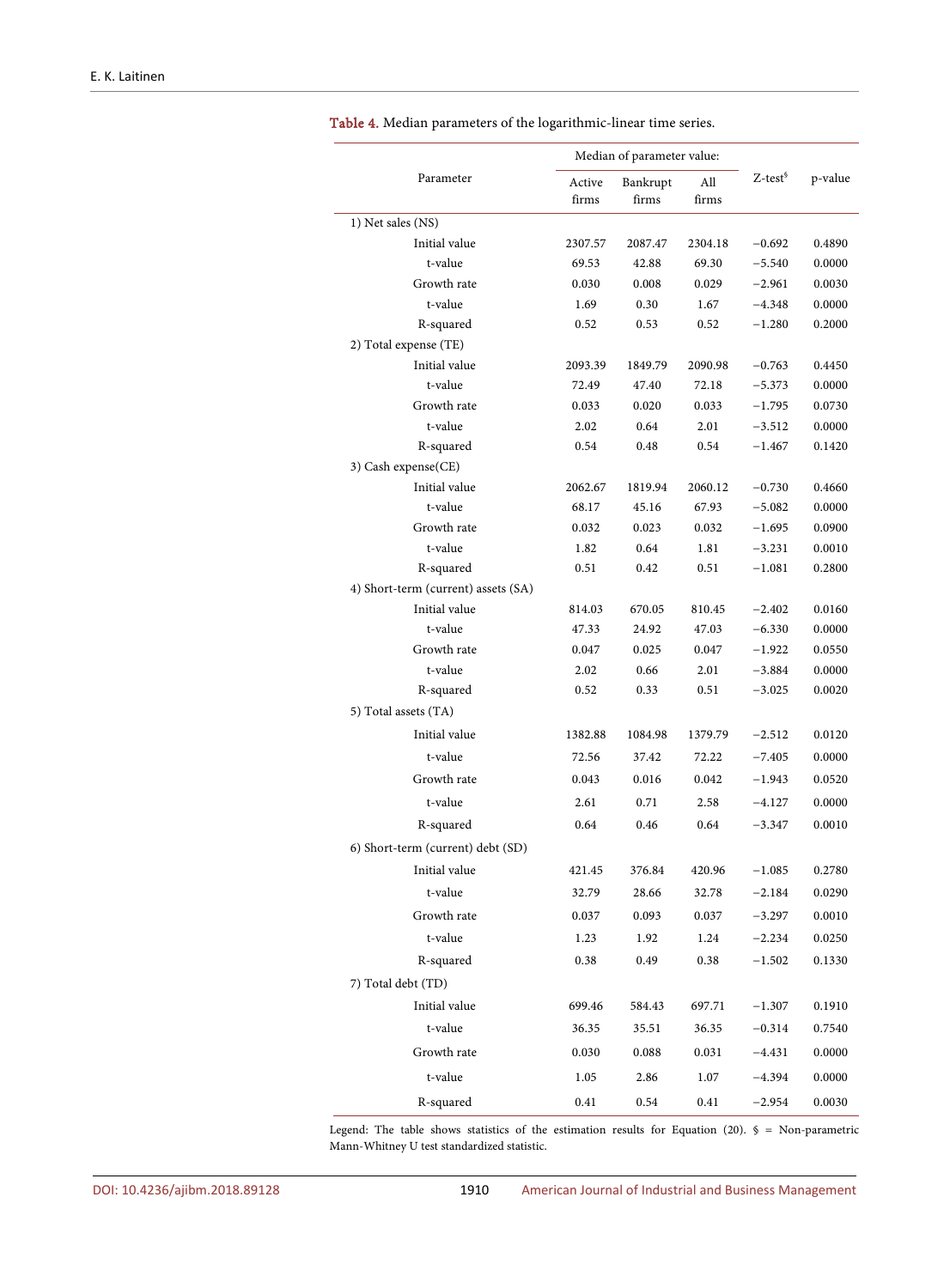|                                     |                 | Median of parameter value: |              |               |         |
|-------------------------------------|-----------------|----------------------------|--------------|---------------|---------|
| Parameter                           | Active<br>firms | Bankrupt<br>firms          | All<br>firms | $Z-test^{\S}$ | p-value |
| 1) Net sales (NS)                   |                 |                            |              |               |         |
| Initial value                       | 2307.57         | 2087.47                    | 2304.18      | $-0.692$      | 0.4890  |
| t-value                             | 69.53           | 42.88                      | 69.30        | $-5.540$      | 0.0000  |
| Growth rate                         | 0.030           | 0.008                      | 0.029        | $-2.961$      | 0.0030  |
| t-value                             | 1.69            | 0.30                       | 1.67         | $-4.348$      | 0.0000  |
| R-squared                           | 0.52            | 0.53                       | 0.52         | $-1.280$      | 0.2000  |
| 2) Total expense (TE)               |                 |                            |              |               |         |
| Initial value                       | 2093.39         | 1849.79                    | 2090.98      | $-0.763$      | 0.4450  |
| t-value                             | 72.49           | 47.40                      | 72.18        | $-5.373$      | 0.0000  |
| Growth rate                         | 0.033           | 0.020                      | 0.033        | $-1.795$      | 0.0730  |
| t-value                             | 2.02            | 0.64                       | 2.01         | $-3.512$      | 0.0000  |
| R-squared                           | 0.54            | 0.48                       | 0.54         | $-1.467$      | 0.1420  |
| 3) Cash expense(CE)                 |                 |                            |              |               |         |
| Initial value                       | 2062.67         | 1819.94                    | 2060.12      | $-0.730$      | 0.4660  |
| t-value                             | 68.17           | 45.16                      | 67.93        | $-5.082$      | 0.0000  |
| Growth rate                         | 0.032           | 0.023                      | 0.032        | $-1.695$      | 0.0900  |
| t-value<br>R-squared                | 1.82            | 0.64                       | 1.81         | $-3.231$      | 0.0010  |
| 4) Short-term (current) assets (SA) | 0.51            | 0.42                       | 0.51         | $-1.081$      | 0.2800  |
| Initial value                       | 814.03          | 670.05                     | 810.45       | $-2.402$      | 0.0160  |
| t-value                             | 47.33           | 24.92                      | 47.03        | $-6.330$      | 0.0000  |
| Growth rate                         | 0.047           | 0.025                      | 0.047        | $-1.922$      | 0.0550  |
| t-value                             | 2.02            | 0.66                       | 2.01         | $-3.884$      | 0.0000  |
| R-squared                           | 0.52            | 0.33                       | 0.51         | $-3.025$      | 0.0020  |
| 5) Total assets (TA)                |                 |                            |              |               |         |
| Initial value                       | 1382.88         | 1084.98                    | 1379.79      | $-2.512$      | 0.0120  |
| t-value                             | 72.56           | 37.42                      | 72.22        | $-7.405$      | 0.0000  |
| Growth rate                         | 0.043           | 0.016                      | 0.042        | $-1.943$      | 0.0520  |
| t-value                             | 2.61            | 0.71                       | 2.58         | $-4.127$      | 0.0000  |
| R-squared                           | 0.64            | 0.46                       | 0.64         | $-3.347$      | 0.0010  |
| 6) Short-term (current) debt (SD)   |                 |                            |              |               |         |
|                                     |                 |                            |              |               |         |
| Initial value                       | 421.45          | 376.84                     | 420.96       | $-1.085$      | 0.2780  |
| t-value                             | 32.79           | 28.66                      | 32.78        | $-2.184$      | 0.0290  |
| Growth rate                         | 0.037           | 0.093                      | 0.037        | $-3.297$      | 0.0010  |
| t-value                             | 1.23            | 1.92                       | 1.24         | $-2.234$      | 0.0250  |
| R-squared                           | 0.38            | 0.49                       | 0.38         | $-1.502$      | 0.1330  |
| 7) Total debt (TD)                  |                 |                            |              |               |         |
| Initial value                       | 699.46          | 584.43                     | 697.71       | $-1.307$      | 0.1910  |
| t-value                             | 36.35           | 35.51                      | 36.35        | $-0.314$      | 0.7540  |
| Growth rate                         | 0.030           | 0.088                      | 0.031        | $-4.431$      | 0.0000  |
| t-value                             | 1.05            | 2.86                       | 1.07         | $-4.394$      | 0.0000  |
| R-squared                           | 0.41            | 0.54                       | 0.41         | $-2.954$      | 0.0030  |

<span id="page-18-0"></span>Table 4. Median parameters of the logarithmic-linear time series.

Legend: The table shows statistics of the estimation results for Equation (20).  $\S$  = Non-parametric Mann-Whitney U test standardized statistic.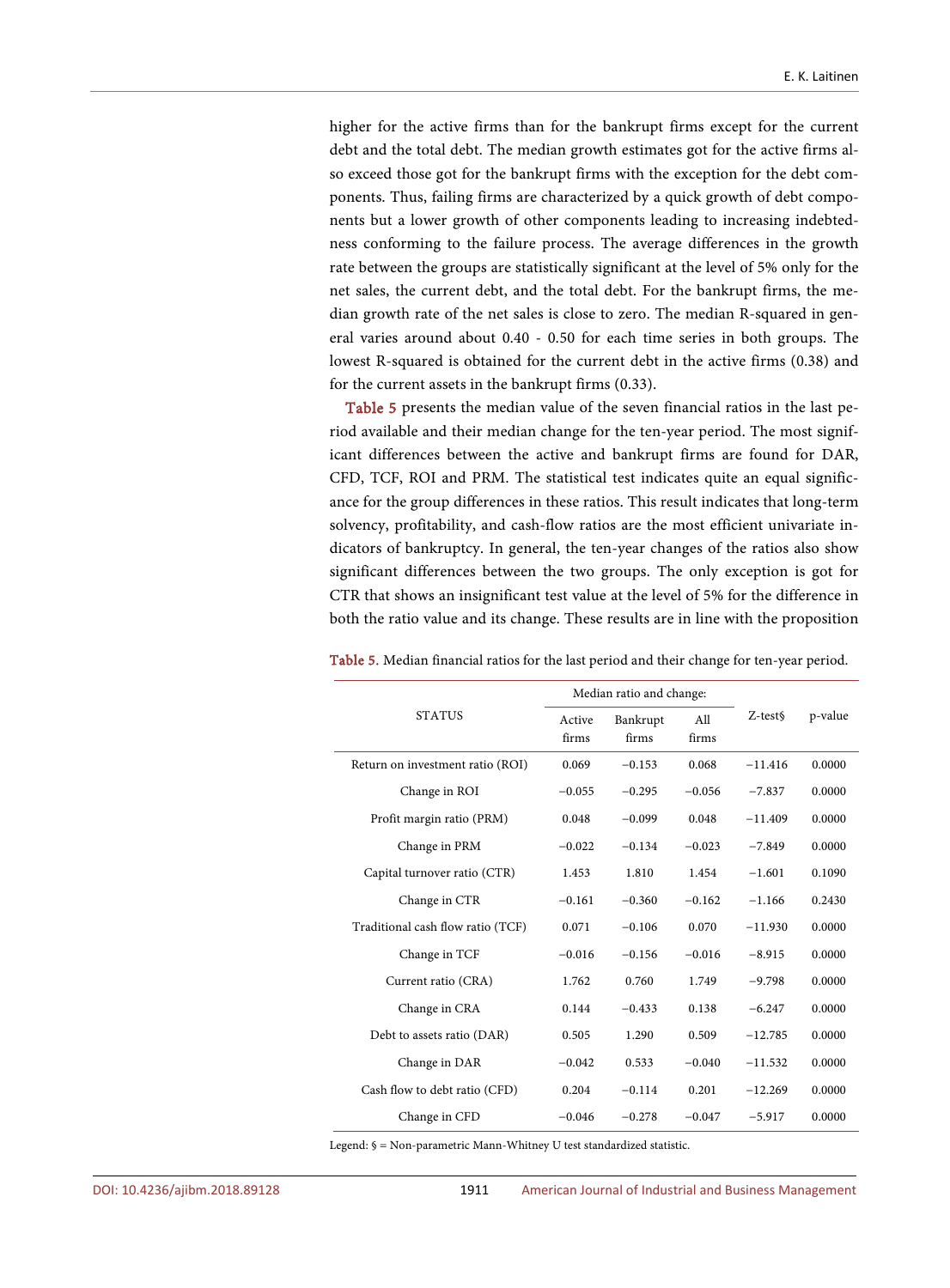higher for the active firms than for the bankrupt firms except for the current debt and the total debt. The median growth estimates got for the active firms also exceed those got for the bankrupt firms with the exception for the debt components. Thus, failing firms are characterized by a quick growth of debt components but a lower growth of other components leading to increasing indebtedness conforming to the failure process. The average differences in the growth rate between the groups are statistically significant at the level of 5% only for the net sales, the current debt, and the total debt. For the bankrupt firms, the median growth rate of the net sales is close to zero. The median R-squared in general varies around about 0.40 - 0.50 for each time series in both groups. The lowest R-squared is obtained for the current debt in the active firms (0.38) and for the current assets in the bankrupt firms (0.33).

[Table 5](#page-19-0) presents the median value of the seven financial ratios in the last period available and their median change for the ten-year period. The most significant differences between the active and bankrupt firms are found for DAR, CFD, TCF, ROI and PRM. The statistical test indicates quite an equal significance for the group differences in these ratios. This result indicates that long-term solvency, profitability, and cash-flow ratios are the most efficient univariate indicators of bankruptcy. In general, the ten-year changes of the ratios also show significant differences between the two groups. The only exception is got for CTR that shows an insignificant test value at the level of 5% for the difference in both the ratio value and its change. These results are in line with the proposition

|                                   |          | Median ratio and change: |              |                     |         |
|-----------------------------------|----------|--------------------------|--------------|---------------------|---------|
| <b>STATUS</b><br>Active<br>firms  |          | Bankrupt<br>firms        | All<br>firms | Z-test <sub>§</sub> | p-value |
| Return on investment ratio (ROI)  | 0.069    | $-0.153$                 | 0.068        | $-11.416$           | 0.0000  |
| Change in ROI                     | $-0.055$ | $-0.295$                 | $-0.056$     | $-7.837$            | 0.0000  |
| Profit margin ratio (PRM)         | 0.048    | $-0.099$                 | 0.048        | $-11.409$           | 0.0000  |
| Change in PRM                     | $-0.022$ | $-0.134$                 | $-0.023$     | $-7.849$            | 0.0000  |
| Capital turnover ratio (CTR)      | 1.453    | 1.810                    | 1.454        | $-1.601$            | 0.1090  |
| Change in CTR                     | $-0.161$ | $-0.360$                 | $-0.162$     | $-1.166$            | 0.2430  |
| Traditional cash flow ratio (TCF) | 0.071    | $-0.106$                 | 0.070        | $-11.930$           | 0.0000  |
| Change in TCF                     | $-0.016$ | $-0.156$                 | $-0.016$     | $-8.915$            | 0.0000  |
| Current ratio (CRA)               | 1.762    | 0.760                    | 1.749        | $-9.798$            | 0.0000  |
| Change in CRA                     | 0.144    | $-0.433$                 | 0.138        | $-6.247$            | 0.0000  |
| Debt to assets ratio (DAR)        | 0.505    | 1.290                    | 0.509        | $-12.785$           | 0.0000  |
| Change in DAR                     | $-0.042$ | 0.533                    | $-0.040$     | $-11.532$           | 0.0000  |
| Cash flow to debt ratio (CFD)     | 0.204    | $-0.114$                 | 0.201        | $-12.269$           | 0.0000  |
| Change in CFD                     | $-0.046$ | $-0.278$                 | $-0.047$     | $-5.917$            | 0.0000  |

<span id="page-19-0"></span>Table 5. Median financial ratios for the last period and their change for ten-year period.

Legend: § = Non-parametric Mann-Whitney U test standardized statistic.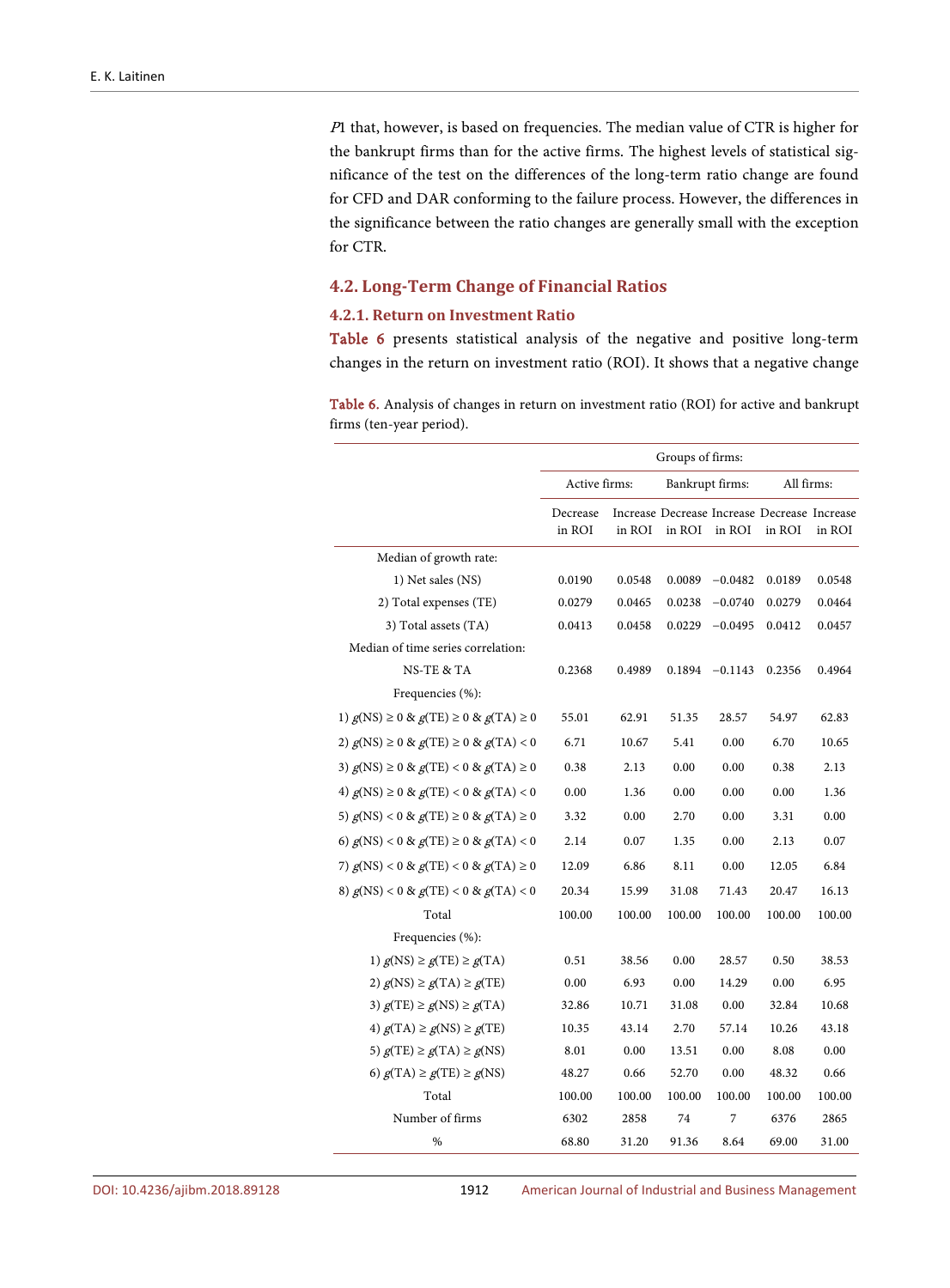<sup>P</sup>1 that, however, is based on frequencies. The median value of CTR is higher for the bankrupt firms than for the active firms. The highest levels of statistical significance of the test on the differences of the long-term ratio change are found for CFD and DAR conforming to the failure process. However, the differences in the significance between the ratio changes are generally small with the exception for CTR.

## **4.2. Long-Term Change of Financial Ratios**

#### **4.2.1. Return on Investment Ratio**

[Table 6](#page-20-0) presents statistical analysis of the negative and positive long-term changes in the return on investment ratio (ROI). It shows that a negative change

<span id="page-20-0"></span>Table 6. Analysis of changes in return on investment ratio (ROI) for active and bankrupt firms (ten-year period).

|                                                  | Groups of firms:   |        |                 |           |                                                        |        |
|--------------------------------------------------|--------------------|--------|-----------------|-----------|--------------------------------------------------------|--------|
|                                                  | Active firms:      |        | Bankrupt firms: |           | All firms:                                             |        |
|                                                  | Decrease<br>in ROI | in ROI | in ROI          | in ROI    | Increase Decrease Increase Decrease Increase<br>in ROI | in ROI |
| Median of growth rate:                           |                    |        |                 |           |                                                        |        |
| 1) Net sales (NS)                                | 0.0190             | 0.0548 | 0.0089          | $-0.0482$ | 0.0189                                                 | 0.0548 |
| 2) Total expenses (TE)                           | 0.0279             | 0.0465 | 0.0238          | $-0.0740$ | 0.0279                                                 | 0.0464 |
| 3) Total assets (TA)                             | 0.0413             | 0.0458 | 0.0229          | $-0.0495$ | 0.0412                                                 | 0.0457 |
| Median of time series correlation:               |                    |        |                 |           |                                                        |        |
| NS-TE & TA                                       | 0.2368             | 0.4989 | 0.1894          | $-0.1143$ | 0.2356                                                 | 0.4964 |
| Frequencies (%):                                 |                    |        |                 |           |                                                        |        |
| 1) $g(NS) \ge 0$ & $g(TE) \ge 0$ & $g(TA) \ge 0$ | 55.01              | 62.91  | 51.35           | 28.57     | 54.97                                                  | 62.83  |
| 2) $g(NS)$ ≥ 0 & $g(TE)$ ≥ 0 & $g(TA)$ < 0       | 6.71               | 10.67  | 5.41            | 0.00      | 6.70                                                   | 10.65  |
| 3) $g(NS) \ge 0$ & $g(TE) < 0$ & $g(TA) \ge 0$   | 0.38               | 2.13   | 0.00            | 0.00      | 0.38                                                   | 2.13   |
| 4) $g(NS)$ ≥ 0 & $g(TE)$ < 0 & $g(TA)$ < 0       | 0.00               | 1.36   | 0.00            | 0.00      | 0.00                                                   | 1.36   |
| 5) $g(NS) < 0$ & $g(TE) \ge 0$ & $g(TA) \ge 0$   | 3.32               | 0.00   | 2.70            | 0.00      | 3.31                                                   | 0.00   |
| 6) $g(NS) < 0$ & $g(TE) \ge 0$ & $g(TA) < 0$     | 2.14               | 0.07   | 1.35            | 0.00      | 2.13                                                   | 0.07   |
| 7) $g(NS) < 0$ & $g(TE) < 0$ & $g(TA) \ge 0$     | 12.09              | 6.86   | 8.11            | 0.00      | 12.05                                                  | 6.84   |
| 8) $g(NS) < 0$ & $g(TE) < 0$ & $g(TA) < 0$       | 20.34              | 15.99  | 31.08           | 71.43     | 20.47                                                  | 16.13  |
| Total                                            | 100.00             | 100.00 | 100.00          | 100.00    | 100.00                                                 | 100.00 |
| Frequencies (%):                                 |                    |        |                 |           |                                                        |        |
| 1) $g(NS) \ge g(TE) \ge g(TA)$                   | 0.51               | 38.56  | 0.00            | 28.57     | 0.50                                                   | 38.53  |
| 2) $g(NS) \ge g(TA) \ge g(TE)$                   | 0.00               | 6.93   | 0.00            | 14.29     | 0.00                                                   | 6.95   |
| 3) $g(TE) \ge g(NS) \ge g(TA)$                   | 32.86              | 10.71  | 31.08           | 0.00      | 32.84                                                  | 10.68  |
| 4) $g(TA) \ge g(NS) \ge g(TE)$                   | 10.35              | 43.14  | 2.70            | 57.14     | 10.26                                                  | 43.18  |
| 5) $g(TE) \ge g(TA) \ge g(NS)$                   | 8.01               | 0.00   | 13.51           | 0.00      | 8.08                                                   | 0.00   |
| 6) $g(TA) \ge g(TE) \ge g(NS)$                   | 48.27              | 0.66   | 52.70           | 0.00      | 48.32                                                  | 0.66   |
| Total                                            | 100.00             | 100.00 | 100.00          | 100.00    | 100.00                                                 | 100.00 |
| Number of firms                                  | 6302               | 2858   | 74              | 7         | 6376                                                   | 2865   |
| %                                                | 68.80              | 31.20  | 91.36           | 8.64      | 69.00                                                  | 31.00  |

DOI[: 10.4236/ajibm.2018.89128](https://doi.org/10.4236/ajibm.2018.89128) 1912 American Journal of Industrial and Business Management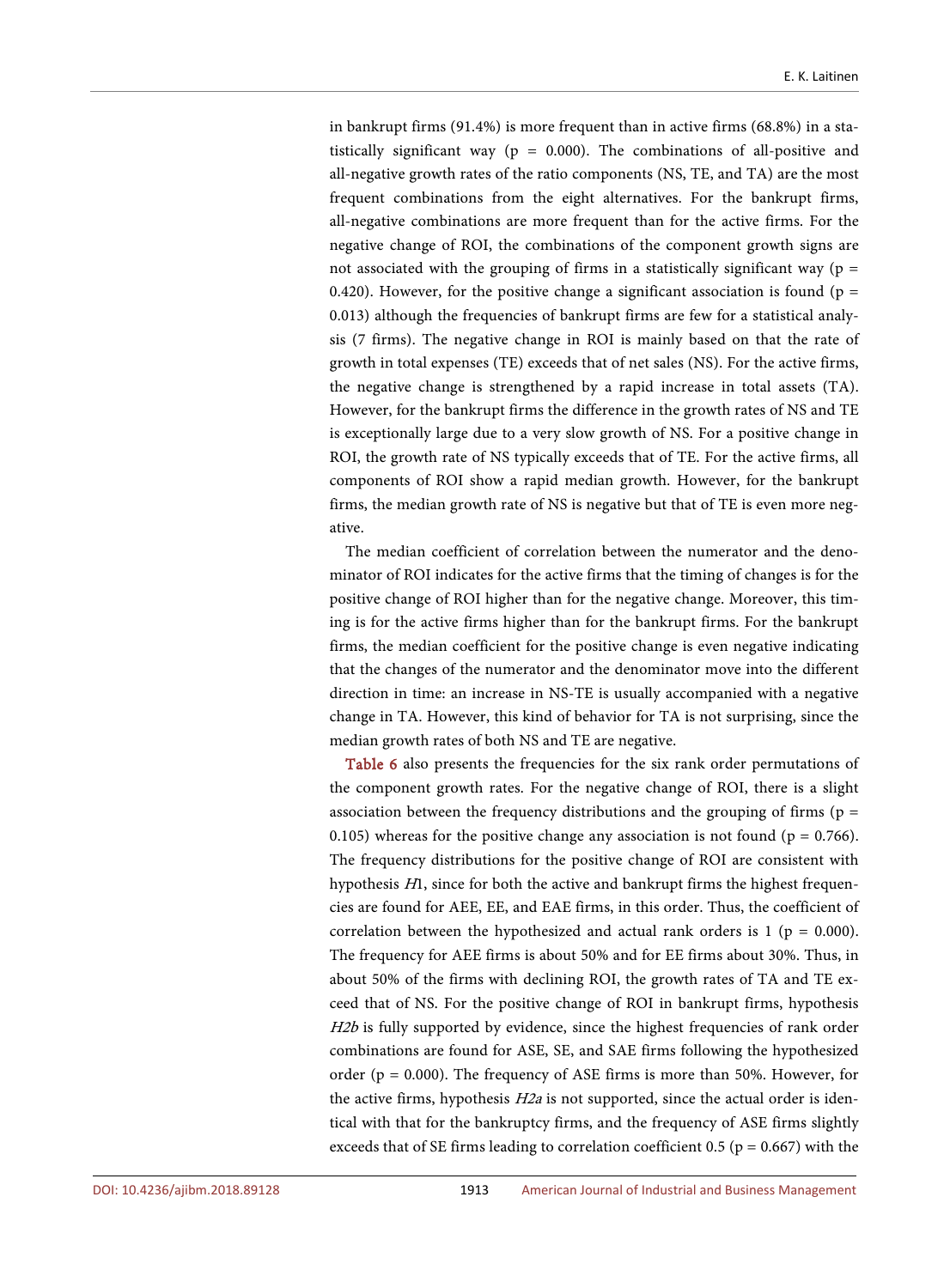in bankrupt firms (91.4%) is more frequent than in active firms (68.8%) in a statistically significant way ( $p = 0.000$ ). The combinations of all-positive and all-negative growth rates of the ratio components (NS, TE, and TA) are the most frequent combinations from the eight alternatives. For the bankrupt firms, all-negative combinations are more frequent than for the active firms. For the negative change of ROI, the combinations of the component growth signs are not associated with the grouping of firms in a statistically significant way ( $p =$ 0.420). However, for the positive change a significant association is found ( $p =$ 0.013) although the frequencies of bankrupt firms are few for a statistical analysis (7 firms). The negative change in ROI is mainly based on that the rate of growth in total expenses (TE) exceeds that of net sales (NS). For the active firms, the negative change is strengthened by a rapid increase in total assets (TA). However, for the bankrupt firms the difference in the growth rates of NS and TE is exceptionally large due to a very slow growth of NS. For a positive change in ROI, the growth rate of NS typically exceeds that of TE. For the active firms, all components of ROI show a rapid median growth. However, for the bankrupt firms, the median growth rate of NS is negative but that of TE is even more negative.

The median coefficient of correlation between the numerator and the denominator of ROI indicates for the active firms that the timing of changes is for the positive change of ROI higher than for the negative change. Moreover, this timing is for the active firms higher than for the bankrupt firms. For the bankrupt firms, the median coefficient for the positive change is even negative indicating that the changes of the numerator and the denominator move into the different direction in time: an increase in NS-TE is usually accompanied with a negative change in TA. However, this kind of behavior for TA is not surprising, since the median growth rates of both NS and TE are negative.

[Table 6](#page-20-0) also presents the frequencies for the six rank order permutations of the component growth rates. For the negative change of ROI, there is a slight association between the frequency distributions and the grouping of firms ( $p =$ 0.105) whereas for the positive change any association is not found ( $p = 0.766$ ). The frequency distributions for the positive change of ROI are consistent with hypothesis H1, since for both the active and bankrupt firms the highest frequencies are found for AEE, EE, and EAE firms, in this order. Thus, the coefficient of correlation between the hypothesized and actual rank orders is  $1$  ( $p = 0.000$ ). The frequency for AEE firms is about 50% and for EE firms about 30%. Thus, in about 50% of the firms with declining ROI, the growth rates of TA and TE exceed that of NS. For the positive change of ROI in bankrupt firms, hypothesis H2b is fully supported by evidence, since the highest frequencies of rank order combinations are found for ASE, SE, and SAE firms following the hypothesized order ( $p = 0.000$ ). The frequency of ASE firms is more than 50%. However, for the active firms, hypothesis  $H2a$  is not supported, since the actual order is identical with that for the bankruptcy firms, and the frequency of ASE firms slightly exceeds that of SE firms leading to correlation coefficient 0.5 ( $p = 0.667$ ) with the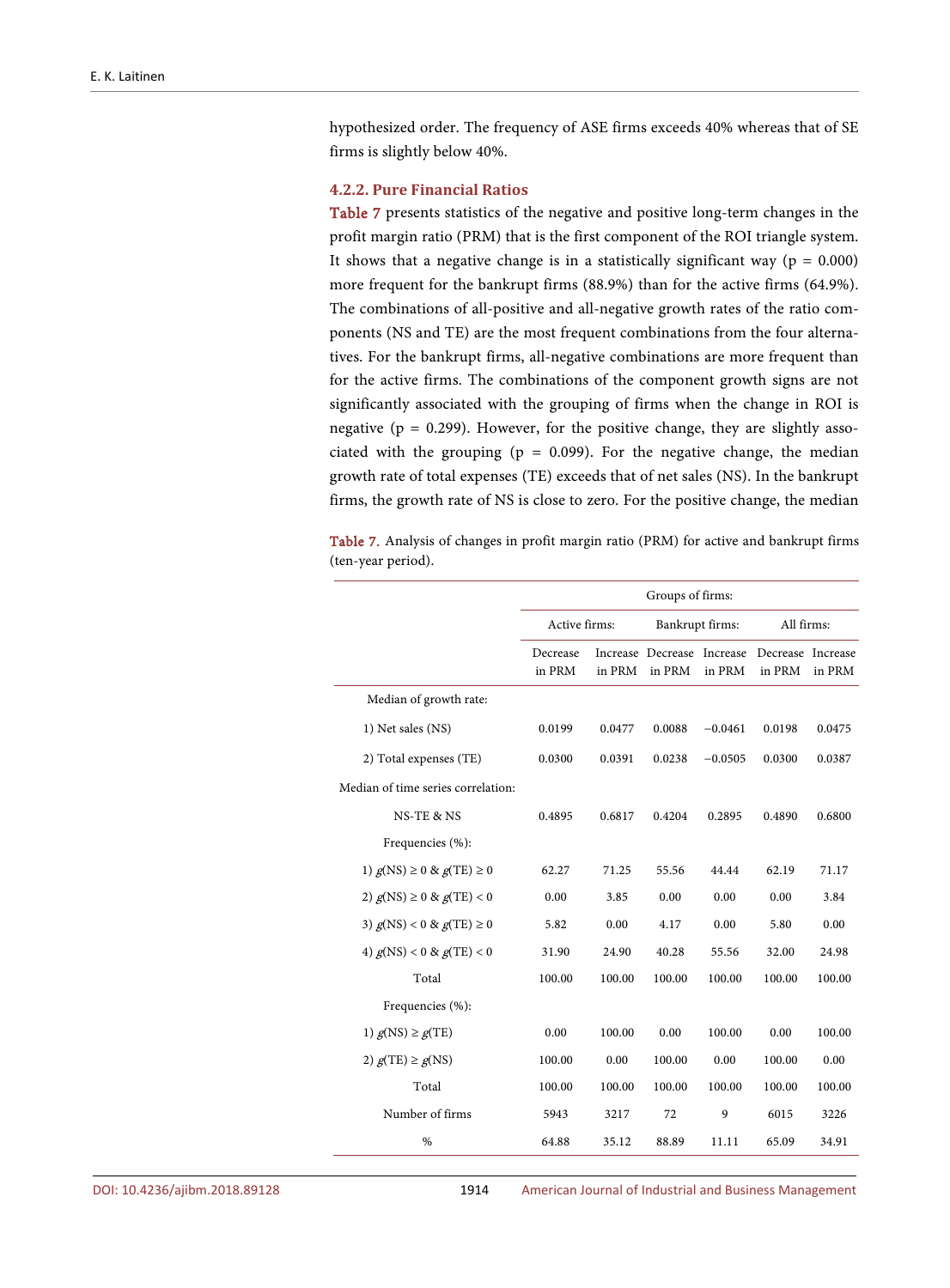hypothesized order. The frequency of ASE firms exceeds 40% whereas that of SE firms is slightly below 40%.

#### **4.2.2. Pure Financial Ratios**

[Table 7](#page-22-0) presents statistics of the negative and positive long-term changes in the profit margin ratio (PRM) that is the first component of the ROI triangle system. It shows that a negative change is in a statistically significant way ( $p = 0.000$ ) more frequent for the bankrupt firms (88.9%) than for the active firms (64.9%). The combinations of all-positive and all-negative growth rates of the ratio components (NS and TE) are the most frequent combinations from the four alternatives. For the bankrupt firms, all-negative combinations are more frequent than for the active firms. The combinations of the component growth signs are not significantly associated with the grouping of firms when the change in ROI is negative ( $p = 0.299$ ). However, for the positive change, they are slightly associated with the grouping ( $p = 0.099$ ). For the negative change, the median growth rate of total expenses (TE) exceeds that of net sales (NS). In the bankrupt firms, the growth rate of NS is close to zero. For the positive change, the median

<span id="page-22-0"></span>Table 7. Analysis of changes in profit margin ratio (PRM) for active and bankrupt firms (ten-year period).

|                                    | Groups of firms:   |        |                                      |           |                             |        |
|------------------------------------|--------------------|--------|--------------------------------------|-----------|-----------------------------|--------|
|                                    | Active firms:      |        | Bankrupt firms:                      |           | All firms:                  |        |
|                                    | Decrease<br>in PRM | in PRM | Increase Decrease Increase<br>in PRM | in PRM    | Decrease Increase<br>in PRM | in PRM |
| Median of growth rate:             |                    |        |                                      |           |                             |        |
| 1) Net sales (NS)                  | 0.0199             | 0.0477 | 0.0088                               | $-0.0461$ | 0.0198                      | 0.0475 |
| 2) Total expenses (TE)             | 0.0300             | 0.0391 | 0.0238                               | $-0.0505$ | 0.0300                      | 0.0387 |
| Median of time series correlation: |                    |        |                                      |           |                             |        |
| NS-TE & NS                         | 0.4895             | 0.6817 | 0.4204                               | 0.2895    | 0.4890                      | 0.6800 |
| Frequencies (%):                   |                    |        |                                      |           |                             |        |
| 1) $g(NS) \ge 0$ & $g(TE) \ge 0$   | 62.27              | 71.25  | 55.56                                | 44.44     | 62.19                       | 71.17  |
| 2) $g(NS) \ge 0$ & $g(TE) < 0$     | 0.00               | 3.85   | 0.00                                 | 0.00      | 0.00                        | 3.84   |
| 3) $g(NS) < 0 & g(TE) \ge 0$       | 5.82               | 0.00   | 4.17                                 | 0.00      | 5.80                        | 0.00   |
| 4) $g(NS) < 0 & g(TE) < 0$         | 31.90              | 24.90  | 40.28                                | 55.56     | 32.00                       | 24.98  |
| Total                              | 100.00             | 100.00 | 100.00                               | 100.00    | 100.00                      | 100.00 |
| Frequencies (%):                   |                    |        |                                      |           |                             |        |
| 1) $g(NS) \ge g(TE)$               | 0.00               | 100.00 | 0.00                                 | 100.00    | 0.00                        | 100.00 |
| 2) $g(TE) \ge g(NS)$               | 100.00             | 0.00   | 100.00                               | 0.00      | 100.00                      | 0.00   |
| Total                              | 100.00             | 100.00 | 100.00                               | 100.00    | 100.00                      | 100.00 |
| Number of firms                    | 5943               | 3217   | 72                                   | 9         | 6015                        | 3226   |
| $\frac{0}{0}$                      | 64.88              | 35.12  | 88.89                                | 11.11     | 65.09                       | 34.91  |

DOI[: 10.4236/ajibm.2018.89128](https://doi.org/10.4236/ajibm.2018.89128) 1914 American Journal of Industrial and Business Management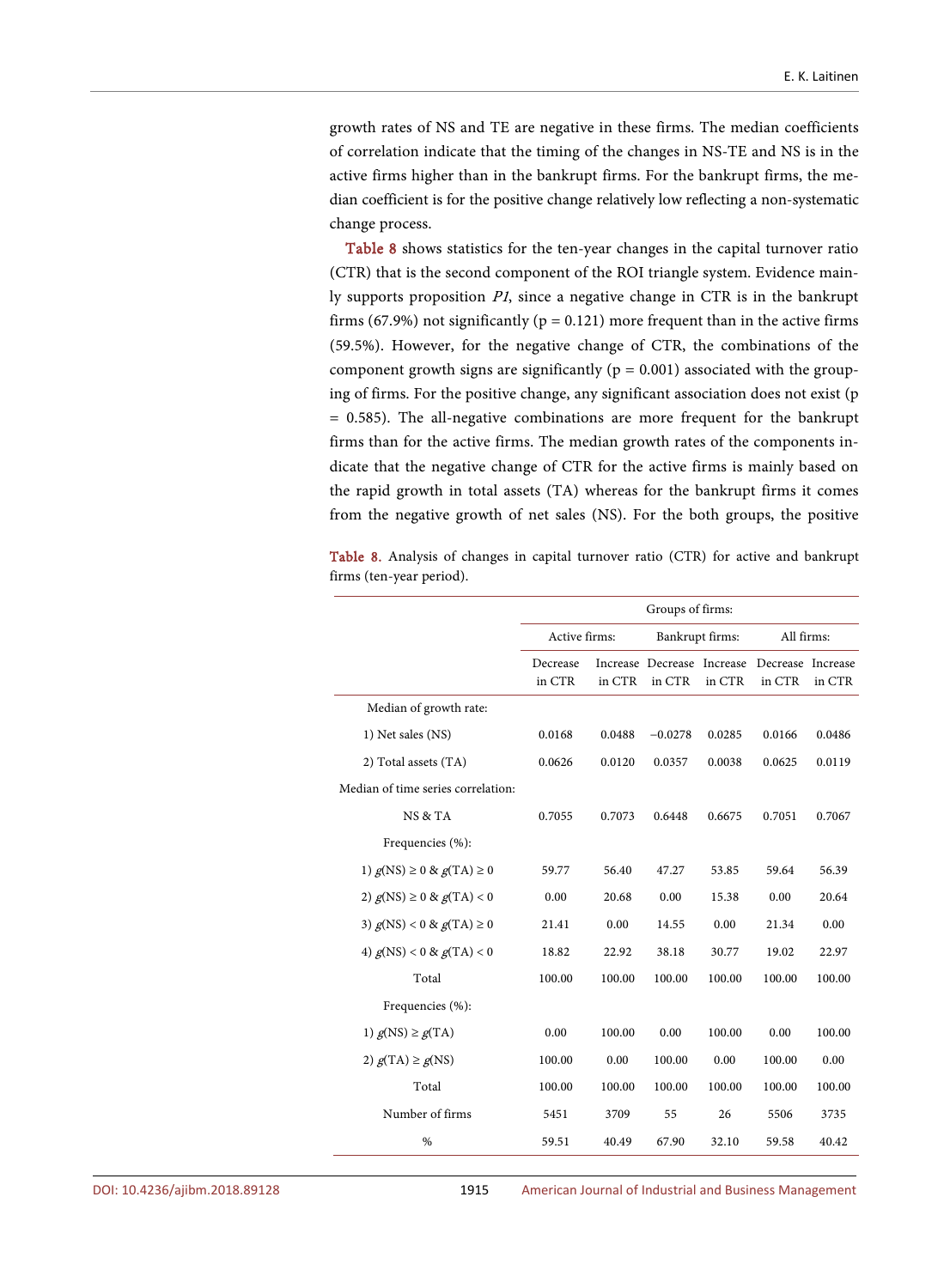growth rates of NS and TE are negative in these firms. The median coefficients of correlation indicate that the timing of the changes in NS-TE and NS is in the active firms higher than in the bankrupt firms. For the bankrupt firms, the median coefficient is for the positive change relatively low reflecting a non-systematic change process.

[Table 8](#page-23-0) shows statistics for the ten-year changes in the capital turnover ratio (CTR) that is the second component of the ROI triangle system. Evidence mainly supports proposition P1, since a negative change in CTR is in the bankrupt firms (67.9%) not significantly ( $p = 0.121$ ) more frequent than in the active firms (59.5%). However, for the negative change of CTR, the combinations of the component growth signs are significantly ( $p = 0.001$ ) associated with the grouping of firms. For the positive change, any significant association does not exist (p = 0.585). The all-negative combinations are more frequent for the bankrupt firms than for the active firms. The median growth rates of the components indicate that the negative change of CTR for the active firms is mainly based on the rapid growth in total assets (TA) whereas for the bankrupt firms it comes from the negative growth of net sales (NS). For the both groups, the positive

<span id="page-23-0"></span>Table 8. Analysis of changes in capital turnover ratio (CTR) for active and bankrupt firms (ten-year period).

|                                    | Groups of firms:   |        |                                      |        |                             |        |
|------------------------------------|--------------------|--------|--------------------------------------|--------|-----------------------------|--------|
|                                    | Active firms:      |        | Bankrupt firms:                      |        | All firms:                  |        |
|                                    | Decrease<br>in CTR | in CTR | Increase Decrease Increase<br>in CTR | in CTR | Decrease Increase<br>in CTR | in CTR |
| Median of growth rate:             |                    |        |                                      |        |                             |        |
| 1) Net sales (NS)                  | 0.0168             | 0.0488 | $-0.0278$                            | 0.0285 | 0.0166                      | 0.0486 |
| 2) Total assets (TA)               | 0.0626             | 0.0120 | 0.0357                               | 0.0038 | 0.0625                      | 0.0119 |
| Median of time series correlation: |                    |        |                                      |        |                             |        |
| NS & TA                            | 0.7055             | 0.7073 | 0.6448                               | 0.6675 | 0.7051                      | 0.7067 |
| Frequencies (%):                   |                    |        |                                      |        |                             |        |
| 1) $g(NS) \ge 0$ & $g(TA) \ge 0$   | 59.77              | 56.40  | 47.27                                | 53.85  | 59.64                       | 56.39  |
| 2) $g(NS) \ge 0$ & $g(TA) < 0$     | 0.00               | 20.68  | 0.00                                 | 15.38  | 0.00                        | 20.64  |
| 3) $g(NS) < 0 & g(TA) \ge 0$       | 21.41              | 0.00   | 14.55                                | 0.00   | 21.34                       | 0.00   |
| 4) $g(NS) < 0$ & $g(TA) < 0$       | 18.82              | 22.92  | 38.18                                | 30.77  | 19.02                       | 22.97  |
| Total                              | 100.00             | 100.00 | 100.00                               | 100.00 | 100.00                      | 100.00 |
| Frequencies (%):                   |                    |        |                                      |        |                             |        |
| 1) $g(NS) \geq g(TA)$              | 0.00               | 100.00 | 0.00                                 | 100.00 | 0.00                        | 100.00 |
| 2) $g(TA) \ge g(NS)$               | 100.00             | 0.00   | 100.00                               | 0.00   | 100.00                      | 0.00   |
| Total                              | 100.00             | 100.00 | 100.00                               | 100.00 | 100.00                      | 100.00 |
| Number of firms                    | 5451               | 3709   | 55                                   | 26     | 5506                        | 3735   |
| %                                  | 59.51              | 40.49  | 67.90                                | 32.10  | 59.58                       | 40.42  |

DOI[: 10.4236/ajibm.2018.89128](https://doi.org/10.4236/ajibm.2018.89128) 1915 American Journal of Industrial and Business Management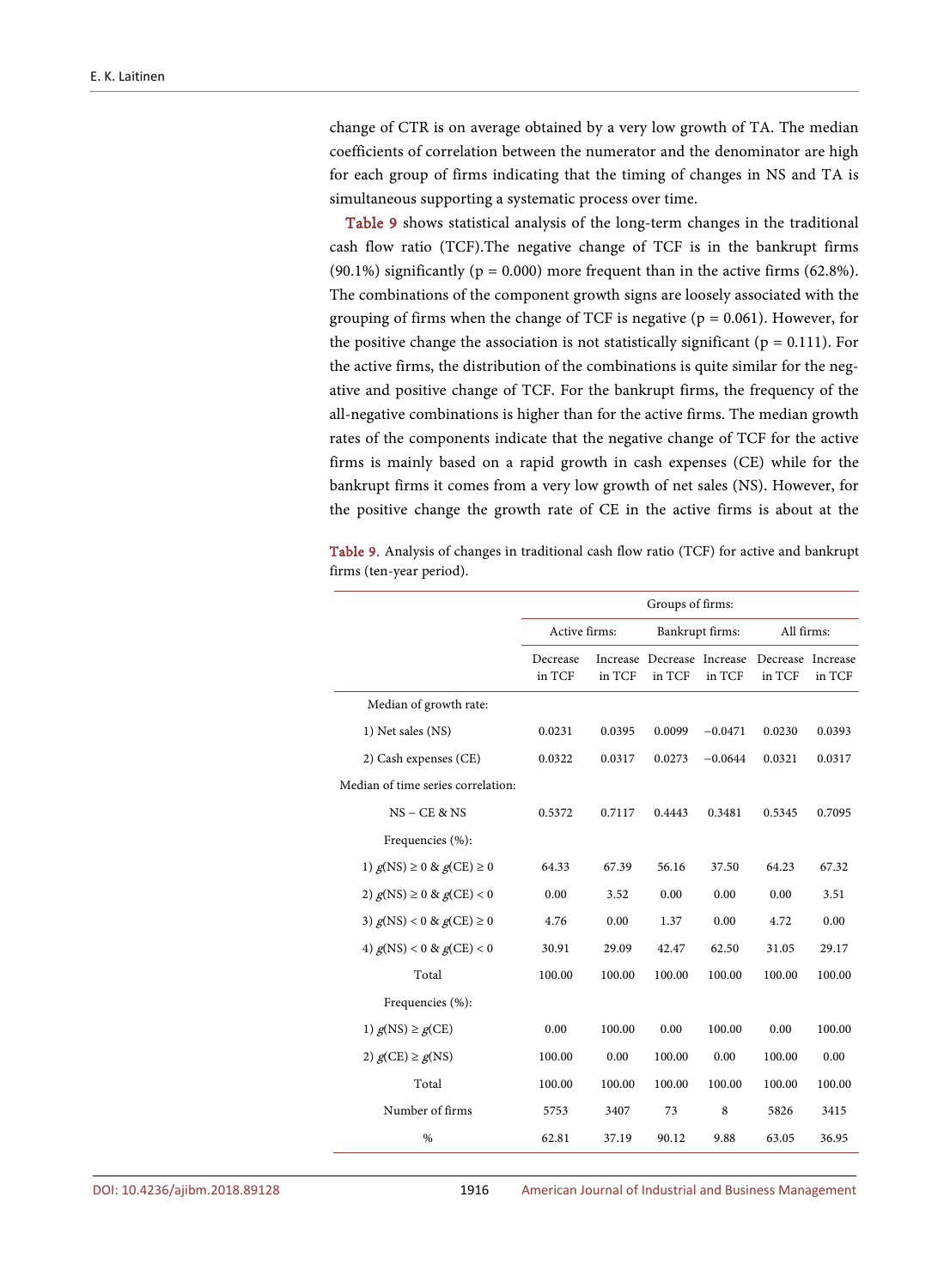change of CTR is on average obtained by a very low growth of TA. The median coefficients of correlation between the numerator and the denominator are high for each group of firms indicating that the timing of changes in NS and TA is simultaneous supporting a systematic process over time.

[Table 9](#page-24-0) shows statistical analysis of the long-term changes in the traditional cash flow ratio (TCF).The negative change of TCF is in the bankrupt firms (90.1%) significantly ( $p = 0.000$ ) more frequent than in the active firms (62.8%). The combinations of the component growth signs are loosely associated with the grouping of firms when the change of TCF is negative ( $p = 0.061$ ). However, for the positive change the association is not statistically significant ( $p = 0.111$ ). For the active firms, the distribution of the combinations is quite similar for the negative and positive change of TCF. For the bankrupt firms, the frequency of the all-negative combinations is higher than for the active firms. The median growth rates of the components indicate that the negative change of TCF for the active firms is mainly based on a rapid growth in cash expenses (CE) while for the bankrupt firms it comes from a very low growth of net sales (NS). However, for the positive change the growth rate of CE in the active firms is about at the

<span id="page-24-0"></span>Table 9. Analysis of changes in traditional cash flow ratio (TCF) for active and bankrupt firms (ten-year period).

|                                    | Groups of firms:   |        |                                      |                 |                             |        |
|------------------------------------|--------------------|--------|--------------------------------------|-----------------|-----------------------------|--------|
|                                    | Active firms:      |        |                                      | Bankrupt firms: | All firms:                  |        |
|                                    | Decrease<br>in TCF | in TCF | Increase Decrease Increase<br>in TCF | in TCF          | Decrease Increase<br>in TCF | in TCF |
| Median of growth rate:             |                    |        |                                      |                 |                             |        |
| 1) Net sales (NS)                  | 0.0231             | 0.0395 | 0.0099                               | $-0.0471$       | 0.0230                      | 0.0393 |
| 2) Cash expenses (CE)              | 0.0322             | 0.0317 | 0.0273                               | $-0.0644$       | 0.0321                      | 0.0317 |
| Median of time series correlation: |                    |        |                                      |                 |                             |        |
| $NS - CE & NS$                     | 0.5372             | 0.7117 | 0.4443                               | 0.3481          | 0.5345                      | 0.7095 |
| Frequencies (%):                   |                    |        |                                      |                 |                             |        |
| 1) $g(NS) \ge 0$ & $g(CE) \ge 0$   | 64.33              | 67.39  | 56.16                                | 37.50           | 64.23                       | 67.32  |
| 2) $g(NS) \ge 0$ & $g(CE) < 0$     | 0.00               | 3.52   | 0.00                                 | 0.00            | 0.00                        | 3.51   |
| 3) $g(NS) < 0$ & $g(CE) \ge 0$     | 4.76               | 0.00   | 1.37                                 | 0.00            | 4.72                        | 0.00   |
| 4) $g(NS) < 0$ & $g(CE) < 0$       | 30.91              | 29.09  | 42.47                                | 62.50           | 31.05                       | 29.17  |
| Total                              | 100.00             | 100.00 | 100.00                               | 100.00          | 100.00                      | 100.00 |
| Frequencies (%):                   |                    |        |                                      |                 |                             |        |
| 1) $g(NS) \ge g(CE)$               | 0.00               | 100.00 | 0.00                                 | 100.00          | 0.00                        | 100.00 |
| 2) $g(CE) \ge g(NS)$               | 100.00             | 0.00   | 100.00                               | 0.00            | 100.00                      | 0.00   |
| Total                              | 100.00             | 100.00 | 100.00                               | 100.00          | 100.00                      | 100.00 |
| Number of firms                    | 5753               | 3407   | 73                                   | 8               | 5826                        | 3415   |
| $\frac{0}{0}$                      | 62.81              | 37.19  | 90.12                                | 9.88            | 63.05                       | 36.95  |

DOI[: 10.4236/ajibm.2018.89128](https://doi.org/10.4236/ajibm.2018.89128) 1916 American Journal of Industrial and Business Management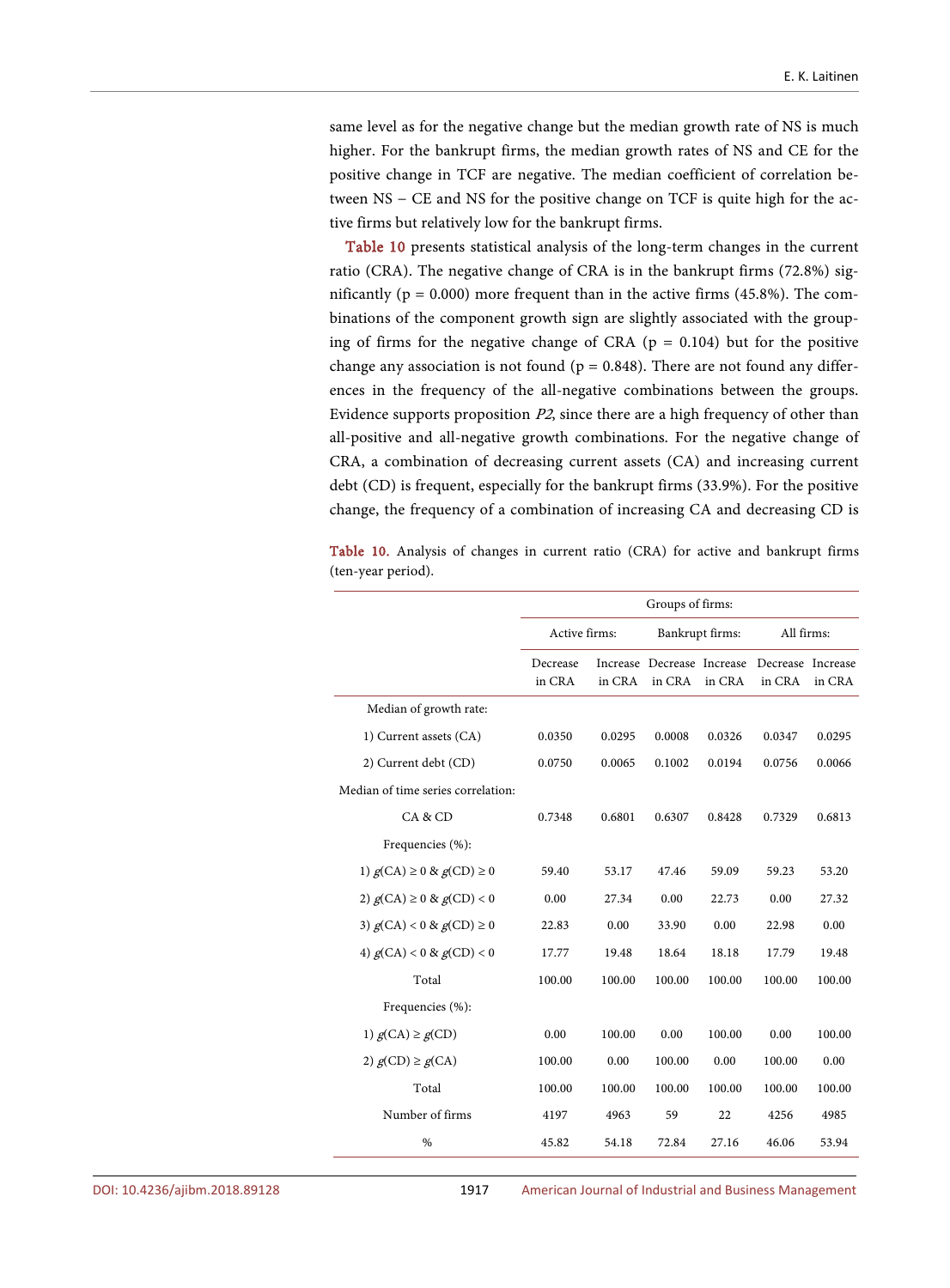same level as for the negative change but the median growth rate of NS is much higher. For the bankrupt firms, the median growth rates of NS and CE for the positive change in TCF are negative. The median coefficient of correlation between NS − CE and NS for the positive change on TCF is quite high for the active firms but relatively low for the bankrupt firms.

[Table 10](#page-25-0) presents statistical analysis of the long-term changes in the current ratio (CRA). The negative change of CRA is in the bankrupt firms (72.8%) significantly ( $p = 0.000$ ) more frequent than in the active firms (45.8%). The combinations of the component growth sign are slightly associated with the grouping of firms for the negative change of CRA ( $p = 0.104$ ) but for the positive change any association is not found ( $p = 0.848$ ). There are not found any differences in the frequency of the all-negative combinations between the groups. Evidence supports proposition P2, since there are a high frequency of other than all-positive and all-negative growth combinations. For the negative change of CRA, a combination of decreasing current assets (CA) and increasing current debt (CD) is frequent, especially for the bankrupt firms (33.9%). For the positive change, the frequency of a combination of increasing CA and decreasing CD is

<span id="page-25-0"></span>Table 10. Analysis of changes in current ratio (CRA) for active and bankrupt firms (ten-year period).

|                                    | Groups of firms:   |        |                                      |                 |                             |        |
|------------------------------------|--------------------|--------|--------------------------------------|-----------------|-----------------------------|--------|
|                                    | Active firms:      |        |                                      | Bankrupt firms: | All firms:                  |        |
|                                    | Decrease<br>in CRA | in CRA | Increase Decrease Increase<br>in CRA | in CRA          | Decrease Increase<br>in CRA | in CRA |
| Median of growth rate:             |                    |        |                                      |                 |                             |        |
| 1) Current assets (CA)             | 0.0350             | 0.0295 | 0.0008                               | 0.0326          | 0.0347                      | 0.0295 |
| 2) Current debt (CD)               | 0.0750             | 0.0065 | 0.1002                               | 0.0194          | 0.0756                      | 0.0066 |
| Median of time series correlation: |                    |        |                                      |                 |                             |        |
| CA & CD                            | 0.7348             | 0.6801 | 0.6307                               | 0.8428          | 0.7329                      | 0.6813 |
| Frequencies (%):                   |                    |        |                                      |                 |                             |        |
| 1) $g(CA) \ge 0$ & $g(CD) \ge 0$   | 59.40              | 53.17  | 47.46                                | 59.09           | 59.23                       | 53.20  |
| 2) $g(CA) \ge 0$ & $g(CD) < 0$     | 0.00               | 27.34  | 0.00                                 | 22.73           | 0.00                        | 27.32  |
| 3) $g(CA) < 0$ & $g(CD) \ge 0$     | 22.83              | 0.00   | 33.90                                | 0.00            | 22.98                       | 0.00   |
| 4) $g(CA) < 0$ & $g(CD) < 0$       | 17.77              | 19.48  | 18.64                                | 18.18           | 17.79                       | 19.48  |
| Total                              | 100.00             | 100.00 | 100.00                               | 100.00          | 100.00                      | 100.00 |
| Frequencies (%):                   |                    |        |                                      |                 |                             |        |
| 1) $g(CA) \ge g(CD)$               | 0.00               | 100.00 | 0.00                                 | 100.00          | 0.00                        | 100.00 |
| 2) $g(CD) \ge g(CA)$               | 100.00             | 0.00   | 100.00                               | 0.00            | 100.00                      | 0.00   |
| Total                              | 100.00             | 100.00 | 100.00                               | 100.00          | 100.00                      | 100.00 |
| Number of firms                    | 4197               | 4963   | 59                                   | 22              | 4256                        | 4985   |
| $\%$                               | 45.82              | 54.18  | 72.84                                | 27.16           | 46.06                       | 53.94  |

DOI[: 10.4236/ajibm.2018.89128](https://doi.org/10.4236/ajibm.2018.89128) 1917 American Journal of Industrial and Business Management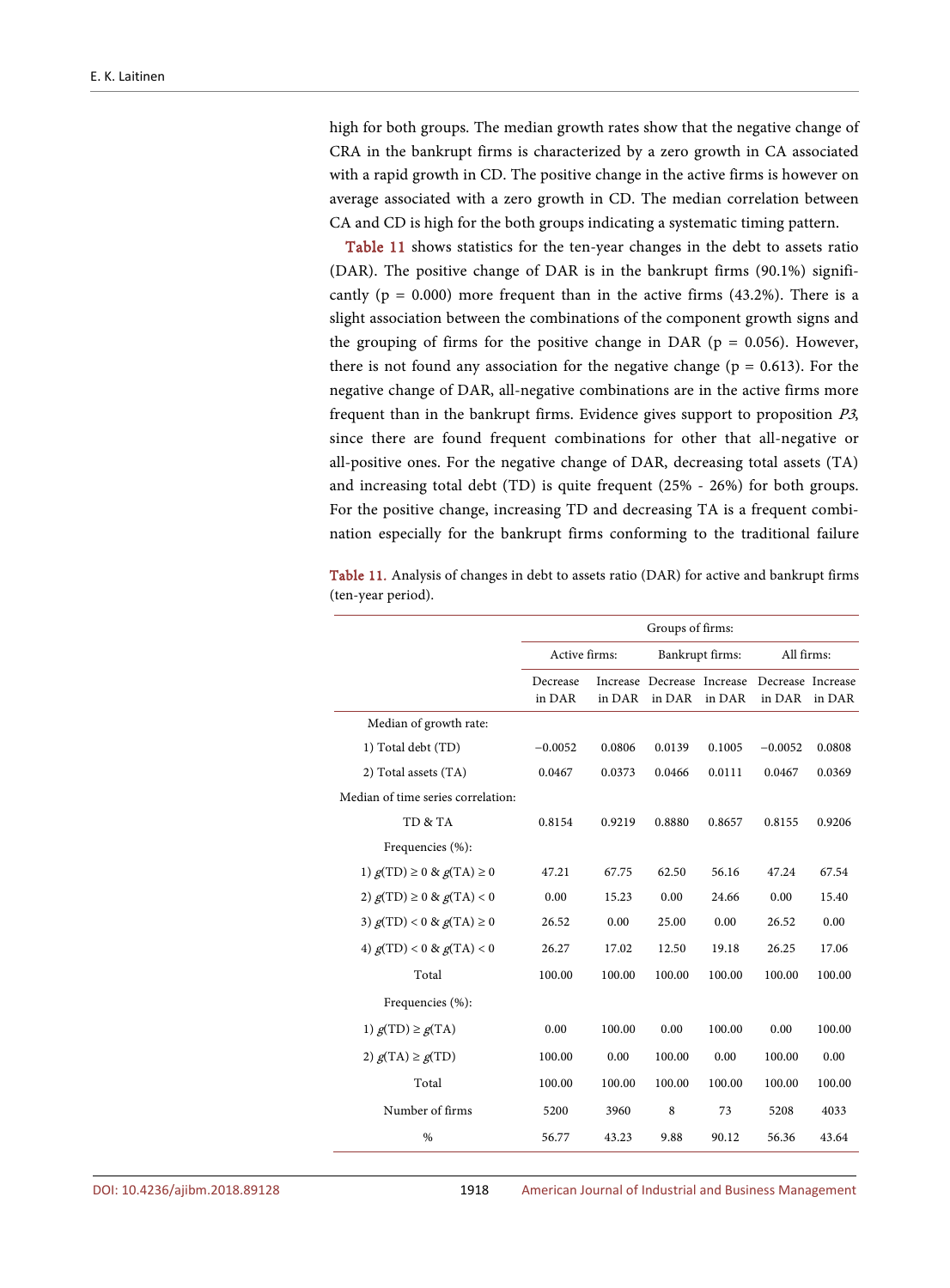high for both groups. The median growth rates show that the negative change of CRA in the bankrupt firms is characterized by a zero growth in CA associated with a rapid growth in CD. The positive change in the active firms is however on average associated with a zero growth in CD. The median correlation between CA and CD is high for the both groups indicating a systematic timing pattern.

[Table 11](#page-26-0) shows statistics for the ten-year changes in the debt to assets ratio (DAR). The positive change of DAR is in the bankrupt firms (90.1%) significantly ( $p = 0.000$ ) more frequent than in the active firms (43.2%). There is a slight association between the combinations of the component growth signs and the grouping of firms for the positive change in DAR ( $p = 0.056$ ). However, there is not found any association for the negative change ( $p = 0.613$ ). For the negative change of DAR, all-negative combinations are in the active firms more frequent than in the bankrupt firms. Evidence gives support to proposition P3, since there are found frequent combinations for other that all-negative or all-positive ones. For the negative change of DAR, decreasing total assets (TA) and increasing total debt (TD) is quite frequent (25% - 26%) for both groups. For the positive change, increasing TD and decreasing TA is a frequent combination especially for the bankrupt firms conforming to the traditional failure

<span id="page-26-0"></span>Table 11. Analysis of changes in debt to assets ratio (DAR) for active and bankrupt firms (ten-year period).

|                                    | Groups of firms:   |        |                                      |        |                             |        |
|------------------------------------|--------------------|--------|--------------------------------------|--------|-----------------------------|--------|
|                                    | Active firms:      |        | Bankrupt firms:                      |        | All firms:                  |        |
|                                    | Decrease<br>in DAR | in DAR | Increase Decrease Increase<br>in DAR | in DAR | Decrease Increase<br>in DAR | in DAR |
| Median of growth rate:             |                    |        |                                      |        |                             |        |
| 1) Total debt (TD)                 | $-0.0052$          | 0.0806 | 0.0139                               | 0.1005 | $-0.0052$                   | 0.0808 |
| 2) Total assets (TA)               | 0.0467             | 0.0373 | 0.0466                               | 0.0111 | 0.0467                      | 0.0369 |
| Median of time series correlation: |                    |        |                                      |        |                             |        |
| TD & TA                            | 0.8154             | 0.9219 | 0.8880                               | 0.8657 | 0.8155                      | 0.9206 |
| Frequencies (%):                   |                    |        |                                      |        |                             |        |
| 1) $g(TD) \ge 0$ & $g(TA) \ge 0$   | 47.21              | 67.75  | 62.50                                | 56.16  | 47.24                       | 67.54  |
| 2) $g(TD) \ge 0$ & $g(TA) < 0$     | 0.00               | 15.23  | 0.00                                 | 24.66  | 0.00                        | 15.40  |
| 3) $g(TD) < 0 & g(TA) \ge 0$       | 26.52              | 0.00   | 25.00                                | 0.00   | 26.52                       | 0.00   |
| 4) $g(TD) < 0 & g(TA) < 0$         | 26.27              | 17.02  | 12.50                                | 19.18  | 26.25                       | 17.06  |
| Total                              | 100.00             | 100.00 | 100.00                               | 100.00 | 100.00                      | 100.00 |
| Frequencies (%):                   |                    |        |                                      |        |                             |        |
| 1) $g(TD) \ge g(TA)$               | 0.00               | 100.00 | 0.00                                 | 100.00 | 0.00                        | 100.00 |
| 2) $g(TA) \ge g(TD)$               | 100.00             | 0.00   | 100.00                               | 0.00   | 100.00                      | 0.00   |
| Total                              | 100.00             | 100.00 | 100.00                               | 100.00 | 100.00                      | 100.00 |
| Number of firms                    | 5200               | 3960   | 8                                    | 73     | 5208                        | 4033   |
| $\%$                               | 56.77              | 43.23  | 9.88                                 | 90.12  | 56.36                       | 43.64  |

DOI[: 10.4236/ajibm.2018.89128](https://doi.org/10.4236/ajibm.2018.89128) 1918 American Journal of Industrial and Business Management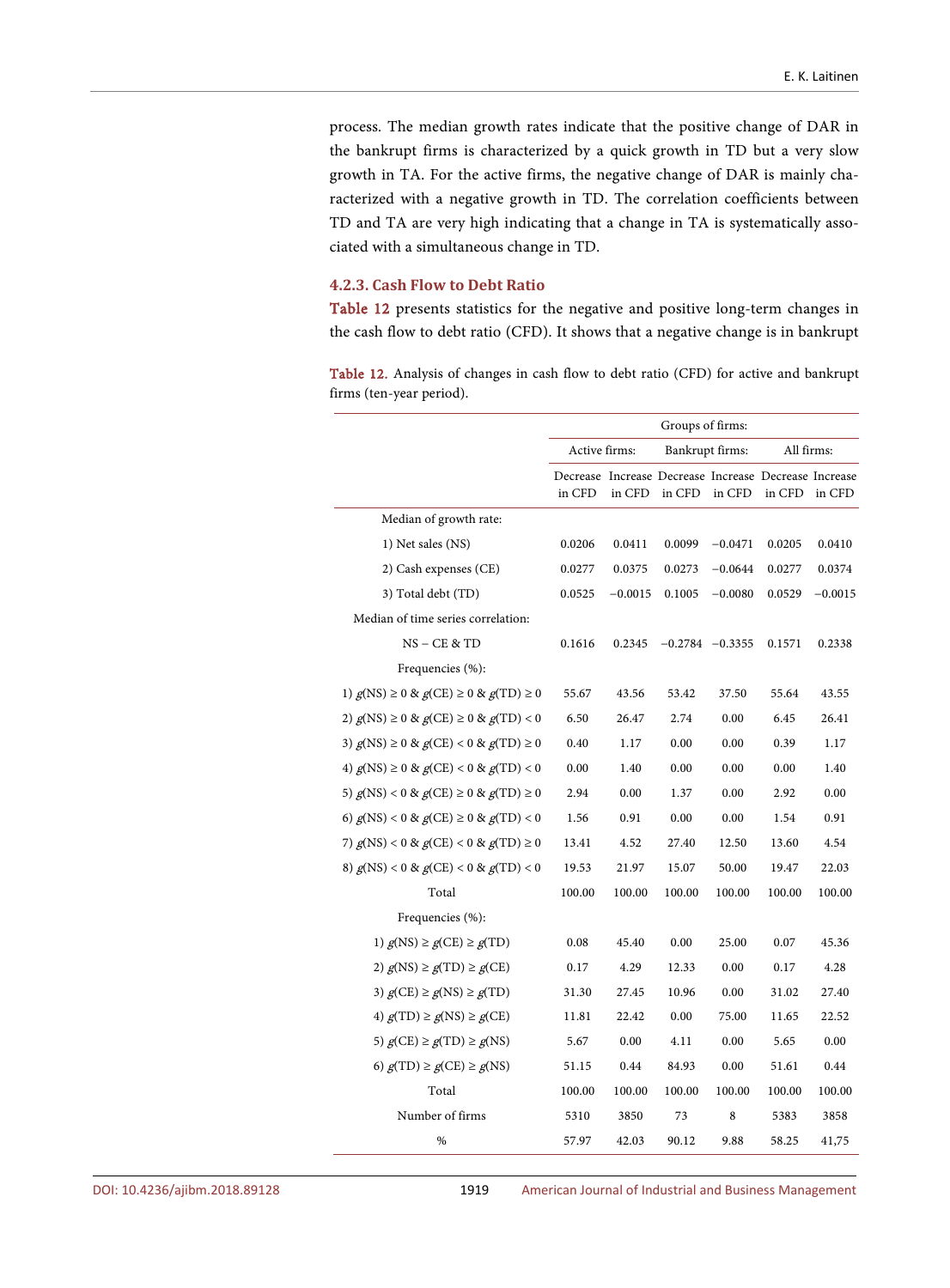process. The median growth rates indicate that the positive change of DAR in the bankrupt firms is characterized by a quick growth in TD but a very slow growth in TA. For the active firms, the negative change of DAR is mainly characterized with a negative growth in TD. The correlation coefficients between TD and TA are very high indicating that a change in TA is systematically associated with a simultaneous change in TD.

# **4.2.3. Cash Flow to Debt Ratio**

[Table 12](#page-27-0) presents statistics for the negative and positive long-term changes in the cash flow to debt ratio (CFD). It shows that a negative change is in bankrupt

<span id="page-27-0"></span>

| <b>Table 12.</b> Analysis of changes in cash flow to debt ratio (CFD) for active and bankrupt |  |  |  |
|-----------------------------------------------------------------------------------------------|--|--|--|
| firms (ten-year period).                                                                      |  |  |  |

|                                                  | Groups of firms: |           |                     |           |                                                                 |           |
|--------------------------------------------------|------------------|-----------|---------------------|-----------|-----------------------------------------------------------------|-----------|
|                                                  | Active firms:    |           | Bankrupt firms:     |           | All firms:                                                      |           |
|                                                  | in CFD           | in CFD    | in CFD              | in CFD    | Decrease Increase Decrease Increase Decrease Increase<br>in CFD | in CFD    |
| Median of growth rate:                           |                  |           |                     |           |                                                                 |           |
| 1) Net sales (NS)                                | 0.0206           | 0.0411    | 0.0099              | $-0.0471$ | 0.0205                                                          | 0.0410    |
| 2) Cash expenses (CE)                            | 0.0277           | 0.0375    | 0.0273              | $-0.0644$ | 0.0277                                                          | 0.0374    |
| 3) Total debt (TD)                               | 0.0525           | $-0.0015$ | 0.1005              | $-0.0080$ | 0.0529                                                          | $-0.0015$ |
| Median of time series correlation:               |                  |           |                     |           |                                                                 |           |
| $NS - CE & TD$                                   | 0.1616           | 0.2345    | $-0.2784$ $-0.3355$ |           | 0.1571                                                          | 0.2338    |
| Frequencies (%):                                 |                  |           |                     |           |                                                                 |           |
| 1) $g(NS) \ge 0$ & $g(CE) \ge 0$ & $g(TD) \ge 0$ | 55.67            | 43.56     | 53.42               | 37.50     | 55.64                                                           | 43.55     |
| 2) $g(NS)$ ≥ 0 & $g(CE)$ ≥ 0 & $g(TD)$ < 0       | 6.50             | 26.47     | 2.74                | 0.00      | 6.45                                                            | 26.41     |
| 3) $g(NS) \ge 0$ & $g(CE) < 0$ & $g(TD) \ge 0$   | 0.40             | 1.17      | 0.00                | 0.00      | 0.39                                                            | 1.17      |
| 4) $g(NS) \ge 0$ & $g(CE) < 0$ & $g(TD) < 0$     | 0.00             | 1.40      | 0.00                | 0.00      | 0.00                                                            | 1.40      |
| 5) $g(NS) < 0$ & $g(CE) \ge 0$ & $g(TD) \ge 0$   | 2.94             | 0.00      | 1.37                | 0.00      | 2.92                                                            | 0.00      |
| 6) $g(NS) < 0 \& g(CE) \ge 0 \& g(TD) < 0$       | 1.56             | 0.91      | 0.00                | 0.00      | 1.54                                                            | 0.91      |
| 7) $g(NS) < 0 \& g(CE) < 0 \& g(TD) \ge 0$       | 13.41            | 4.52      | 27.40               | 12.50     | 13.60                                                           | 4.54      |
| 8) $g$ (NS) < 0 & $g$ (CE) < 0 & $g$ (TD) < 0    | 19.53            | 21.97     | 15.07               | 50.00     | 19.47                                                           | 22.03     |
| Total                                            | 100.00           | 100.00    | 100.00              | 100.00    | 100.00                                                          | 100.00    |
| Frequencies (%):                                 |                  |           |                     |           |                                                                 |           |
| 1) $g(NS) \ge g(CE) \ge g(TD)$                   | 0.08             | 45.40     | 0.00                | 25.00     | 0.07                                                            | 45.36     |
| 2) $g(NS) \ge g(TD) \ge g(CE)$                   | 0.17             | 4.29      | 12.33               | 0.00      | 0.17                                                            | 4.28      |
| 3) $g(CE) \ge g(NS) \ge g(TD)$                   | 31.30            | 27.45     | 10.96               | 0.00      | 31.02                                                           | 27.40     |
| 4) $g(TD) \ge g(NS) \ge g(CE)$                   | 11.81            | 22.42     | 0.00                | 75.00     | 11.65                                                           | 22.52     |
| 5) $g(CE) \ge g(TD) \ge g(NS)$                   | 5.67             | 0.00      | 4.11                | 0.00      | 5.65                                                            | 0.00      |
| 6) $g(TD) \ge g(CE) \ge g(NS)$                   | 51.15            | 0.44      | 84.93               | 0.00      | 51.61                                                           | 0.44      |
| Total                                            | 100.00           | 100.00    | 100.00              | 100.00    | 100.00                                                          | 100.00    |
| Number of firms                                  | 5310             | 3850      | 73                  | 8         | 5383                                                            | 3858      |
| %                                                | 57.97            | 42.03     | 90.12               | 9.88      | 58.25                                                           | 41,75     |

DOI[: 10.4236/ajibm.2018.89128](https://doi.org/10.4236/ajibm.2018.89128) 1919 American Journal of Industrial and Business Management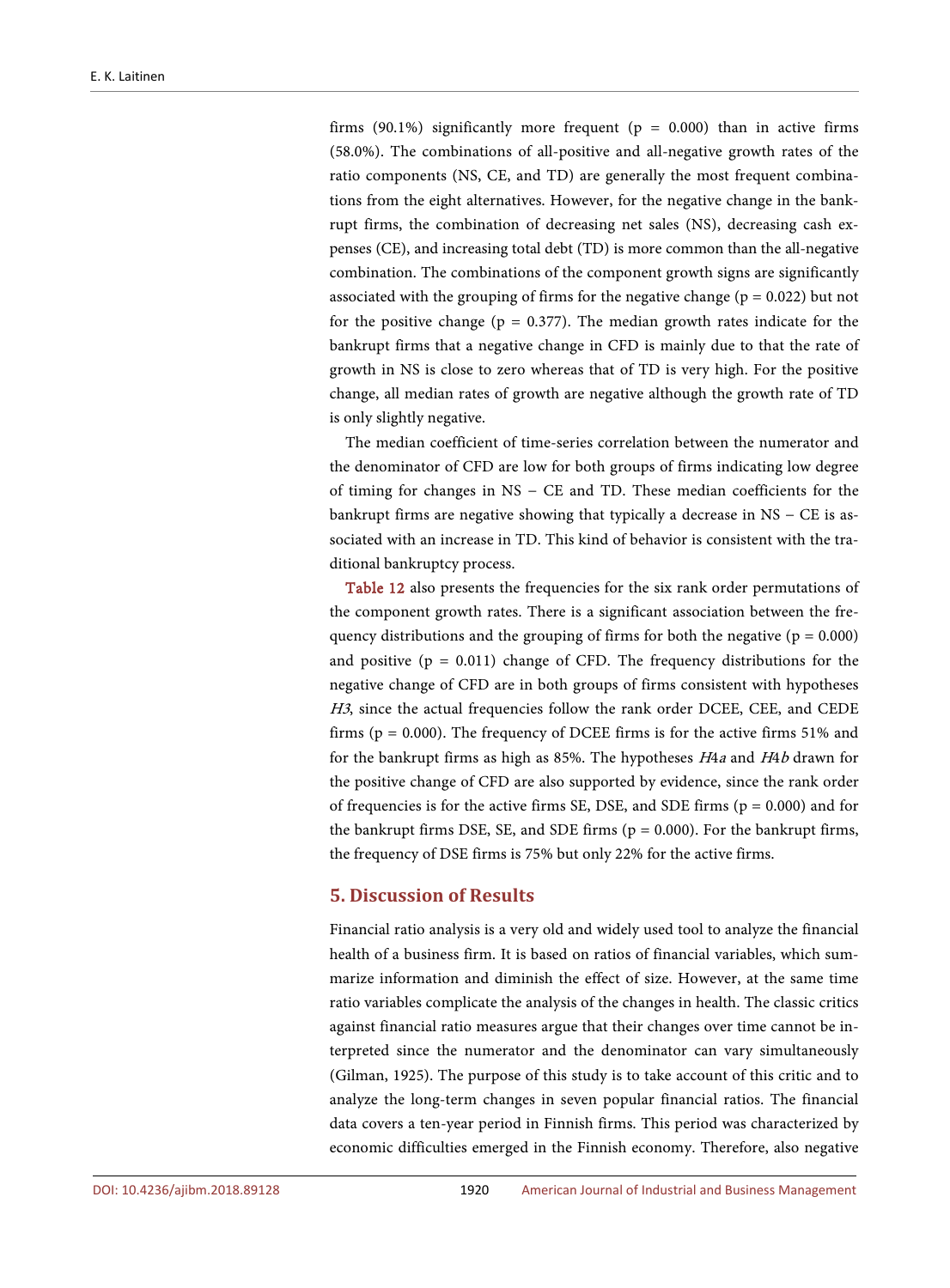firms (90.1%) significantly more frequent ( $p = 0.000$ ) than in active firms (58.0%). The combinations of all-positive and all-negative growth rates of the ratio components (NS, CE, and TD) are generally the most frequent combinations from the eight alternatives. However, for the negative change in the bankrupt firms, the combination of decreasing net sales (NS), decreasing cash expenses (CE), and increasing total debt (TD) is more common than the all-negative combination. The combinations of the component growth signs are significantly associated with the grouping of firms for the negative change ( $p = 0.022$ ) but not for the positive change ( $p = 0.377$ ). The median growth rates indicate for the bankrupt firms that a negative change in CFD is mainly due to that the rate of growth in NS is close to zero whereas that of TD is very high. For the positive change, all median rates of growth are negative although the growth rate of TD is only slightly negative.

The median coefficient of time-series correlation between the numerator and the denominator of CFD are low for both groups of firms indicating low degree of timing for changes in NS − CE and TD. These median coefficients for the bankrupt firms are negative showing that typically a decrease in NS − CE is associated with an increase in TD. This kind of behavior is consistent with the traditional bankruptcy process.

[Table 12](#page-27-0) also presents the frequencies for the six rank order permutations of the component growth rates. There is a significant association between the frequency distributions and the grouping of firms for both the negative ( $p = 0.000$ ) and positive  $(p = 0.011)$  change of CFD. The frequency distributions for the negative change of CFD are in both groups of firms consistent with hypotheses H3, since the actual frequencies follow the rank order DCEE, CEE, and CEDE firms ( $p = 0.000$ ). The frequency of DCEE firms is for the active firms 51% and for the bankrupt firms as high as 85%. The hypotheses H4<sup>a</sup> and H4b drawn for the positive change of CFD are also supported by evidence, since the rank order of frequencies is for the active firms SE, DSE, and SDE firms ( $p = 0.000$ ) and for the bankrupt firms DSE, SE, and SDE firms ( $p = 0.000$ ). For the bankrupt firms, the frequency of DSE firms is 75% but only 22% for the active firms.

# **5. Discussion of Results**

Financial ratio analysis is a very old and widely used tool to analyze the financial health of a business firm. It is based on ratios of financial variables, which summarize information and diminish the effect of size. However, at the same time ratio variables complicate the analysis of the changes in health. The classic critics against financial ratio measures argue that their changes over time cannot be interpreted since the numerator and the denominator can vary simultaneously (Gilman, 1925). The purpose of this study is to take account of this critic and to analyze the long-term changes in seven popular financial ratios. The financial data covers a ten-year period in Finnish firms. This period was characterized by economic difficulties emerged in the Finnish economy. Therefore, also negative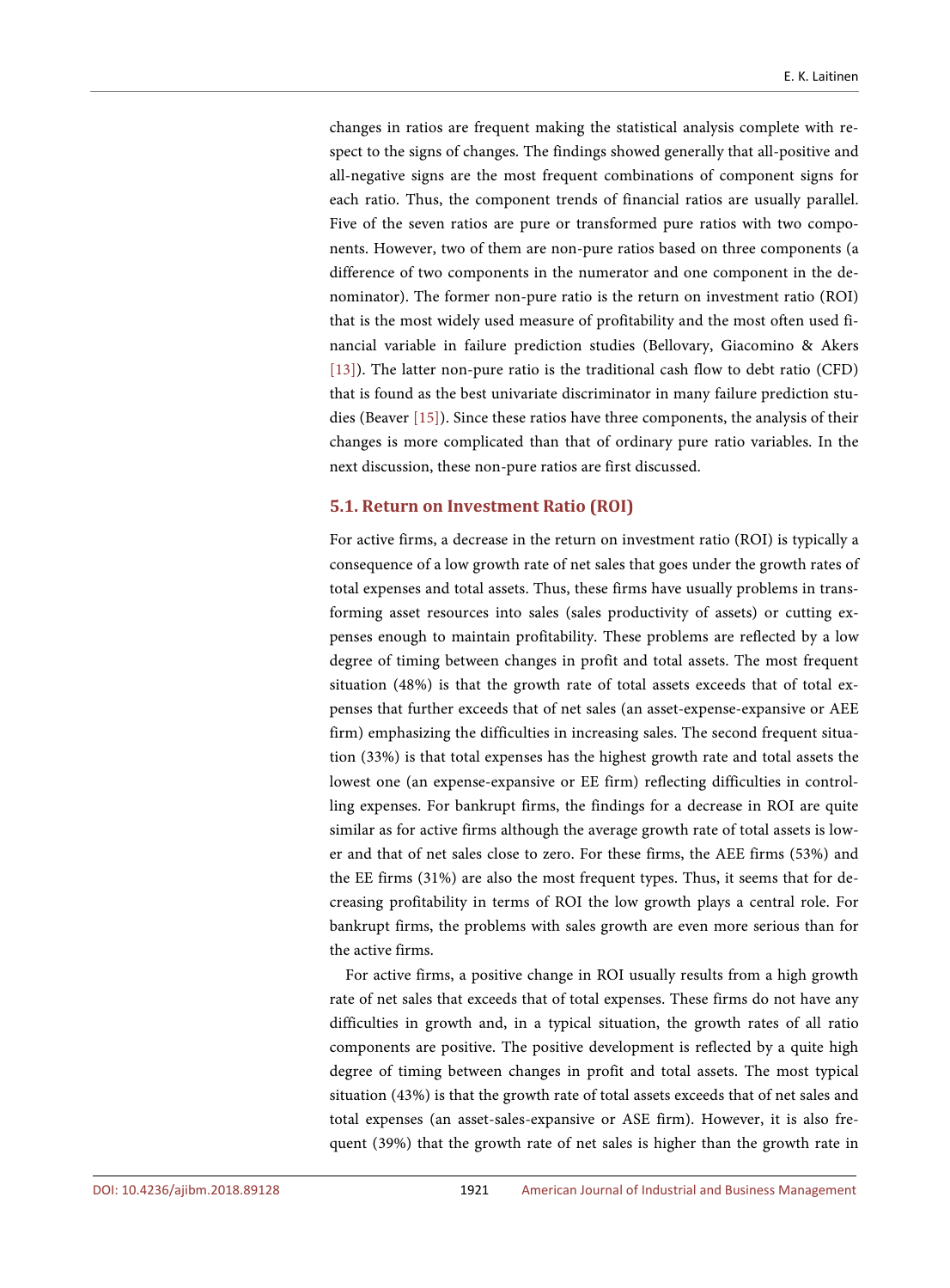changes in ratios are frequent making the statistical analysis complete with respect to the signs of changes. The findings showed generally that all-positive and all-negative signs are the most frequent combinations of component signs for each ratio. Thus, the component trends of financial ratios are usually parallel. Five of the seven ratios are pure or transformed pure ratios with two components. However, two of them are non-pure ratios based on three components (a difference of two components in the numerator and one component in the denominator). The former non-pure ratio is the return on investment ratio (ROI) that is the most widely used measure of profitability and the most often used financial variable in failure prediction studies (Bellovary, Giacomino & Akers [\[13\]\)](#page-34-8). The latter non-pure ratio is the traditional cash flow to debt ratio (CFD) that is found as the best univariate discriminator in many failure prediction studies (Beaver [\[15\]\)](#page-34-10). Since these ratios have three components, the analysis of their changes is more complicated than that of ordinary pure ratio variables. In the next discussion, these non-pure ratios are first discussed.

## **5.1. Return on Investment Ratio (ROI)**

For active firms, a decrease in the return on investment ratio (ROI) is typically a consequence of a low growth rate of net sales that goes under the growth rates of total expenses and total assets. Thus, these firms have usually problems in transforming asset resources into sales (sales productivity of assets) or cutting expenses enough to maintain profitability. These problems are reflected by a low degree of timing between changes in profit and total assets. The most frequent situation (48%) is that the growth rate of total assets exceeds that of total expenses that further exceeds that of net sales (an asset-expense-expansive or AEE firm) emphasizing the difficulties in increasing sales. The second frequent situation (33%) is that total expenses has the highest growth rate and total assets the lowest one (an expense-expansive or EE firm) reflecting difficulties in controlling expenses. For bankrupt firms, the findings for a decrease in ROI are quite similar as for active firms although the average growth rate of total assets is lower and that of net sales close to zero. For these firms, the AEE firms (53%) and the EE firms (31%) are also the most frequent types. Thus, it seems that for decreasing profitability in terms of ROI the low growth plays a central role. For bankrupt firms, the problems with sales growth are even more serious than for the active firms.

For active firms, a positive change in ROI usually results from a high growth rate of net sales that exceeds that of total expenses. These firms do not have any difficulties in growth and, in a typical situation, the growth rates of all ratio components are positive. The positive development is reflected by a quite high degree of timing between changes in profit and total assets. The most typical situation (43%) is that the growth rate of total assets exceeds that of net sales and total expenses (an asset-sales-expansive or ASE firm). However, it is also frequent (39%) that the growth rate of net sales is higher than the growth rate in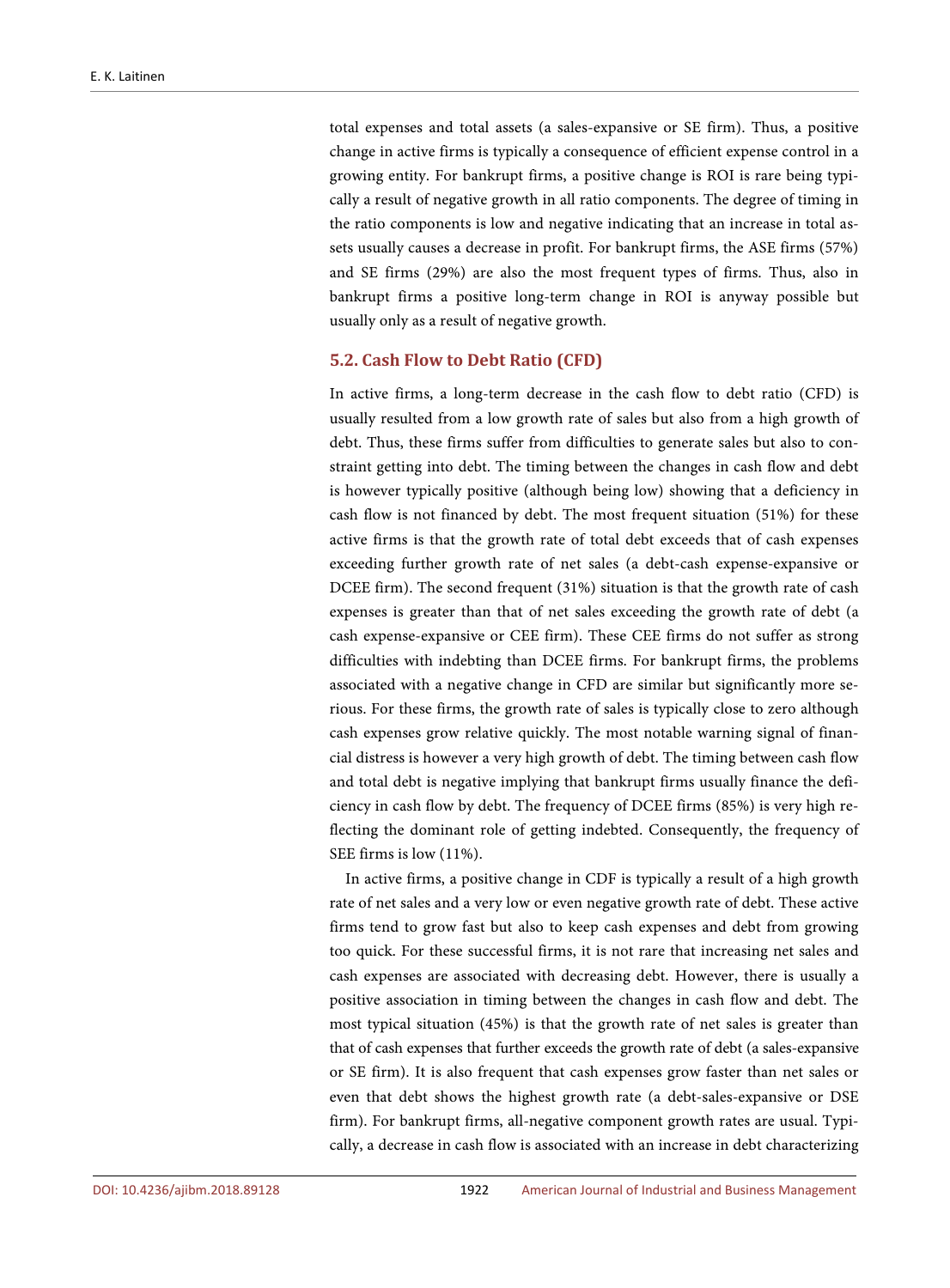total expenses and total assets (a sales-expansive or SE firm). Thus, a positive change in active firms is typically a consequence of efficient expense control in a growing entity. For bankrupt firms, a positive change is ROI is rare being typically a result of negative growth in all ratio components. The degree of timing in the ratio components is low and negative indicating that an increase in total assets usually causes a decrease in profit. For bankrupt firms, the ASE firms (57%) and SE firms (29%) are also the most frequent types of firms. Thus, also in bankrupt firms a positive long-term change in ROI is anyway possible but usually only as a result of negative growth.

# **5.2. Cash Flow to Debt Ratio (CFD)**

In active firms, a long-term decrease in the cash flow to debt ratio (CFD) is usually resulted from a low growth rate of sales but also from a high growth of debt. Thus, these firms suffer from difficulties to generate sales but also to constraint getting into debt. The timing between the changes in cash flow and debt is however typically positive (although being low) showing that a deficiency in cash flow is not financed by debt. The most frequent situation (51%) for these active firms is that the growth rate of total debt exceeds that of cash expenses exceeding further growth rate of net sales (a debt-cash expense-expansive or DCEE firm). The second frequent (31%) situation is that the growth rate of cash expenses is greater than that of net sales exceeding the growth rate of debt (a cash expense-expansive or CEE firm). These CEE firms do not suffer as strong difficulties with indebting than DCEE firms. For bankrupt firms, the problems associated with a negative change in CFD are similar but significantly more serious. For these firms, the growth rate of sales is typically close to zero although cash expenses grow relative quickly. The most notable warning signal of financial distress is however a very high growth of debt. The timing between cash flow and total debt is negative implying that bankrupt firms usually finance the deficiency in cash flow by debt. The frequency of DCEE firms (85%) is very high reflecting the dominant role of getting indebted. Consequently, the frequency of SEE firms is low (11%).

In active firms, a positive change in CDF is typically a result of a high growth rate of net sales and a very low or even negative growth rate of debt. These active firms tend to grow fast but also to keep cash expenses and debt from growing too quick. For these successful firms, it is not rare that increasing net sales and cash expenses are associated with decreasing debt. However, there is usually a positive association in timing between the changes in cash flow and debt. The most typical situation (45%) is that the growth rate of net sales is greater than that of cash expenses that further exceeds the growth rate of debt (a sales-expansive or SE firm). It is also frequent that cash expenses grow faster than net sales or even that debt shows the highest growth rate (a debt-sales-expansive or DSE firm). For bankrupt firms, all-negative component growth rates are usual. Typically, a decrease in cash flow is associated with an increase in debt characterizing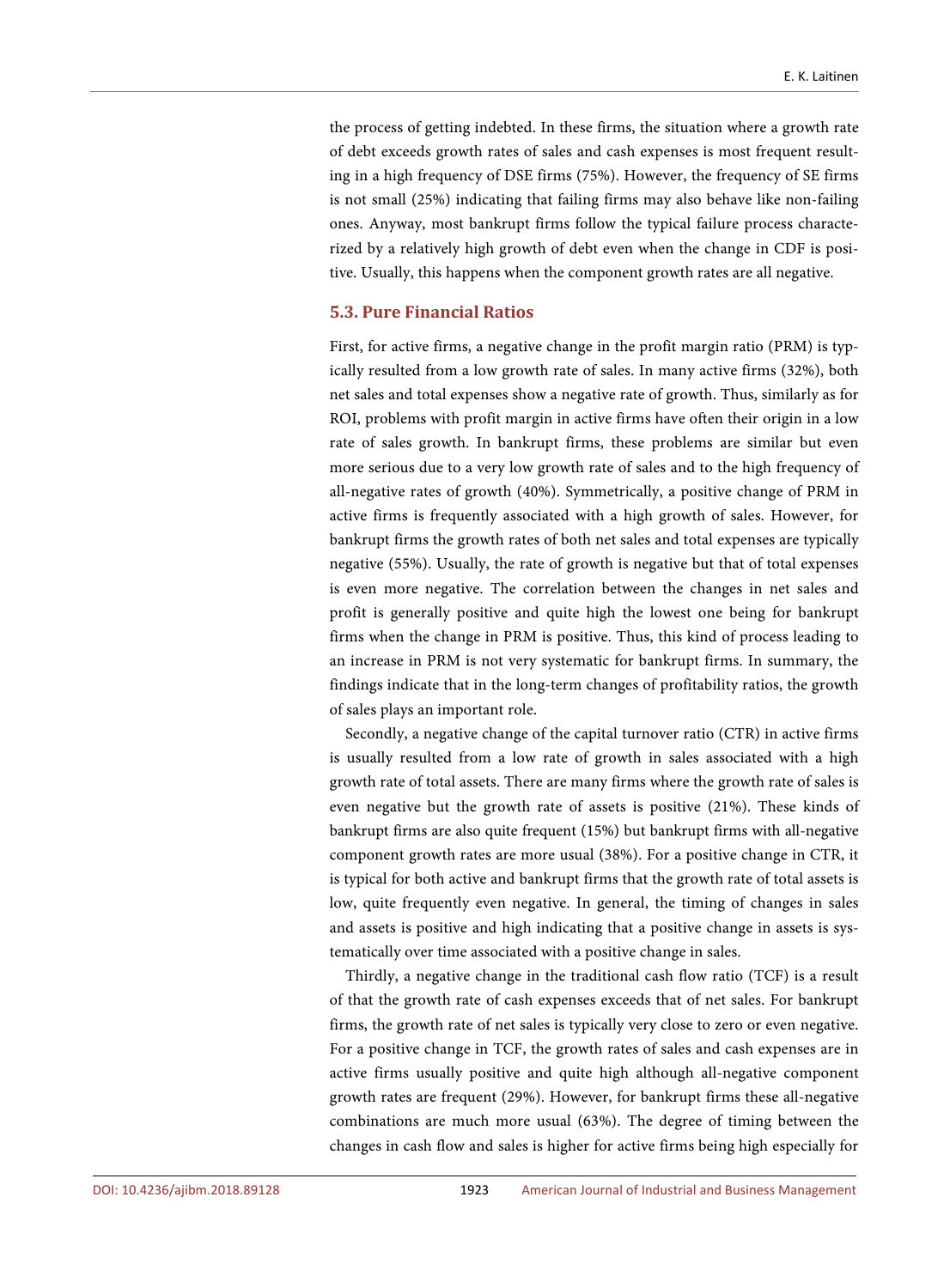the process of getting indebted. In these firms, the situation where a growth rate of debt exceeds growth rates of sales and cash expenses is most frequent resulting in a high frequency of DSE firms (75%). However, the frequency of SE firms is not small (25%) indicating that failing firms may also behave like non-failing ones. Anyway, most bankrupt firms follow the typical failure process characterized by a relatively high growth of debt even when the change in CDF is positive. Usually, this happens when the component growth rates are all negative.

#### **5.3. Pure Financial Ratios**

First, for active firms, a negative change in the profit margin ratio (PRM) is typically resulted from a low growth rate of sales. In many active firms (32%), both net sales and total expenses show a negative rate of growth. Thus, similarly as for ROI, problems with profit margin in active firms have often their origin in a low rate of sales growth. In bankrupt firms, these problems are similar but even more serious due to a very low growth rate of sales and to the high frequency of all-negative rates of growth (40%). Symmetrically, a positive change of PRM in active firms is frequently associated with a high growth of sales. However, for bankrupt firms the growth rates of both net sales and total expenses are typically negative (55%). Usually, the rate of growth is negative but that of total expenses is even more negative. The correlation between the changes in net sales and profit is generally positive and quite high the lowest one being for bankrupt firms when the change in PRM is positive. Thus, this kind of process leading to an increase in PRM is not very systematic for bankrupt firms. In summary, the findings indicate that in the long-term changes of profitability ratios, the growth of sales plays an important role.

Secondly, a negative change of the capital turnover ratio (CTR) in active firms is usually resulted from a low rate of growth in sales associated with a high growth rate of total assets. There are many firms where the growth rate of sales is even negative but the growth rate of assets is positive (21%). These kinds of bankrupt firms are also quite frequent (15%) but bankrupt firms with all-negative component growth rates are more usual (38%). For a positive change in CTR, it is typical for both active and bankrupt firms that the growth rate of total assets is low, quite frequently even negative. In general, the timing of changes in sales and assets is positive and high indicating that a positive change in assets is systematically over time associated with a positive change in sales.

Thirdly, a negative change in the traditional cash flow ratio (TCF) is a result of that the growth rate of cash expenses exceeds that of net sales. For bankrupt firms, the growth rate of net sales is typically very close to zero or even negative. For a positive change in TCF, the growth rates of sales and cash expenses are in active firms usually positive and quite high although all-negative component growth rates are frequent (29%). However, for bankrupt firms these all-negative combinations are much more usual (63%). The degree of timing between the changes in cash flow and sales is higher for active firms being high especially for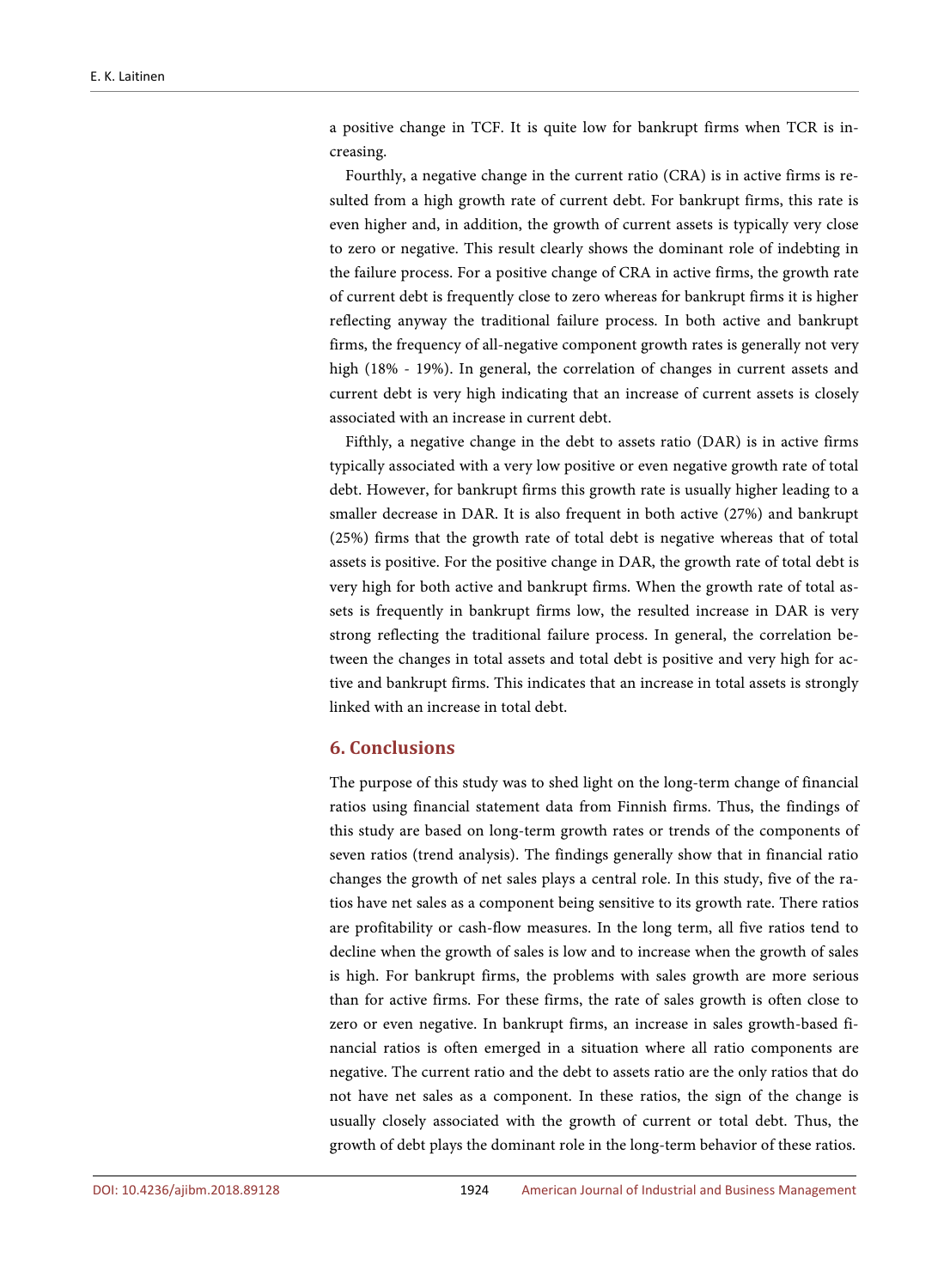a positive change in TCF. It is quite low for bankrupt firms when TCR is increasing.

Fourthly, a negative change in the current ratio (CRA) is in active firms is resulted from a high growth rate of current debt. For bankrupt firms, this rate is even higher and, in addition, the growth of current assets is typically very close to zero or negative. This result clearly shows the dominant role of indebting in the failure process. For a positive change of CRA in active firms, the growth rate of current debt is frequently close to zero whereas for bankrupt firms it is higher reflecting anyway the traditional failure process. In both active and bankrupt firms, the frequency of all-negative component growth rates is generally not very high (18% - 19%). In general, the correlation of changes in current assets and current debt is very high indicating that an increase of current assets is closely associated with an increase in current debt.

Fifthly, a negative change in the debt to assets ratio (DAR) is in active firms typically associated with a very low positive or even negative growth rate of total debt. However, for bankrupt firms this growth rate is usually higher leading to a smaller decrease in DAR. It is also frequent in both active (27%) and bankrupt (25%) firms that the growth rate of total debt is negative whereas that of total assets is positive. For the positive change in DAR, the growth rate of total debt is very high for both active and bankrupt firms. When the growth rate of total assets is frequently in bankrupt firms low, the resulted increase in DAR is very strong reflecting the traditional failure process. In general, the correlation between the changes in total assets and total debt is positive and very high for active and bankrupt firms. This indicates that an increase in total assets is strongly linked with an increase in total debt.

# **6. Conclusions**

The purpose of this study was to shed light on the long-term change of financial ratios using financial statement data from Finnish firms. Thus, the findings of this study are based on long-term growth rates or trends of the components of seven ratios (trend analysis). The findings generally show that in financial ratio changes the growth of net sales plays a central role. In this study, five of the ratios have net sales as a component being sensitive to its growth rate. There ratios are profitability or cash-flow measures. In the long term, all five ratios tend to decline when the growth of sales is low and to increase when the growth of sales is high. For bankrupt firms, the problems with sales growth are more serious than for active firms. For these firms, the rate of sales growth is often close to zero or even negative. In bankrupt firms, an increase in sales growth-based financial ratios is often emerged in a situation where all ratio components are negative. The current ratio and the debt to assets ratio are the only ratios that do not have net sales as a component. In these ratios, the sign of the change is usually closely associated with the growth of current or total debt. Thus, the growth of debt plays the dominant role in the long-term behavior of these ratios.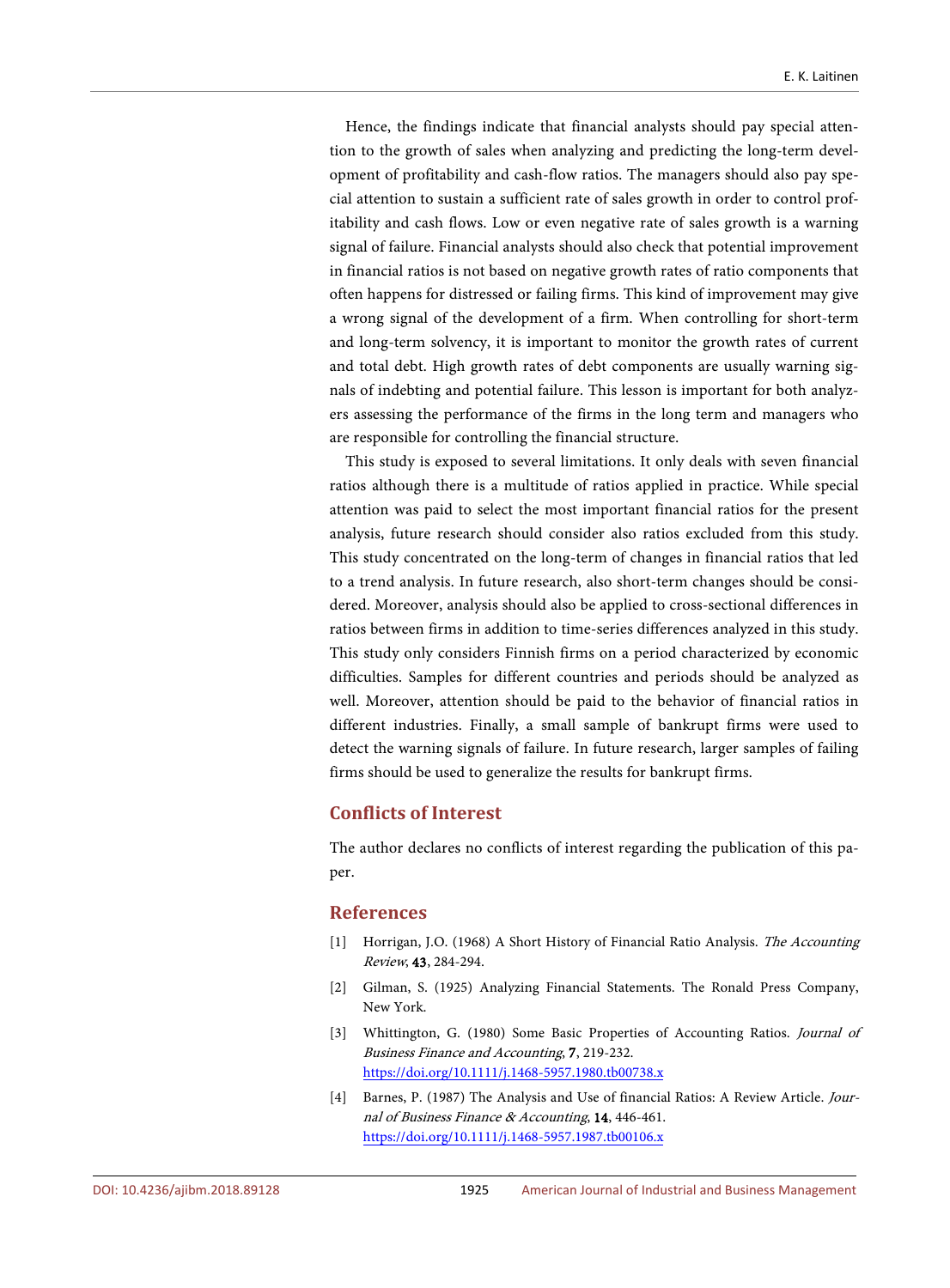Hence, the findings indicate that financial analysts should pay special attention to the growth of sales when analyzing and predicting the long-term development of profitability and cash-flow ratios. The managers should also pay special attention to sustain a sufficient rate of sales growth in order to control profitability and cash flows. Low or even negative rate of sales growth is a warning signal of failure. Financial analysts should also check that potential improvement in financial ratios is not based on negative growth rates of ratio components that often happens for distressed or failing firms. This kind of improvement may give a wrong signal of the development of a firm. When controlling for short-term and long-term solvency, it is important to monitor the growth rates of current and total debt. High growth rates of debt components are usually warning signals of indebting and potential failure. This lesson is important for both analyzers assessing the performance of the firms in the long term and managers who are responsible for controlling the financial structure.

This study is exposed to several limitations. It only deals with seven financial ratios although there is a multitude of ratios applied in practice. While special attention was paid to select the most important financial ratios for the present analysis, future research should consider also ratios excluded from this study. This study concentrated on the long-term of changes in financial ratios that led to a trend analysis. In future research, also short-term changes should be considered. Moreover, analysis should also be applied to cross-sectional differences in ratios between firms in addition to time-series differences analyzed in this study. This study only considers Finnish firms on a period characterized by economic difficulties. Samples for different countries and periods should be analyzed as well. Moreover, attention should be paid to the behavior of financial ratios in different industries. Finally, a small sample of bankrupt firms were used to detect the warning signals of failure. In future research, larger samples of failing firms should be used to generalize the results for bankrupt firms.

# **Conflicts of Interest**

The author declares no conflicts of interest regarding the publication of this paper.

## **References**

- <span id="page-33-0"></span>[1] Horrigan, J.O. (1968) A Short History of Financial Ratio Analysis. The Accounting Review, 43, 284-294.
- <span id="page-33-1"></span>[2] Gilman, S. (1925) Analyzing Financial Statements. The Ronald Press Company, New York.
- <span id="page-33-2"></span>[3] Whittington, G. (1980) Some Basic Properties of Accounting Ratios. Journal of Business Finance and Accounting, 7, 219-232. <https://doi.org/10.1111/j.1468-5957.1980.tb00738.x>
- <span id="page-33-3"></span>[4] Barnes, P. (1987) The Analysis and Use of financial Ratios: A Review Article. Journal of Business Finance & Accounting, 14, 446-461. <https://doi.org/10.1111/j.1468-5957.1987.tb00106.x>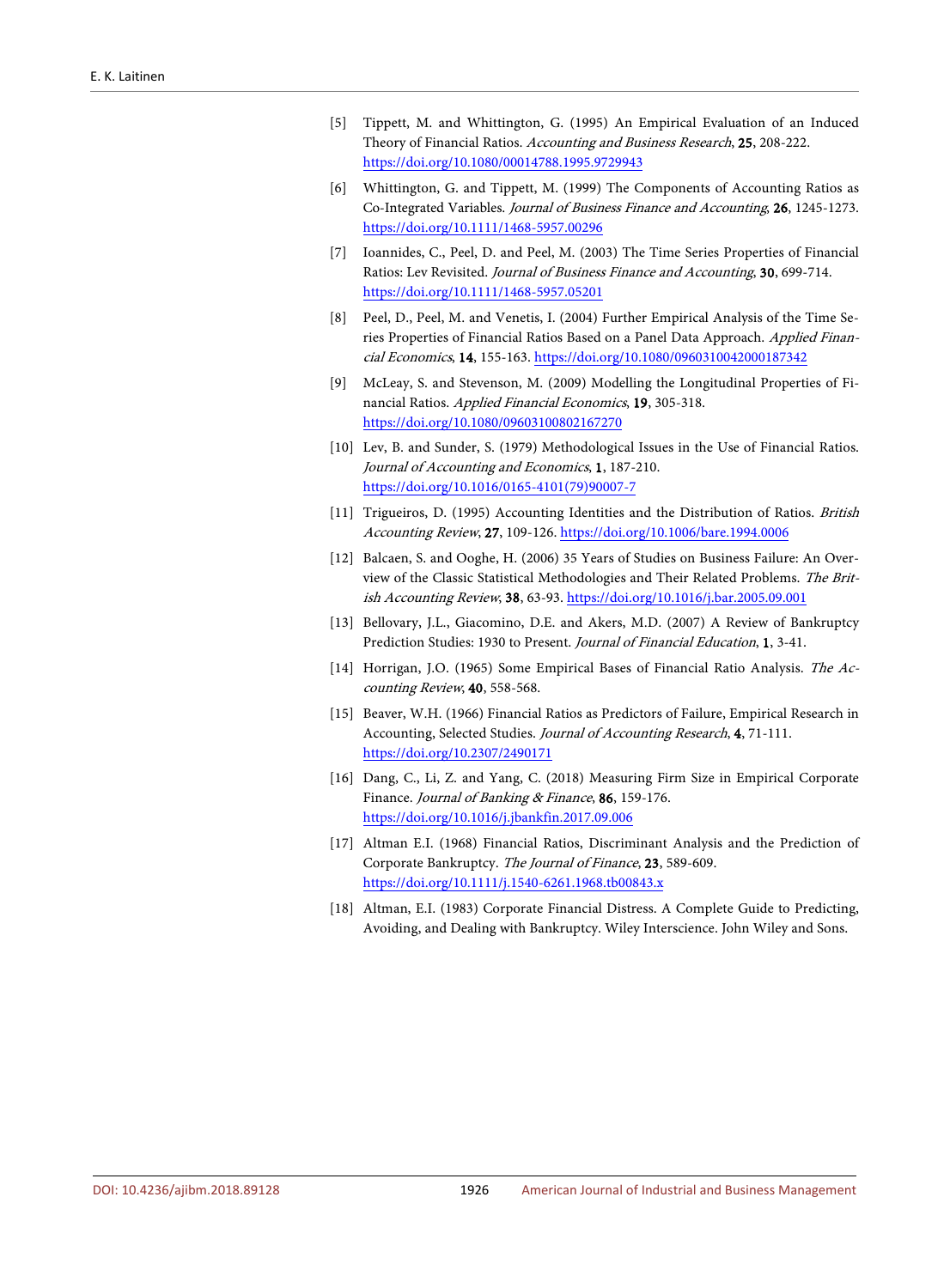- <span id="page-34-0"></span>[5] Tippett, M. and Whittington, G. (1995) An Empirical Evaluation of an Induced Theory of Financial Ratios. Accounting and Business Research, 25, 208-222. <https://doi.org/10.1080/00014788.1995.9729943>
- <span id="page-34-1"></span>[6] Whittington, G. and Tippett, M. (1999) The Components of Accounting Ratios as Co-Integrated Variables. Journal of Business Finance and Accounting, 26, 1245-1273. <https://doi.org/10.1111/1468-5957.00296>
- <span id="page-34-2"></span>[7] Ioannides, C., Peel, D. and Peel, M. (2003) The Time Series Properties of Financial Ratios: Lev Revisited. Journal of Business Finance and Accounting, 30, 699-714. <https://doi.org/10.1111/1468-5957.05201>
- <span id="page-34-3"></span>[8] Peel, D., Peel, M. and Venetis, I. (2004) Further Empirical Analysis of the Time Series Properties of Financial Ratios Based on a Panel Data Approach. Applied Financial Economics, 14, 155-163. <https://doi.org/10.1080/0960310042000187342>
- <span id="page-34-4"></span>[9] McLeay, S. and Stevenson, M. (2009) Modelling the Longitudinal Properties of Financial Ratios. Applied Financial Economics, 19, 305-318. <https://doi.org/10.1080/09603100802167270>
- <span id="page-34-5"></span>[10] Lev, B. and Sunder, S. (1979) Methodological Issues in the Use of Financial Ratios. Journal of Accounting and Economics, 1, 187-210. [https://doi.org/10.1016/0165-4101\(79\)90007-7](https://doi.org/10.1016/0165-4101(79)90007-7)
- <span id="page-34-6"></span>[11] Trigueiros, D. (1995) Accounting Identities and the Distribution of Ratios. British Accounting Review, 27, 109-126. <https://doi.org/10.1006/bare.1994.0006>
- <span id="page-34-7"></span>[12] Balcaen, S. and Ooghe, H. (2006) 35 Years of Studies on Business Failure: An Overview of the Classic Statistical Methodologies and Their Related Problems. The British Accounting Review, 38, 63-93. <https://doi.org/10.1016/j.bar.2005.09.001>
- <span id="page-34-8"></span>[13] Bellovary, J.L., Giacomino, D.E. and Akers, M.D. (2007) A Review of Bankruptcy Prediction Studies: 1930 to Present. Journal of Financial Education, 1, 3-41.
- <span id="page-34-9"></span>[14] Horrigan, J.O. (1965) Some Empirical Bases of Financial Ratio Analysis. The Accounting Review, 40, 558-568.
- <span id="page-34-10"></span>[15] Beaver, W.H. (1966) Financial Ratios as Predictors of Failure, Empirical Research in Accounting, Selected Studies. Journal of Accounting Research, 4, 71-111. <https://doi.org/10.2307/2490171>
- <span id="page-34-11"></span>[16] Dang, C., Li, Z. and Yang, C. (2018) Measuring Firm Size in Empirical Corporate Finance. Journal of Banking & Finance, 86, 159-176. <https://doi.org/10.1016/j.jbankfin.2017.09.006>
- <span id="page-34-12"></span>[17] Altman E.I. (1968) Financial Ratios, Discriminant Analysis and the Prediction of Corporate Bankruptcy. The Journal of Finance, 23, 589-609. <https://doi.org/10.1111/j.1540-6261.1968.tb00843.x>
- <span id="page-34-13"></span>[18] Altman, E.I. (1983) Corporate Financial Distress. A Complete Guide to Predicting, Avoiding, and Dealing with Bankruptcy. Wiley Interscience. John Wiley and Sons.